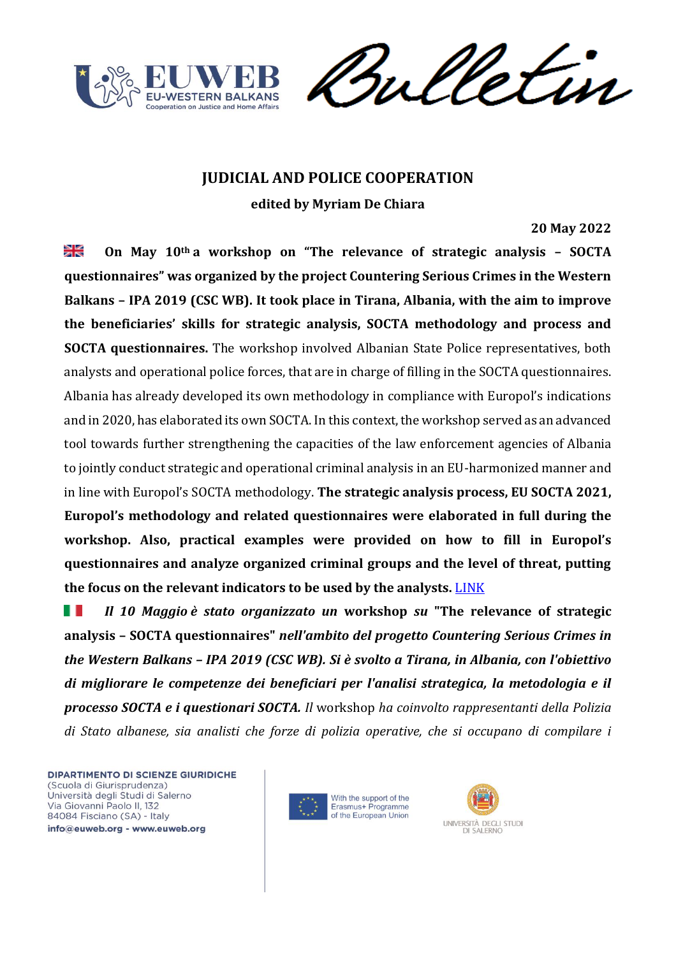

meletin

# **JUDICIAL AND POLICE COOPERATION**

**edited by Myriam De Chiara**

## **20 May 2022**

≱≼ **On May 10th a workshop on "The relevance of strategic analysis – SOCTA questionnaires" was organized by the project Countering Serious Crimes in the Western Balkans – IPA 2019 (CSC WB). It took place in Tirana, Albania, with the aim to improve the beneficiaries' skills for strategic analysis, SOCTA methodology and process and SOCTA questionnaires.** The workshop involved Albanian State Police representatives, both analysts and operational police forces, that are in charge of filling in the SOCTA questionnaires. Albania has already developed its own methodology in compliance with Europol's indications and in 2020, has elaborated its own SOCTA. In this context, the workshop served as an advanced tool towards further strengthening the capacities of the law enforcement agencies of Albania to jointly conduct strategic and operational criminal analysis in an EU-harmonized manner and in line with Europol's SOCTA methodology. **The strategic analysis process, EU SOCTA 2021, Europol's methodology and related questionnaires were elaborated in full during the workshop. Also, practical examples were provided on how to fill in Europol's questionnaires and analyze organized criminal groups and the level of threat, putting the focus on the relevant indicators to be used by the analysts.** [LINK](https://cscwb.info/2022/05/20/workshop-on-socta-questionnaires-and-methodology-held-in-tirana/)

Ш *Il 10 Maggio è stato organizzato un* **workshop** *su* **"The relevance of strategic analysis – SOCTA questionnaires"** *nell'ambito del progetto Countering Serious Crimes in the Western Balkans – IPA 2019 (CSC WB). Si è svolto a Tirana, in Albania, con l'obiettivo di migliorare le competenze dei beneficiari per l'analisi strategica, la metodologia e il processo SOCTA e i questionari SOCTA. Il* workshop *ha coinvolto rappresentanti della Polizia di Stato albanese, sia analisti che forze di polizia operative, che si occupano di compilare i* 



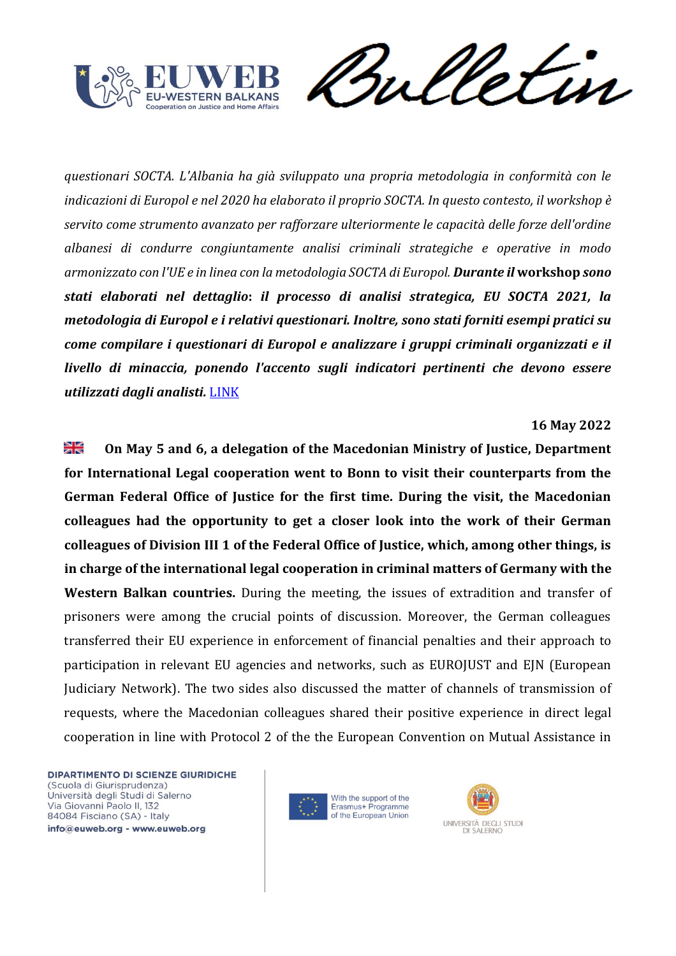



*questionari SOCTA. L'Albania ha già sviluppato una propria metodologia in conformità con le indicazioni di Europol e nel 2020 ha elaborato il proprio SOCTA. In questo contesto, il workshop è servito come strumento avanzato per rafforzare ulteriormente le capacità delle forze dell'ordine albanesi di condurre congiuntamente analisi criminali strategiche e operative in modo armonizzato con l'UE e in linea con la metodologia SOCTA di Europol. Durante il* **workshop** *sono stati elaborati nel dettaglio***:** *il processo di analisi strategica, EU SOCTA 2021, la metodologia di Europol e i relativi questionari. Inoltre, sono stati forniti esempi pratici su come compilare i questionari di Europol e analizzare i gruppi criminali organizzati e il livello di minaccia, ponendo l'accento sugli indicatori pertinenti che devono essere utilizzati dagli analisti.* [LINK](https://cscwb.info/2022/05/20/workshop-on-socta-questionnaires-and-methodology-held-in-tirana/)

#### **16 May 2022**

≱≼ **On May 5 and 6, a delegation of the Macedonian Ministry of Justice, Department for International Legal cooperation went to Bonn to visit their counterparts from the German Federal Office of Justice for the first time. During the visit, the Macedonian colleagues had the opportunity to get a closer look into the work of their German colleagues of Division III 1 of the Federal Office of Justice, which, among other things, is in charge of the international legal cooperation in criminal matters of Germany with the Western Balkan countries.** During the meeting, the issues of extradition and transfer of prisoners were among the crucial points of discussion. Moreover, the German colleagues transferred their EU experience in enforcement of financial penalties and their approach to participation in relevant EU agencies and networks, such as EUROJUST and EJN (European Judiciary Network). The two sides also discussed the matter of channels of transmission of requests, where the Macedonian colleagues shared their positive experience in direct legal cooperation in line with Protocol 2 of the the European Convention on Mutual Assistance in



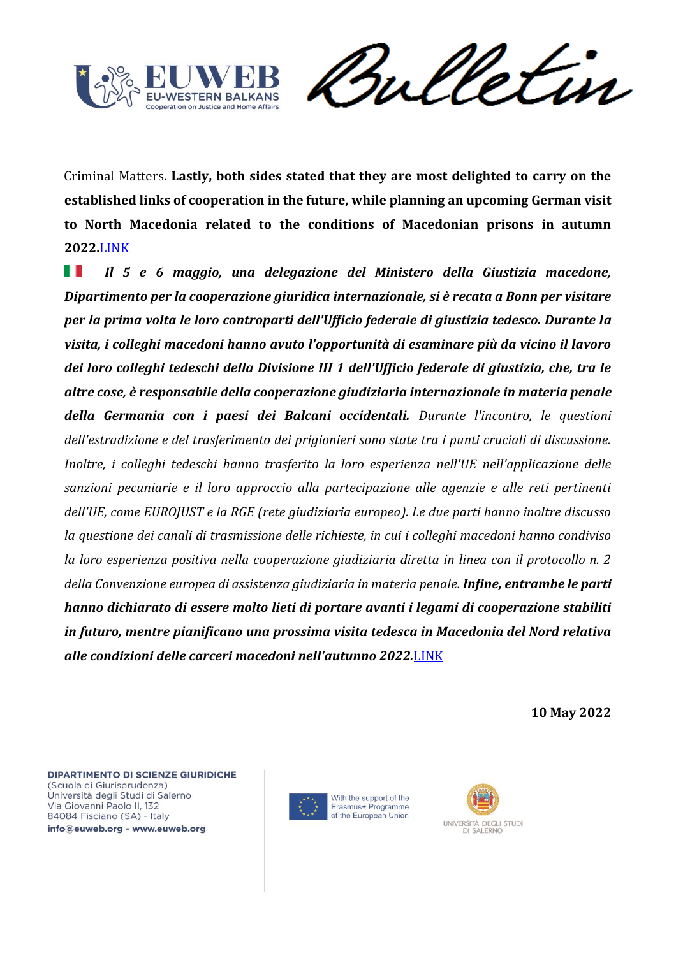

Sulletin

Criminal Matters. **Lastly, both sides stated that they are most delighted to carry on the established links of cooperation in the future, while planning an upcoming German visit to North Macedonia related to the conditions of Macedonian prisons in autumn 2022.**[LINK](https://cscwb.info/2022/05/16/advanced-legal-cooperation-in-criminal-matters-between-north-macedonia-and-germany/)

Ш *Il 5 e 6 maggio, una delegazione del Ministero della Giustizia macedone, Dipartimento per la cooperazione giuridica internazionale, si è recata a Bonn per visitare per la prima volta le loro controparti dell'Ufficio federale di giustizia tedesco. Durante la visita, i colleghi macedoni hanno avuto l'opportunità di esaminare più da vicino il lavoro dei loro colleghi tedeschi della Divisione III 1 dell'Ufficio federale di giustizia, che, tra le altre cose, è responsabile della cooperazione giudiziaria internazionale in materia penale della Germania con i paesi dei Balcani occidentali. Durante l'incontro, le questioni dell'estradizione e del trasferimento dei prigionieri sono state tra i punti cruciali di discussione. Inoltre, i colleghi tedeschi hanno trasferito la loro esperienza nell'UE nell'applicazione delle sanzioni pecuniarie e il loro approccio alla partecipazione alle agenzie e alle reti pertinenti dell'UE, come EUROJUST e la RGE (rete giudiziaria europea). Le due parti hanno inoltre discusso la questione dei canali di trasmissione delle richieste, in cui i colleghi macedoni hanno condiviso la loro esperienza positiva nella cooperazione giudiziaria diretta in linea con il protocollo n. 2 della Convenzione europea di assistenza giudiziaria in materia penale. Infine, entrambe le parti hanno dichiarato di essere molto lieti di portare avanti i legami di cooperazione stabiliti in futuro, mentre pianificano una prossima visita tedesca in Macedonia del Nord relativa alle condizioni delle carceri macedoni nell'autunno 2022.*[LINK](https://cscwb.info/2022/05/16/advanced-legal-cooperation-in-criminal-matters-between-north-macedonia-and-germany/)

**10 May 2022**





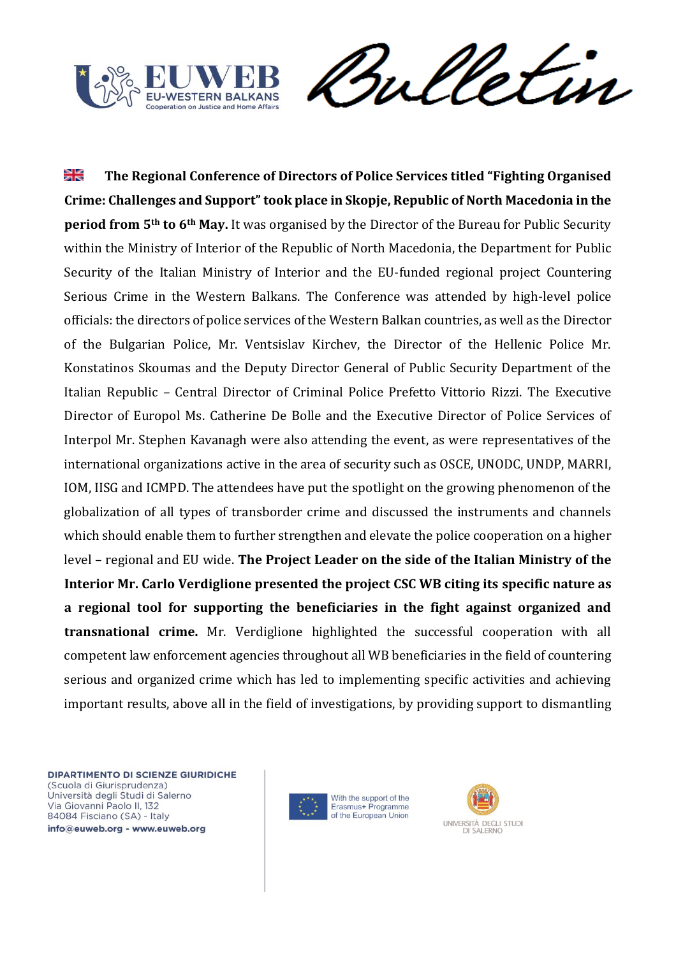



꼭 **The Regional Conference of Directors of Police Services titled "Fighting Organised Crime: Challenges and Support" took place in Skopje, Republic of North Macedonia in the period from 5th to 6th May.** It was organised by the Director of the Bureau for Public Security within the Ministry of Interior of the Republic of North Macedonia, the Department for Public Security of the Italian Ministry of Interior and the EU-funded regional project Countering Serious Crime in the Western Balkans. The Conference was attended by high-level police officials: the directors of police services of the Western Balkan countries, as well as the Director of the Bulgarian Police, Mr. Ventsislav Kirchev, the Director of the Hellenic Police Mr. Konstatinos Skoumas and the Deputy Director General of Public Security Department of the Italian Republic – Central Director of Criminal Police Prefetto Vittorio Rizzi. The Executive Director of Europol Ms. Catherine De Bolle and the Executive Director of Police Services of Interpol Mr. Stephen Kavanagh were also attending the event, as were representatives of the international organizations active in the area of security such as OSCE, UNODC, UNDP, MARRI, IOM, IISG and ICMPD. The attendees have put the spotlight on the growing phenomenon of the globalization of all types of transborder crime and discussed the instruments and channels which should enable them to further strengthen and elevate the police cooperation on a higher level – regional and EU wide. **The Project Leader on the side of the Italian Ministry of the Interior Mr. Carlo Verdiglione presented the project CSC WB citing its specific nature as a regional tool for supporting the beneficiaries in the fight against organized and transnational crime.** Mr. Verdiglione highlighted the successful cooperation with all competent law enforcement agencies throughout all WB beneficiaries in the field of countering serious and organized crime which has led to implementing specific activities and achieving important results, above all in the field of investigations, by providing support to dismantling



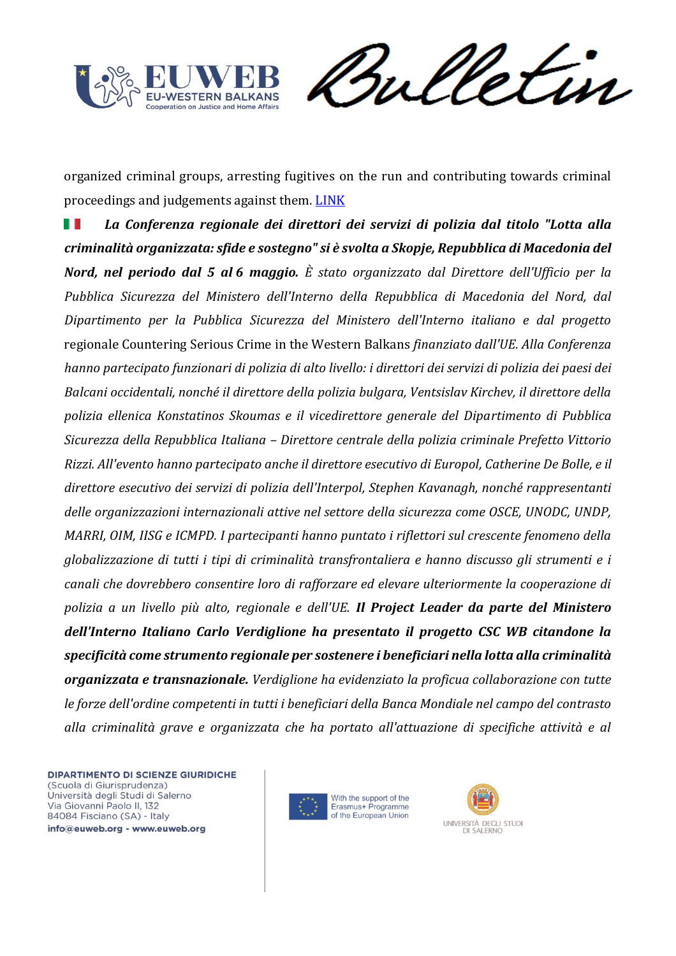

Sulletin

organized criminal groups, arresting fugitives on the run and contributing towards criminal proceedings and judgements against them. [LINK](https://cscwb.info/2022/05/10/regional-conference-of-police-directors-held-in-skopje/)

*La Conferenza regionale dei direttori dei servizi di polizia dal titolo "Lotta alla*  H *criminalità organizzata: sfide e sostegno" si è svolta a Skopje, Repubblica di Macedonia del Nord, nel periodo dal 5 al 6 maggio. È stato organizzato dal Direttore dell'Ufficio per la Pubblica Sicurezza del Ministero dell'Interno della Repubblica di Macedonia del Nord, dal Dipartimento per la Pubblica Sicurezza del Ministero dell'Interno italiano e dal progetto*  regionale Countering Serious Crime in the Western Balkans *finanziato dall'UE. Alla Conferenza hanno partecipato funzionari di polizia di alto livello: i direttori dei servizi di polizia dei paesi dei Balcani occidentali, nonché il direttore della polizia bulgara, Ventsislav Kirchev, il direttore della polizia ellenica Konstatinos Skoumas e il vicedirettore generale del Dipartimento di Pubblica Sicurezza della Repubblica Italiana – Direttore centrale della polizia criminale Prefetto Vittorio Rizzi. All'evento hanno partecipato anche il direttore esecutivo di Europol, Catherine De Bolle, e il direttore esecutivo dei servizi di polizia dell'Interpol, Stephen Kavanagh, nonché rappresentanti delle organizzazioni internazionali attive nel settore della sicurezza come OSCE, UNODC, UNDP, MARRI, OIM, IISG e ICMPD. I partecipanti hanno puntato i riflettori sul crescente fenomeno della globalizzazione di tutti i tipi di criminalità transfrontaliera e hanno discusso gli strumenti e i canali che dovrebbero consentire loro di rafforzare ed elevare ulteriormente la cooperazione di polizia a un livello più alto, regionale e dell'UE. Il Project Leader da parte del Ministero dell'Interno Italiano Carlo Verdiglione ha presentato il progetto CSC WB citandone la specificità come strumento regionale per sostenere i beneficiari nella lotta alla criminalità organizzata e transnazionale. Verdiglione ha evidenziato la proficua collaborazione con tutte le forze dell'ordine competenti in tutti i beneficiari della Banca Mondiale nel campo del contrasto alla criminalità grave e organizzata che ha portato all'attuazione di specifiche attività e al* 



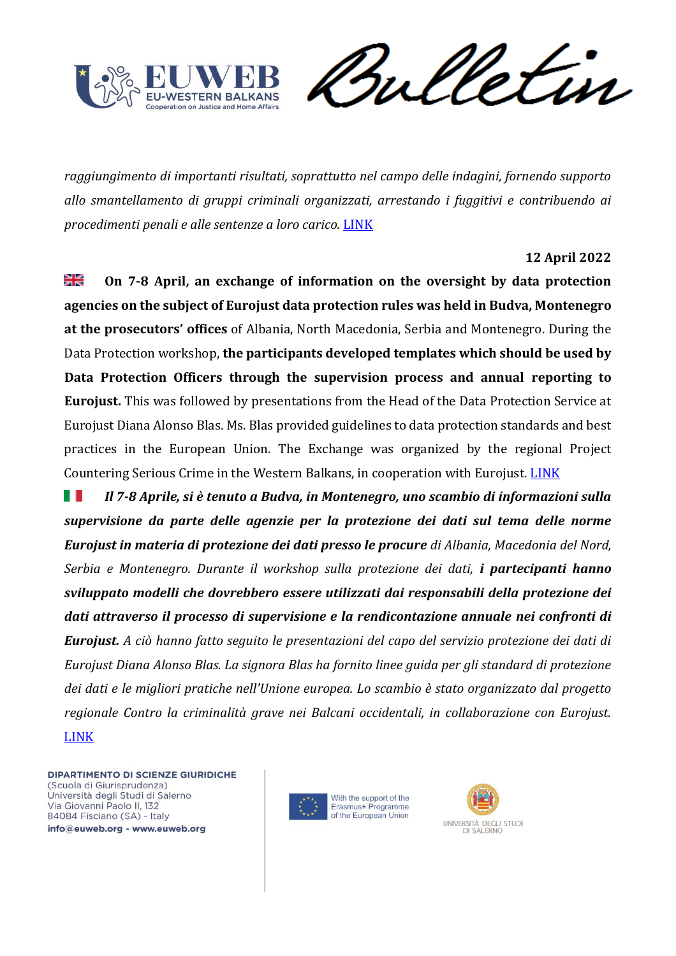

Sulletin

*raggiungimento di importanti risultati, soprattutto nel campo delle indagini, fornendo supporto allo smantellamento di gruppi criminali organizzati, arrestando i fuggitivi e contribuendo ai procedimenti penali e alle sentenze a loro carico.* [LINK](https://cscwb.info/2022/05/10/regional-conference-of-police-directors-held-in-skopje/)

# **12 April 2022**

≱≼ **On 7-8 April, an exchange of information on the oversight by data protection agencies on the subject of Eurojust data protection rules was held in Budva, Montenegro at the prosecutors' offices** of Albania, North Macedonia, Serbia and Montenegro. During the Data Protection workshop, **the participants developed templates which should be used by Data Protection Officers through the supervision process and annual reporting to Eurojust.** This was followed by presentations from the Head of the Data Protection Service at Eurojust Diana Alonso Blas. Ms. Blas provided guidelines to data protection standards and best practices in the European Union. The Exchange was organized by the regional Project Countering Serious Crime in the Western Balkans, in cooperation with Eurojust. [LINK](https://cscwb.info/2022/04/12/workshop-on-eurojust-data-protection-standards-podgorica/)

*Il 7-8 Aprile, si è tenuto a Budva, in Montenegro, uno scambio di informazioni sulla*  ш *supervisione da parte delle agenzie per la protezione dei dati sul tema delle norme Eurojust in materia di protezione dei dati presso le procure di Albania, Macedonia del Nord, Serbia e Montenegro. Durante il workshop sulla protezione dei dati, i partecipanti hanno sviluppato modelli che dovrebbero essere utilizzati dai responsabili della protezione dei dati attraverso il processo di supervisione e la rendicontazione annuale nei confronti di Eurojust. A ciò hanno fatto seguito le presentazioni del capo del servizio protezione dei dati di Eurojust Diana Alonso Blas. La signora Blas ha fornito linee guida per gli standard di protezione dei dati e le migliori pratiche nell'Unione europea. Lo scambio è stato organizzato dal progetto regionale Contro la criminalità grave nei Balcani occidentali, in collaborazione con Eurojust.* [LINK](https://cscwb.info/2022/04/12/workshop-on-eurojust-data-protection-standards-podgorica/)



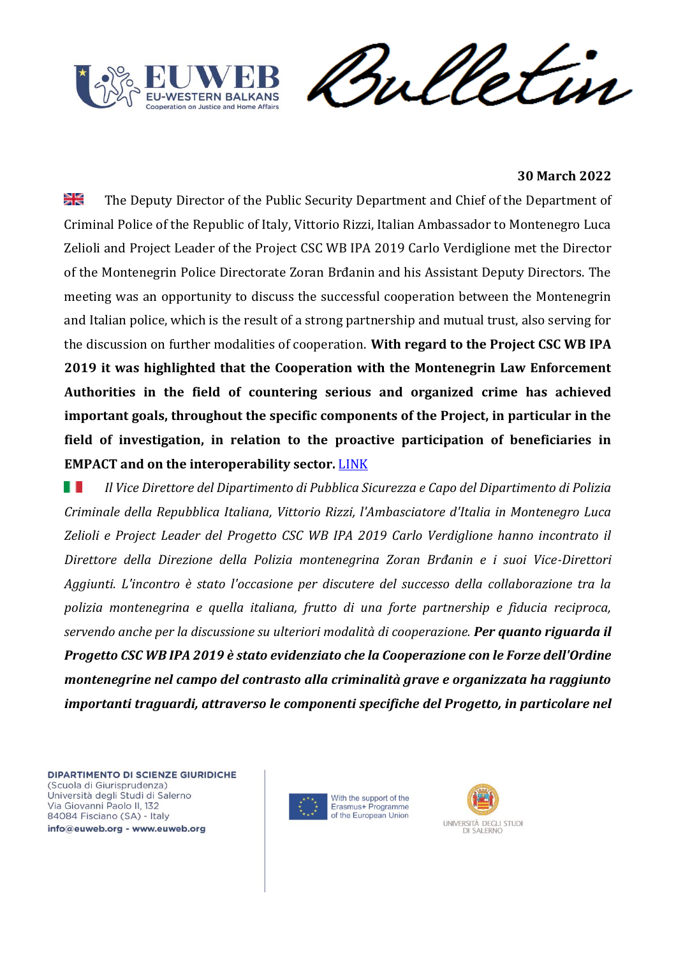



#### **30 March 2022**

≱≼ The Deputy Director of the Public Security Department and Chief of the Department of Criminal Police of the Republic of Italy, Vittorio Rizzi, Italian Ambassador to Montenegro Luca Zelioli and Project Leader of the Project CSC WB IPA 2019 Carlo Verdiglione met the Director of the Montenegrin Police Directorate Zoran Brđanin and his Assistant Deputy Directors. The meeting was an opportunity to discuss the successful cooperation between the Montenegrin and Italian police, which is the result of a strong partnership and mutual trust, also serving for the discussion on further modalities of cooperation. **With regard to the Project CSC WB IPA 2019 it was highlighted that the Cooperation with the Montenegrin Law Enforcement Authorities in the field of countering serious and organized crime has achieved important goals, throughout the specific components of the Project, in particular in the field of investigation, in relation to the proactive participation of beneficiaries in EMPACT and on the interoperability sector.** [LINK](https://cscwb.info/2022/03/30/8439/)

ш *Il Vice Direttore del Dipartimento di Pubblica Sicurezza e Capo del Dipartimento di Polizia Criminale della Repubblica Italiana, Vittorio Rizzi, l'Ambasciatore d'Italia in Montenegro Luca Zelioli e Project Leader del Progetto CSC WB IPA 2019 Carlo Verdiglione hanno incontrato il Direttore della Direzione della Polizia montenegrina Zoran Brđanin e i suoi Vice-Direttori Aggiunti. L'incontro è stato l'occasione per discutere del successo della collaborazione tra la polizia montenegrina e quella italiana, frutto di una forte partnership e fiducia reciproca, servendo anche per la discussione su ulteriori modalità di cooperazione. Per quanto riguarda il Progetto CSC WB IPA 2019 è stato evidenziato che la Cooperazione con le Forze dell'Ordine montenegrine nel campo del contrasto alla criminalità grave e organizzata ha raggiunto importanti traguardi, attraverso le componenti specifiche del Progetto, in particolare nel* 

DIPARTIMENTO DI SCIENZE GIURIDICHE (Scuola di Giurisprudenza) Università degli Studi di Salerno Via Giovanni Paolo II, 132 84084 Fisciano (SA) - Italy

info@euweb.org - www.euweb.org



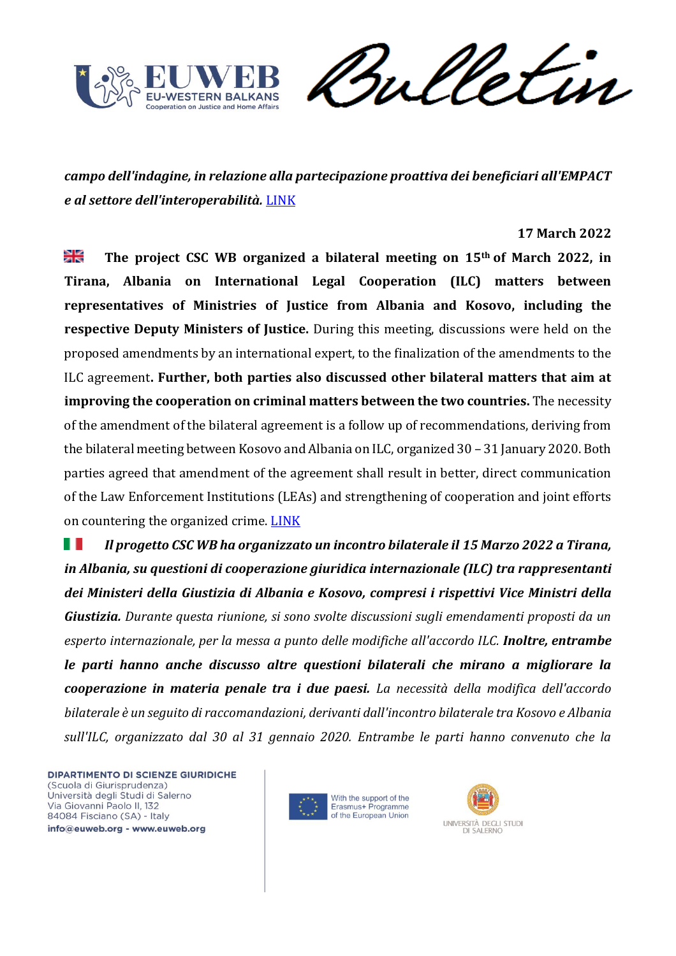

Sulletin

*campo dell'indagine, in relazione alla partecipazione proattiva dei beneficiari all'EMPACT e al settore dell'interoperabilità.* [LINK](https://cscwb.info/2022/03/30/8439/)

#### **17 March 2022**

≱≼ **The project CSC WB organized a bilateral meeting on 15th of March 2022, in Tirana, Albania on International Legal Cooperation (ILC) matters between representatives of Ministries of Justice from Albania and Kosovo, including the respective Deputy Ministers of Justice.** During this meeting, discussions were held on the proposed amendments by an international expert, to the finalization of the amendments to the ILC agreement**. Further, both parties also discussed other bilateral matters that aim at improving the cooperation on criminal matters between the two countries.** The necessity of the amendment of the bilateral agreement is a follow up of recommendations, deriving from the bilateral meeting between Kosovo and Albania on ILC, organized 30 – 31 January 2020. Both parties agreed that amendment of the agreement shall result in better, direct communication of the Law Enforcement Institutions (LEAs) and strengthening of cooperation and joint efforts on countering the organized crime. [LINK](https://cscwb.info/2022/03/17/albanian-and-kosovar-ministries-of-justice/)

ш *Il progetto CSC WB ha organizzato un incontro bilaterale il 15 Marzo 2022 a Tirana, in Albania, su questioni di cooperazione giuridica internazionale (ILC) tra rappresentanti dei Ministeri della Giustizia di Albania e Kosovo, compresi i rispettivi Vice Ministri della Giustizia. Durante questa riunione, si sono svolte discussioni sugli emendamenti proposti da un esperto internazionale, per la messa a punto delle modifiche all'accordo ILC. Inoltre, entrambe le parti hanno anche discusso altre questioni bilaterali che mirano a migliorare la cooperazione in materia penale tra i due paesi. La necessità della modifica dell'accordo bilaterale è un seguito di raccomandazioni, derivanti dall'incontro bilaterale tra Kosovo e Albania sull'ILC, organizzato dal 30 al 31 gennaio 2020. Entrambe le parti hanno convenuto che la* 



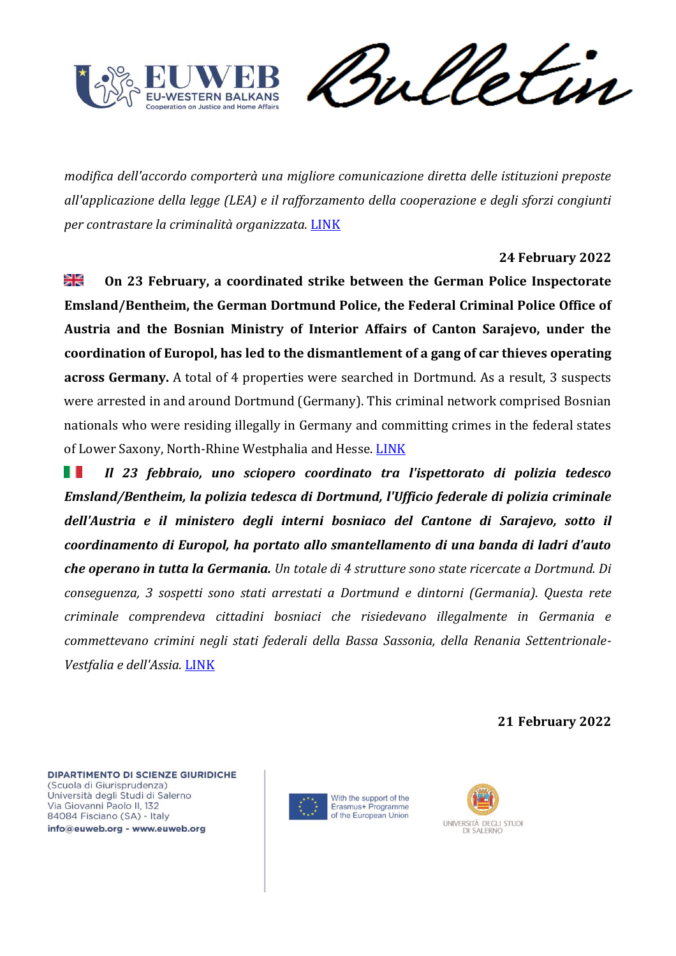

Sulletin

*modifica dell'accordo comporterà una migliore comunicazione diretta delle istituzioni preposte all'applicazione della legge (LEA) e il rafforzamento della cooperazione e degli sforzi congiunti per contrastare la criminalità organizzata.* [LINK](https://cscwb.info/2022/03/17/albanian-and-kosovar-ministries-of-justice/)

## **24 February 2022**

≱≼ **On 23 February, a coordinated strike between the German Police Inspectorate Emsland/Bentheim, the German Dortmund Police, the Federal Criminal Police Office of Austria and the Bosnian Ministry of Interior Affairs of Canton Sarajevo, under the coordination of Europol, has led to the dismantlement of a gang of car thieves operating across Germany.** A total of 4 properties were searched in Dortmund. As a result, 3 suspects were arrested in and around Dortmund (Germany). This criminal network comprised Bosnian nationals who were residing illegally in Germany and committing crimes in the federal states of Lower Saxony, North-Rhine Westphalia and Hesse. [LINK](https://cscwb.info/2022/02/24/arrest-in-germany-of-3-suspects-involved-in-theft-of-eur-1-5-million-worth-of-vehicles/)

ш *Il 23 febbraio, uno sciopero coordinato tra l'ispettorato di polizia tedesco Emsland/Bentheim, la polizia tedesca di Dortmund, l'Ufficio federale di polizia criminale dell'Austria e il ministero degli interni bosniaco del Cantone di Sarajevo, sotto il coordinamento di Europol, ha portato allo smantellamento di una banda di ladri d'auto che operano in tutta la Germania. Un totale di 4 strutture sono state ricercate a Dortmund. Di conseguenza, 3 sospetti sono stati arrestati a Dortmund e dintorni (Germania). Questa rete criminale comprendeva cittadini bosniaci che risiedevano illegalmente in Germania e commettevano crimini negli stati federali della Bassa Sassonia, della Renania Settentrionale-Vestfalia e dell'Assia.* [LINK](https://cscwb.info/2022/02/24/arrest-in-germany-of-3-suspects-involved-in-theft-of-eur-1-5-million-worth-of-vehicles/)

**21 February 2022**



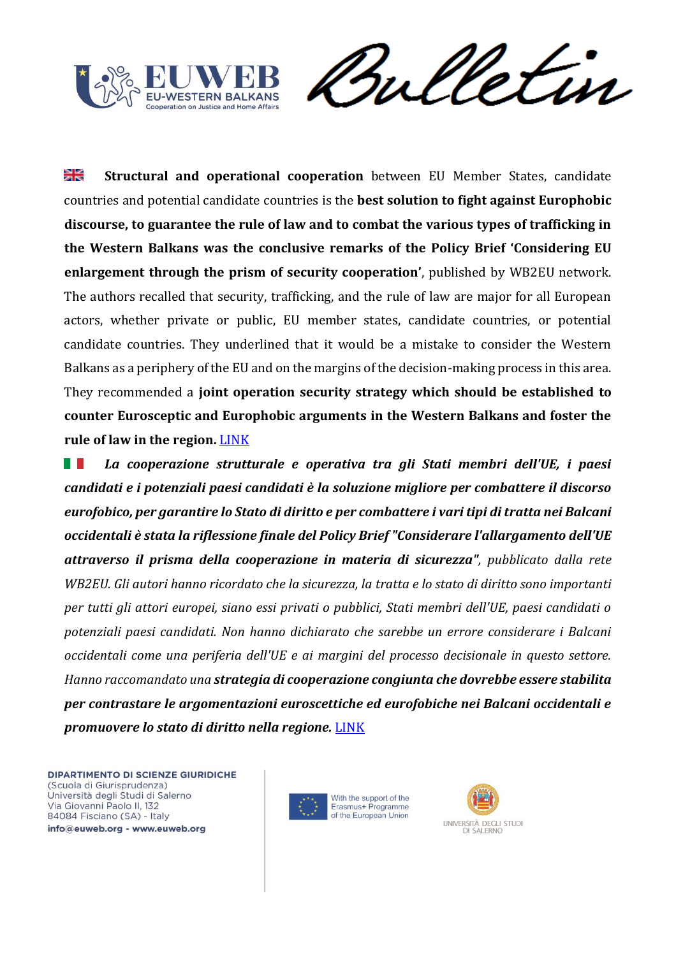

Sulletin

≥k **Structural and operational cooperation** between EU Member States, candidate countries and potential candidate countries is the **best solution to fight against Europhobic discourse, to guarantee the rule of law and to combat the various types of trafficking in the Western Balkans was the conclusive remarks of the Policy Brief 'Considering EU enlargement through the prism of security cooperation'**, published by WB2EU network. The authors recalled that security, trafficking, and the rule of law are major for all European actors, whether private or public, EU member states, candidate countries, or potential candidate countries. They underlined that it would be a mistake to consider the Western Balkans as a periphery of the EU and on the margins of the decision-making process in this area. They recommended a **joint operation security strategy which should be established to counter Eurosceptic and Europhobic arguments in the Western Balkans and foster the rule of law in the region.** [LINK](https://europeanwesternbalkans.com/2022/02/21/policy-brief-the-lack-of-security-on-the-continent-driving-force-for-eurosceptic/)

*La cooperazione strutturale e operativa tra gli Stati membri dell'UE, i paesi*  H. *candidati e i potenziali paesi candidati è la soluzione migliore per combattere il discorso eurofobico, per garantire lo Stato di diritto e per combattere i vari tipi di tratta nei Balcani occidentali è stata la riflessione finale del Policy Brief "Considerare l'allargamento dell'UE attraverso il prisma della cooperazione in materia di sicurezza", pubblicato dalla rete WB2EU. Gli autori hanno ricordato che la sicurezza, la tratta e lo stato di diritto sono importanti per tutti gli attori europei, siano essi privati o pubblici, Stati membri dell'UE, paesi candidati o potenziali paesi candidati. Non hanno dichiarato che sarebbe un errore considerare i Balcani occidentali come una periferia dell'UE e ai margini del processo decisionale in questo settore. Hanno raccomandato una strategia di cooperazione congiunta che dovrebbe essere stabilita per contrastare le argomentazioni euroscettiche ed eurofobiche nei Balcani occidentali e promuovere lo stato di diritto nella regione.* [LINK](https://europeanwesternbalkans.com/2022/02/21/policy-brief-the-lack-of-security-on-the-continent-driving-force-for-eurosceptic/)



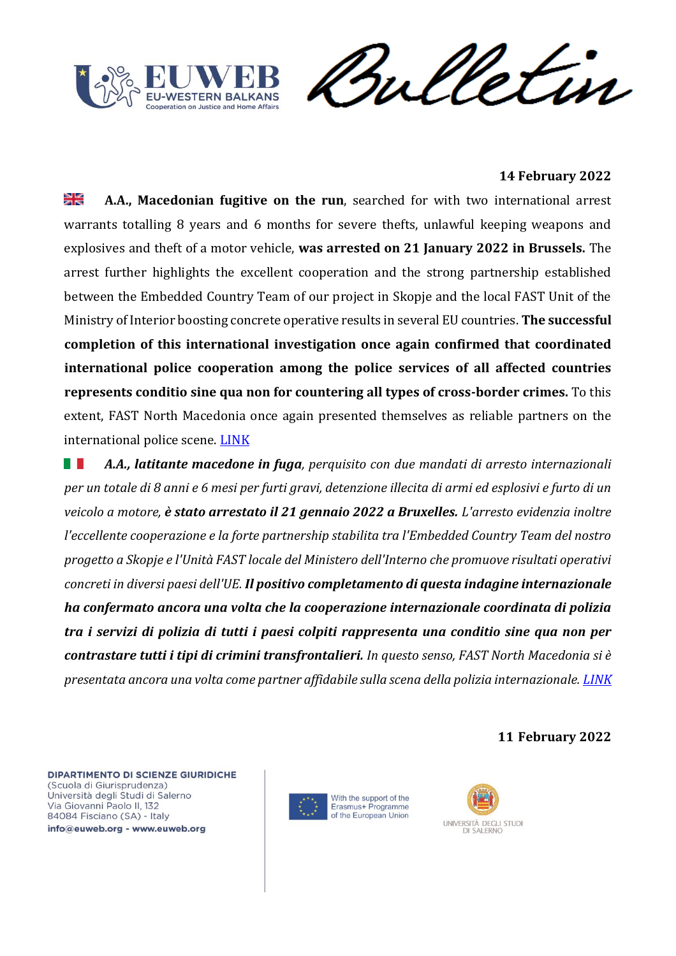



## **14 February 2022**

≱≼ **A.A., Macedonian fugitive on the run**, searched for with two international arrest warrants totalling 8 years and 6 months for severe thefts, unlawful keeping weapons and explosives and theft of a motor vehicle, **was arrested on 21 January 2022 in Brussels.** The arrest further highlights the excellent cooperation and the strong partnership established between the Embedded Country Team of our project in Skopje and the local FAST Unit of the Ministry of Interior boosting concrete operative results in several EU countries. **The successful completion of this international investigation once again confirmed that coordinated international police cooperation among the police services of all affected countries represents conditio sine qua non for countering all types of cross-border crimes.** To this extent, FAST North Macedonia once again presented themselves as reliable partners on the international police scene. [LINK](https://cscwb.info/2022/02/14/high-profile-macedonian-fugitive-arrested-in-belgium/)

*A.A., latitante macedone in fuga, perquisito con due mandati di arresto internazionali*  H. *per un totale di 8 anni e 6 mesi per furti gravi, detenzione illecita di armi ed esplosivi e furto di un veicolo a motore, è stato arrestato il 21 gennaio 2022 a Bruxelles. L'arresto evidenzia inoltre l'eccellente cooperazione e la forte partnership stabilita tra l'Embedded Country Team del nostro progetto a Skopje e l'Unità FAST locale del Ministero dell'Interno che promuove risultati operativi concreti in diversi paesi dell'UE. Il positivo completamento di questa indagine internazionale ha confermato ancora una volta che la cooperazione internazionale coordinata di polizia tra i servizi di polizia di tutti i paesi colpiti rappresenta una conditio sine qua non per contrastare tutti i tipi di crimini transfrontalieri. In questo senso, FAST North Macedonia si è presentata ancora una volta come partner affidabile sulla scena della polizia internazionale. [LINK](https://cscwb.info/2022/02/14/high-profile-macedonian-fugitive-arrested-in-belgium/)*

**11 February 2022**



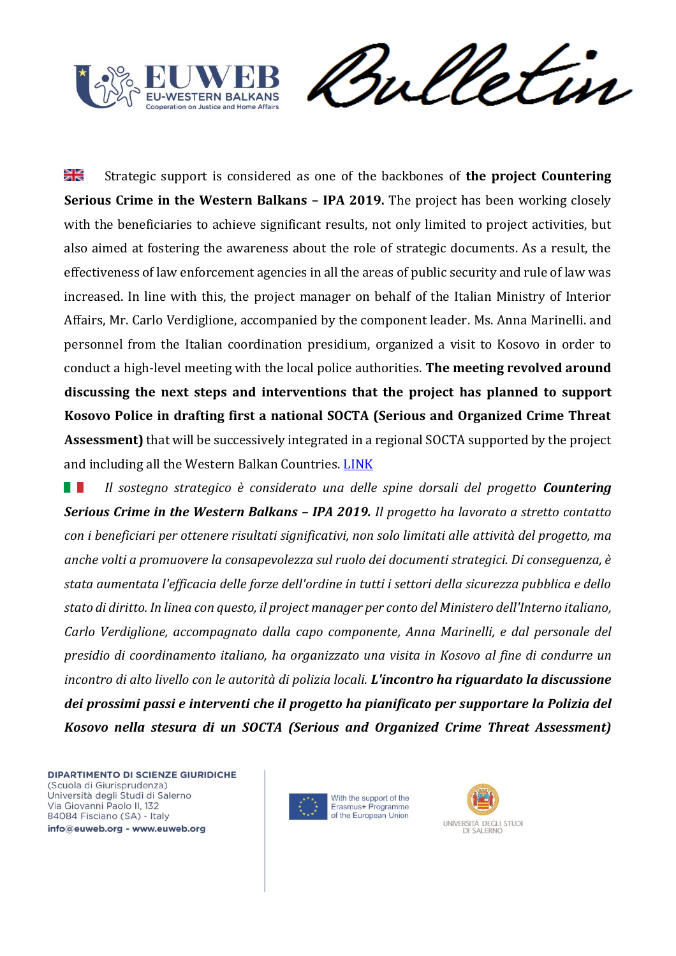



꼭 Strategic support is considered as one of the backbones of **the project Countering Serious Crime in the Western Balkans – IPA 2019.** The project has been working closely with the beneficiaries to achieve significant results, not only limited to project activities, but also aimed at fostering the awareness about the role of strategic documents. As a result, the effectiveness of law enforcement agencies in all the areas of public security and rule of law was increased. In line with this, the project manager on behalf of the Italian Ministry of Interior Affairs, Mr. Carlo Verdiglione, accompanied by the component leader. Ms. Anna Marinelli. and personnel from the Italian coordination presidium, organized a visit to Kosovo in order to conduct a high-level meeting with the local police authorities. **The meeting revolved around discussing the next steps and interventions that the project has planned to support Kosovo Police in drafting first a national SOCTA (Serious and Organized Crime Threat Assessment)** that will be successively integrated in a regional SOCTA supported by the project and including all the Western Balkan Countries. [LINK](https://cscwb.info/2022/02/11/using-strategic-pillar-as-a-mean-of-fighting-serious-and-organized-crime/)

n e s *Il sostegno strategico è considerato una delle spine dorsali del progetto Countering Serious Crime in the Western Balkans – IPA 2019. Il progetto ha lavorato a stretto contatto con i beneficiari per ottenere risultati significativi, non solo limitati alle attività del progetto, ma anche volti a promuovere la consapevolezza sul ruolo dei documenti strategici. Di conseguenza, è stata aumentata l'efficacia delle forze dell'ordine in tutti i settori della sicurezza pubblica e dello stato di diritto. In linea con questo, il project manager per conto del Ministero dell'Interno italiano, Carlo Verdiglione, accompagnato dalla capo componente, Anna Marinelli, e dal personale del presidio di coordinamento italiano, ha organizzato una visita in Kosovo al fine di condurre un incontro di alto livello con le autorità di polizia locali. L'incontro ha riguardato la discussione dei prossimi passi e interventi che il progetto ha pianificato per supportare la Polizia del Kosovo nella stesura di un SOCTA (Serious and Organized Crime Threat Assessment)* 



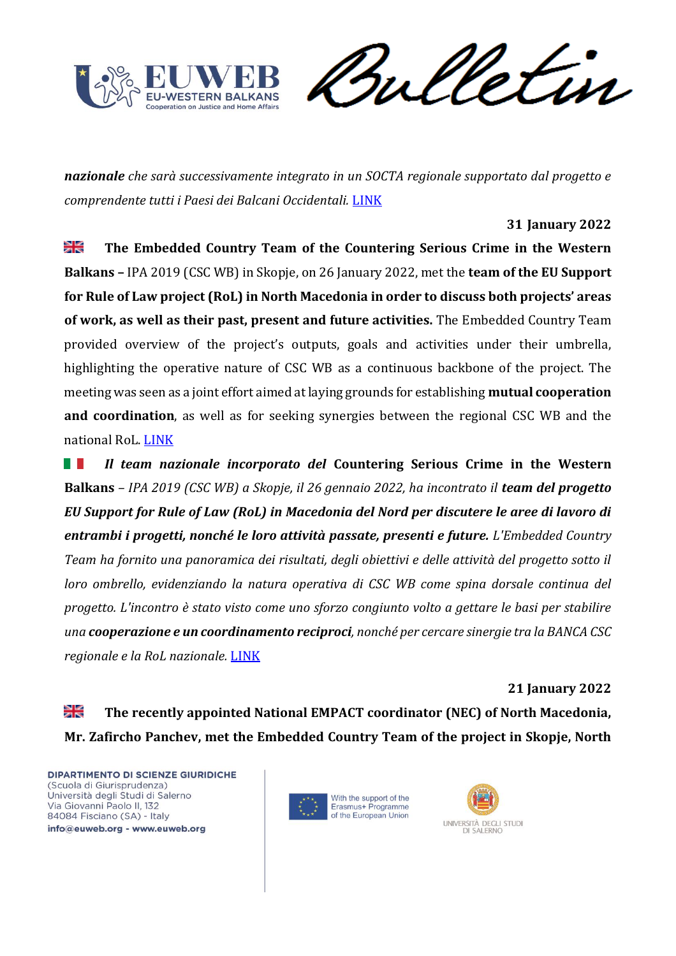

Sulletin

*nazionale che sarà successivamente integrato in un SOCTA regionale supportato dal progetto e comprendente tutti i Paesi dei Balcani Occidentali.* [LINK](https://cscwb.info/2022/02/11/using-strategic-pillar-as-a-mean-of-fighting-serious-and-organized-crime/)

## **31 January 2022**

꾉 **The Embedded Country Team of the Countering Serious Crime in the Western Balkans –** IPA 2019 (CSC WB) in Skopje, on 26 January 2022, met the **team of the EU Support for Rule of Law project (RoL) in North Macedonia in order to discuss both projects' areas of work, as well as their past, present and future activities.** The Embedded Country Team provided overview of the project's outputs, goals and activities under their umbrella, highlighting the operative nature of CSC WB as a continuous backbone of the project. The meeting was seen as a joint effort aimed at laying grounds for establishing **mutual cooperation and coordination**, as well as for seeking synergies between the regional CSC WB and the national RoL. [LINK](https://cscwb.info/2022/01/31/csc-wb-meets-eu-support-for-rule-of-law-project-and-the-public-prosecutor-of-north-macedonia/)

*Il team nazionale incorporato del* **Countering Serious Crime in the Western TELEVISION Balkans** *– IPA 2019 (CSC WB) a Skopje, il 26 gennaio 2022, ha incontrato il team del progetto EU Support for Rule of Law (RoL) in Macedonia del Nord per discutere le aree di lavoro di entrambi i progetti, nonché le loro attività passate, presenti e future. L'Embedded Country Team ha fornito una panoramica dei risultati, degli obiettivi e delle attività del progetto sotto il loro ombrello, evidenziando la natura operativa di CSC WB come spina dorsale continua del progetto. L'incontro è stato visto come uno sforzo congiunto volto a gettare le basi per stabilire una cooperazione e un coordinamento reciproci, nonché per cercare sinergie tra la BANCA CSC regionale e la RoL nazionale.* [LINK](https://cscwb.info/2022/01/31/csc-wb-meets-eu-support-for-rule-of-law-project-and-the-public-prosecutor-of-north-macedonia/)

**21 January 2022**

≱≼ **The recently appointed National EMPACT coordinator (NEC) of North Macedonia, Mr. Zafircho Panchev, met the Embedded Country Team of the project in Skopje, North** 



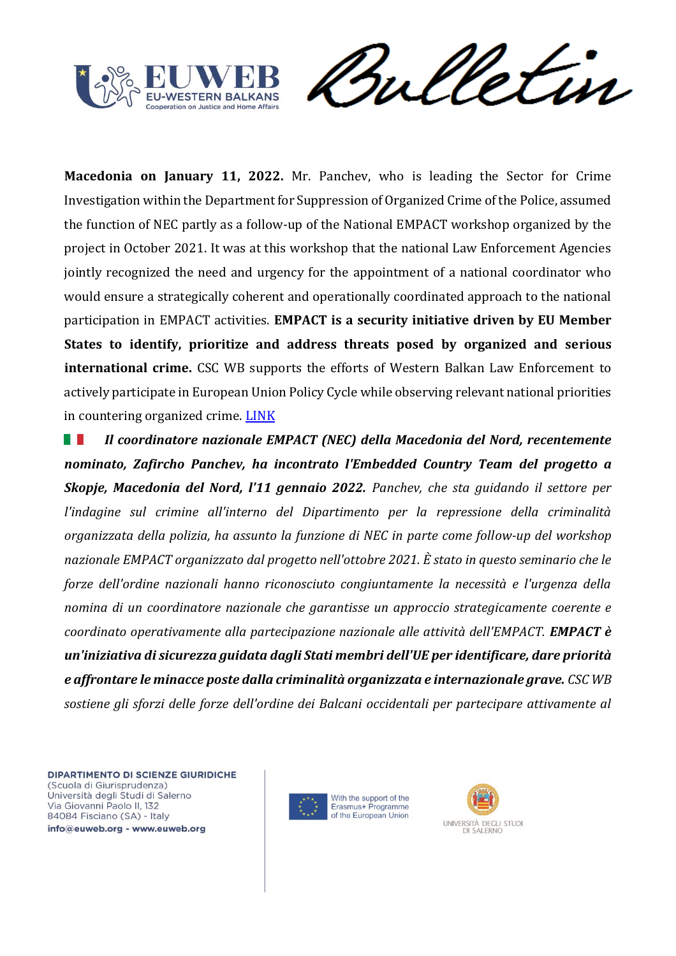



**Macedonia on January 11, 2022.** Mr. Panchev, who is leading the Sector for Crime Investigation within the Department for Suppression of Organized Crime of the Police, assumed the function of NEC partly as a follow-up of the National EMPACT workshop organized by the project in October 2021. It was at this workshop that the national Law Enforcement Agencies jointly recognized the need and urgency for the appointment of a national coordinator who would ensure a strategically coherent and operationally coordinated approach to the national participation in EMPACT activities. **EMPACT is a security initiative driven by EU Member States to identify, prioritize and address threats posed by organized and serious international crime.** CSC WB supports the efforts of Western Balkan Law Enforcement to actively participate in European Union Policy Cycle while observing relevant national priorities in countering organized crime. [LINK](https://cscwb.info/2022/01/21/macedonian-empact-coordinator-and-csc-wb-project-pave-the-way-for-future-cooperation/)

N. *Il coordinatore nazionale EMPACT (NEC) della Macedonia del Nord, recentemente nominato, Zafircho Panchev, ha incontrato l'Embedded Country Team del progetto a Skopje, Macedonia del Nord, l'11 gennaio 2022. Panchev, che sta guidando il settore per l'indagine sul crimine all'interno del Dipartimento per la repressione della criminalità organizzata della polizia, ha assunto la funzione di NEC in parte come follow-up del workshop nazionale EMPACT organizzato dal progetto nell'ottobre 2021. È stato in questo seminario che le forze dell'ordine nazionali hanno riconosciuto congiuntamente la necessità e l'urgenza della nomina di un coordinatore nazionale che garantisse un approccio strategicamente coerente e coordinato operativamente alla partecipazione nazionale alle attività dell'EMPACT. EMPACT è un'iniziativa di sicurezza guidata dagli Stati membri dell'UE per identificare, dare priorità e affrontare le minacce poste dalla criminalità organizzata e internazionale grave. CSC WB sostiene gli sforzi delle forze dell'ordine dei Balcani occidentali per partecipare attivamente al* 

DIPARTIMENTO DI SCIENZE GIURIDICHE (Scuola di Giurisprudenza) Università degli Studi di Salerno Via Giovanni Paolo II, 132 84084 Fisciano (SA) - Italy info@euweb.org - www.euweb.org

With the support of the Erasmus+ Programme of the European Union

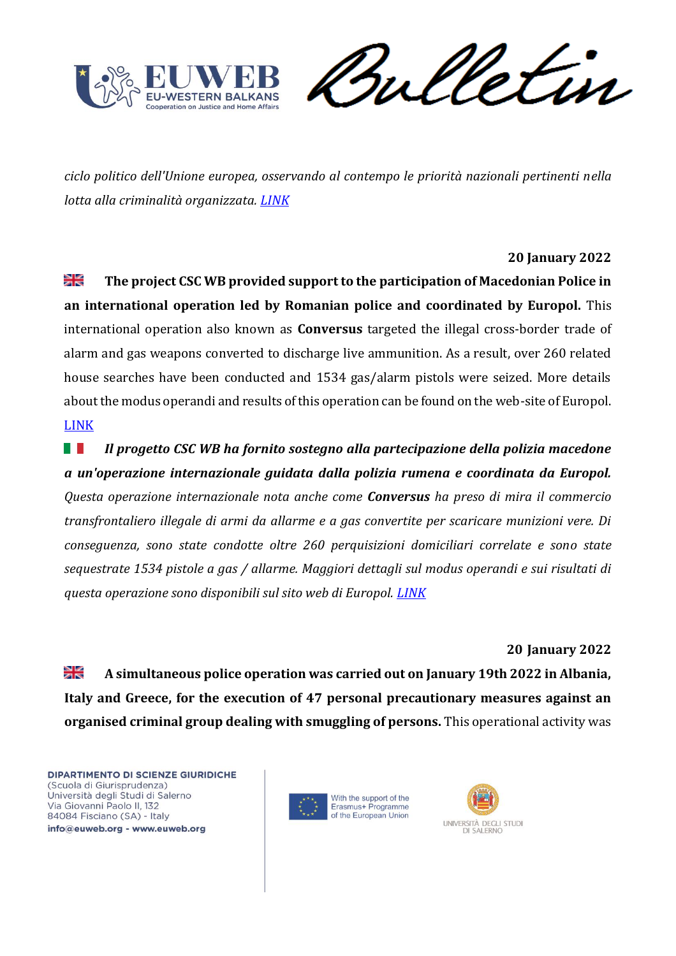

Julletin

*ciclo politico dell'Unione europea, osservando al contempo le priorità nazionali pertinenti nella lotta alla criminalità organizzata. [LINK](https://cscwb.info/2022/01/21/macedonian-empact-coordinator-and-csc-wb-project-pave-the-way-for-future-cooperation/)*

# **20 January 2022**

≱≼ **The project CSC WB provided support to the participation of Macedonian Police in an international operation led by Romanian police and coordinated by Europol.** This international operation also known as **Conversus** targeted the illegal cross-border trade of alarm and gas weapons converted to discharge live ammunition. As a result, over 260 related house searches have been conducted and 1534 gas/alarm pistols were seized. More details about the modus operandi and results of this operation can be found on the web-site of Europol. [LINK](https://cscwb.info/2022/01/20/csc-wb-contributes-to-seizure-of-1530-firearms/)

**TELEVISION** *Il progetto CSC WB ha fornito sostegno alla partecipazione della polizia macedone a un'operazione internazionale guidata dalla polizia rumena e coordinata da Europol. Questa operazione internazionale nota anche come Conversus ha preso di mira il commercio transfrontaliero illegale di armi da allarme e a gas convertite per scaricare munizioni vere. Di conseguenza, sono state condotte oltre 260 perquisizioni domiciliari correlate e sono state sequestrate 1534 pistole a gas / allarme. Maggiori dettagli sul modus operandi e sui risultati di questa operazione sono disponibili sul sito web di Europol. [LINK](https://cscwb.info/2022/01/20/csc-wb-contributes-to-seizure-of-1530-firearms/)*

**20 January 2022**

≱≼ **A simultaneous police operation was carried out on January 19th 2022 in Albania, Italy and Greece, for the execution of 47 personal precautionary measures against an organised criminal group dealing with smuggling of persons.** This operational activity was



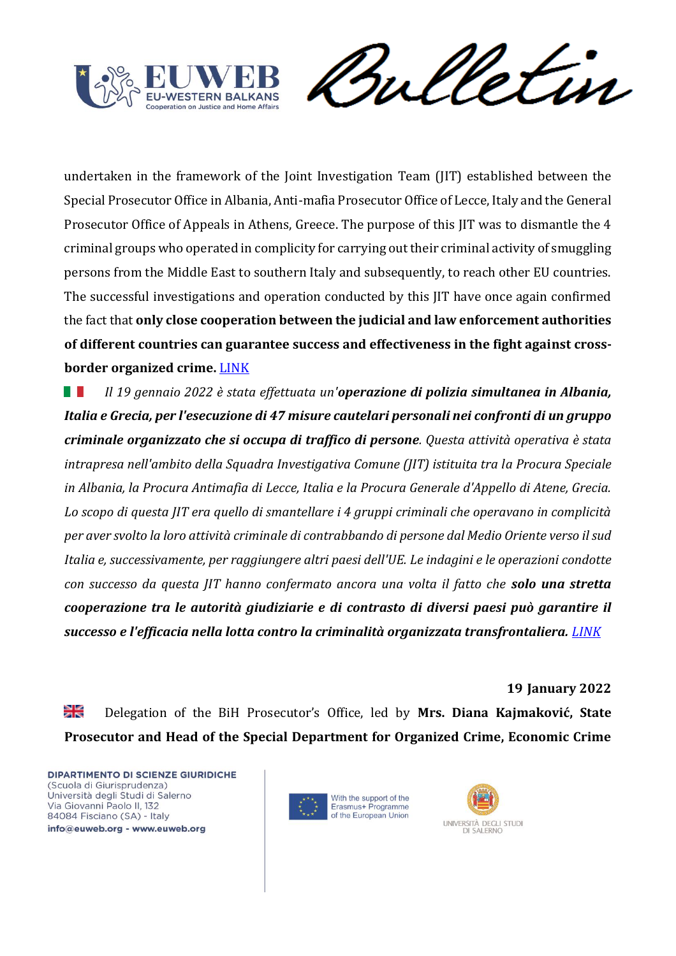

meletin

undertaken in the framework of the Joint Investigation Team (JIT) established between the Special Prosecutor Office in Albania, Anti-mafia Prosecutor Office of Lecce, Italy and the General Prosecutor Office of Appeals in Athens, Greece. The purpose of this JIT was to dismantle the 4 criminal groups who operated in complicity for carrying out their criminal activity of smuggling persons from the Middle East to southern Italy and subsequently, to reach other EU countries. The successful investigations and operation conducted by this JIT have once again confirmed the fact that **only close cooperation between the judicial and law enforcement authorities of different countries can guarantee success and effectiveness in the fight against crossborder organized crime.** [LINK](https://cscwb.info/2022/01/20/a-successful-joint-operation-leads-to-the-arrest-of-25-people-in-albania/)

*Il 19 gennaio 2022 è stata effettuata un'operazione di polizia simultanea in Albania,*  N T *Italia e Grecia, per l'esecuzione di 47 misure cautelari personali nei confronti di un gruppo criminale organizzato che si occupa di traffico di persone. Questa attività operativa è stata intrapresa nell'ambito della Squadra Investigativa Comune (JIT) istituita tra la Procura Speciale in Albania, la Procura Antimafia di Lecce, Italia e la Procura Generale d'Appello di Atene, Grecia. Lo scopo di questa JIT era quello di smantellare i 4 gruppi criminali che operavano in complicità per aver svolto la loro attività criminale di contrabbando di persone dal Medio Oriente verso il sud Italia e, successivamente, per raggiungere altri paesi dell'UE. Le indagini e le operazioni condotte con successo da questa JIT hanno confermato ancora una volta il fatto che solo una stretta cooperazione tra le autorità giudiziarie e di contrasto di diversi paesi può garantire il successo e l'efficacia nella lotta contro la criminalità organizzata transfrontaliera. [LINK](https://cscwb.info/2022/01/20/a-successful-joint-operation-leads-to-the-arrest-of-25-people-in-albania/)*

**19 January 2022**

≱≼ Delegation of the BiH Prosecutor's Office, led by **Mrs. Diana Kajmaković, State Prosecutor and Head of the Special Department for Organized Crime, Economic Crime** 



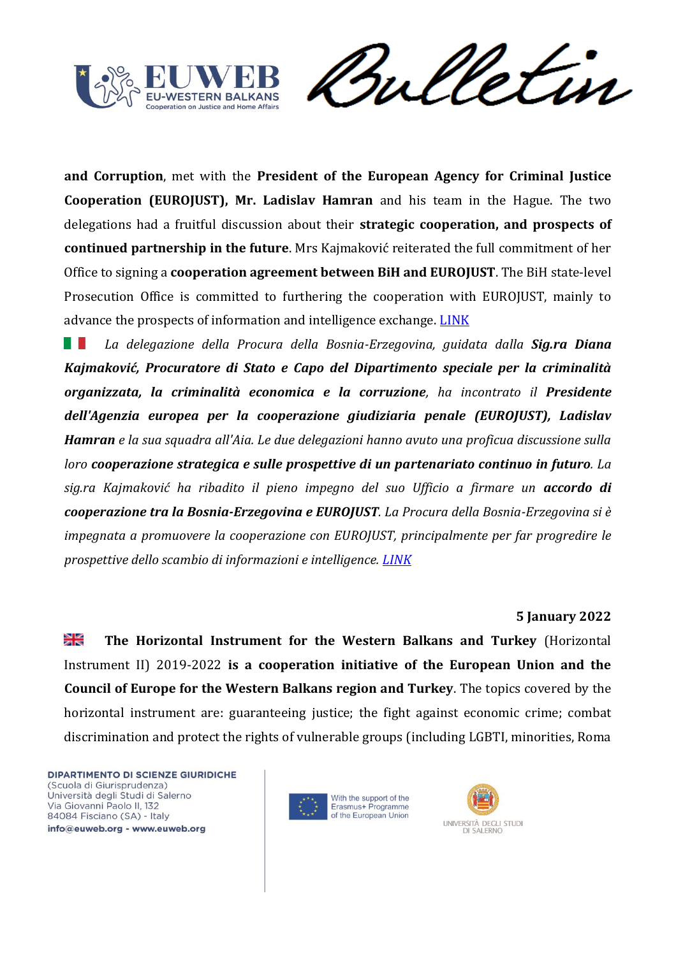![](_page_16_Picture_0.jpeg)

Vetun rul

**and Corruption**, met with the **President of the European Agency for Criminal Justice Cooperation (EUROJUST), Mr. Ladislav Hamran** and his team in the Hague. The two delegations had a fruitful discussion about their **strategic cooperation, and prospects of continued partnership in the future**. Mrs Kajmaković reiterated the full commitment of her Office to signing a **cooperation agreement between BiH and EUROJUST**. The BiH state-level Prosecution Office is committed to furthering the cooperation with EUROJUST, mainly to advance the prospects of information and intelligence exchange. [LINK](https://cscwb.info/2022/01/19/bih-delegation-meets-with-the-president-of-eurojust-2/)

n an *La delegazione della Procura della Bosnia-Erzegovina, guidata dalla Sig.ra Diana Kajmaković, Procuratore di Stato e Capo del Dipartimento speciale per la criminalità organizzata, la criminalità economica e la corruzione, ha incontrato il Presidente dell'Agenzia europea per la cooperazione giudiziaria penale (EUROJUST), Ladislav Hamran e la sua squadra all'Aia. Le due delegazioni hanno avuto una proficua discussione sulla loro cooperazione strategica e sulle prospettive di un partenariato continuo in futuro. La sig.ra Kajmaković ha ribadito il pieno impegno del suo Ufficio a firmare un accordo di cooperazione tra la Bosnia-Erzegovina e EUROJUST. La Procura della Bosnia-Erzegovina si è impegnata a promuovere la cooperazione con EUROJUST, principalmente per far progredire le prospettive dello scambio di informazioni e intelligence. [LINK](https://cscwb.info/2022/01/19/bih-delegation-meets-with-the-president-of-eurojust-2/)*

## **5 January 2022**

≱≼ **The Horizontal Instrument for the Western Balkans and Turkey** (Horizontal Instrument II) 2019-2022 **is a cooperation initiative of the European Union and the Council of Europe for the Western Balkans region and Turkey**. The topics covered by the horizontal instrument are: guaranteeing justice; the fight against economic crime; combat discrimination and protect the rights of vulnerable groups (including LGBTI, minorities, Roma

![](_page_16_Picture_7.jpeg)

![](_page_16_Picture_8.jpeg)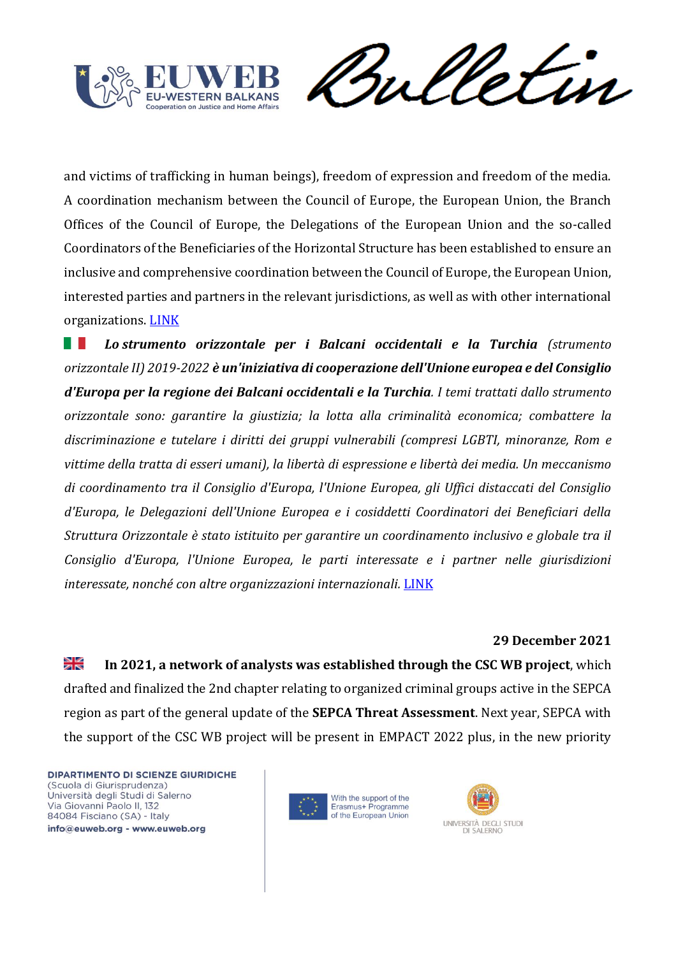![](_page_17_Picture_0.jpeg)

Sulletin

and victims of trafficking in human beings), freedom of expression and freedom of the media. A coordination mechanism between the Council of Europe, the European Union, the Branch Offices of the Council of Europe, the Delegations of the European Union and the so-called Coordinators of the Beneficiaries of the Horizontal Structure has been established to ensure an inclusive and comprehensive coordination between the Council of Europe, the European Union, interested parties and partners in the relevant jurisdictions, as well as with other international organizations. [LINK](https://pjp-eu.coe.int/en/web/horizontal-facility/home#42182767_42174148_True)

n an *Lo strumento orizzontale per i Balcani occidentali e la Turchia (strumento orizzontale II) 2019-2022 è un'iniziativa di cooperazione dell'Unione europea e del Consiglio d'Europa per la regione dei Balcani occidentali e la Turchia. I temi trattati dallo strumento orizzontale sono: garantire la giustizia; la lotta alla criminalità economica; combattere la discriminazione e tutelare i diritti dei gruppi vulnerabili (compresi LGBTI, minoranze, Rom e vittime della tratta di esseri umani), la libertà di espressione e libertà dei media. Un meccanismo di coordinamento tra il Consiglio d'Europa, l'Unione Europea, gli Uffici distaccati del Consiglio d'Europa, le Delegazioni dell'Unione Europea e i cosiddetti Coordinatori dei Beneficiari della Struttura Orizzontale è stato istituito per garantire un coordinamento inclusivo e globale tra il Consiglio d'Europa, l'Unione Europea, le parti interessate e i partner nelle giurisdizioni interessate, nonché con altre organizzazioni internazionali.* [LINK](https://pjp-eu.coe.int/en/web/horizontal-facility/home#42182767_42174148_True)

#### **29 December 2021**

≱ছ **In 2021, a network of analysts was established through the CSC WB project**, which drafted and finalized the 2nd chapter relating to organized criminal groups active in the SEPCA region as part of the general update of the **SEPCA Threat Assessment**. Next year, SEPCA with the support of the CSC WB project will be present in EMPACT 2022 plus, in the new priority

![](_page_17_Picture_7.jpeg)

![](_page_17_Picture_8.jpeg)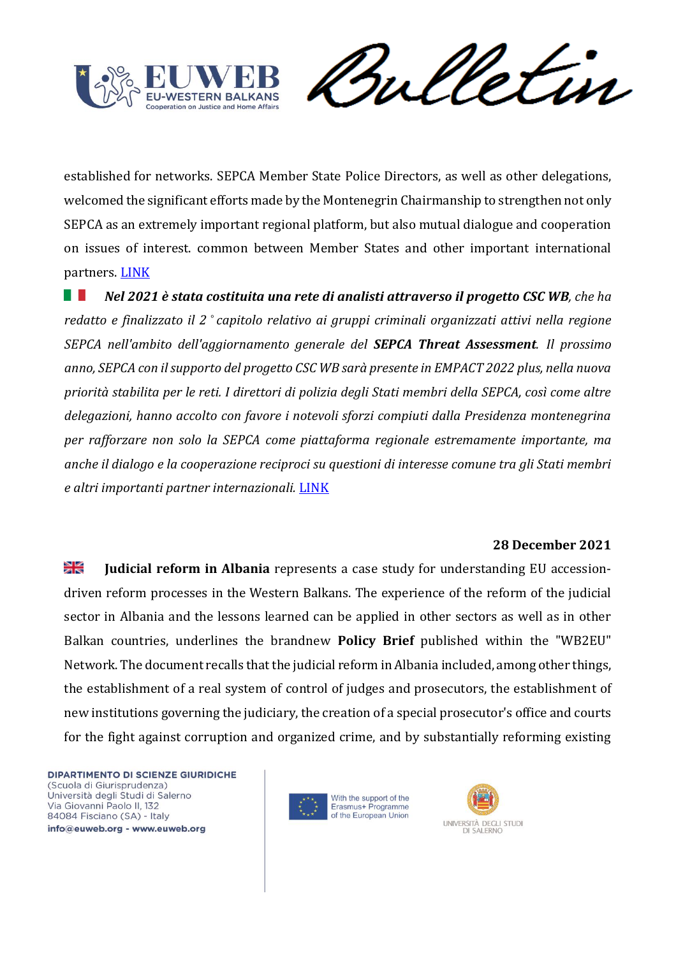![](_page_18_Picture_0.jpeg)

Vetin rul

established for networks. SEPCA Member State Police Directors, as well as other delegations, welcomed the significant efforts made by the Montenegrin Chairmanship to strengthen not only SEPCA as an extremely important regional platform, but also mutual dialogue and cooperation on issues of interest. common between Member States and other important international partners. [LINK](https://cscwb.info/2021/12/29/sepca-2nd-general-assembly-strenghtening-the-cooperation-between-csc-wb-and-sepca/)

*Nel 2021 è stata costituita una rete di analisti attraverso il progetto CSC WB, che ha*  n an *redatto e finalizzato il 2 ° capitolo relativo ai gruppi criminali organizzati attivi nella regione SEPCA nell'ambito dell'aggiornamento generale del SEPCA Threat Assessment. Il prossimo anno, SEPCA con il supporto del progetto CSC WB sarà presente in EMPACT 2022 plus, nella nuova priorità stabilita per le reti. I direttori di polizia degli Stati membri della SEPCA, così come altre delegazioni, hanno accolto con favore i notevoli sforzi compiuti dalla Presidenza montenegrina per rafforzare non solo la SEPCA come piattaforma regionale estremamente importante, ma anche il dialogo e la cooperazione reciproci su questioni di interesse comune tra gli Stati membri e altri importanti partner internazionali.* [LINK](https://cscwb.info/2021/12/29/sepca-2nd-general-assembly-strenghtening-the-cooperation-between-csc-wb-and-sepca/)

#### **28 December 2021**

꼭€ **Judicial reform in Albania** represents a case study for understanding EU accessiondriven reform processes in the Western Balkans. The experience of the reform of the judicial sector in Albania and the lessons learned can be applied in other sectors as well as in other Balkan countries, underlines the brandnew **Policy Brief** published within the "WB2EU" Network. The document recalls that the judicial reform in Albania included, among other things, the establishment of a real system of control of judges and prosecutors, the establishment of new institutions governing the judiciary, the creation of a special prosecutor's office and courts for the fight against corruption and organized crime, and by substantially reforming existing

![](_page_18_Picture_7.jpeg)

![](_page_18_Picture_8.jpeg)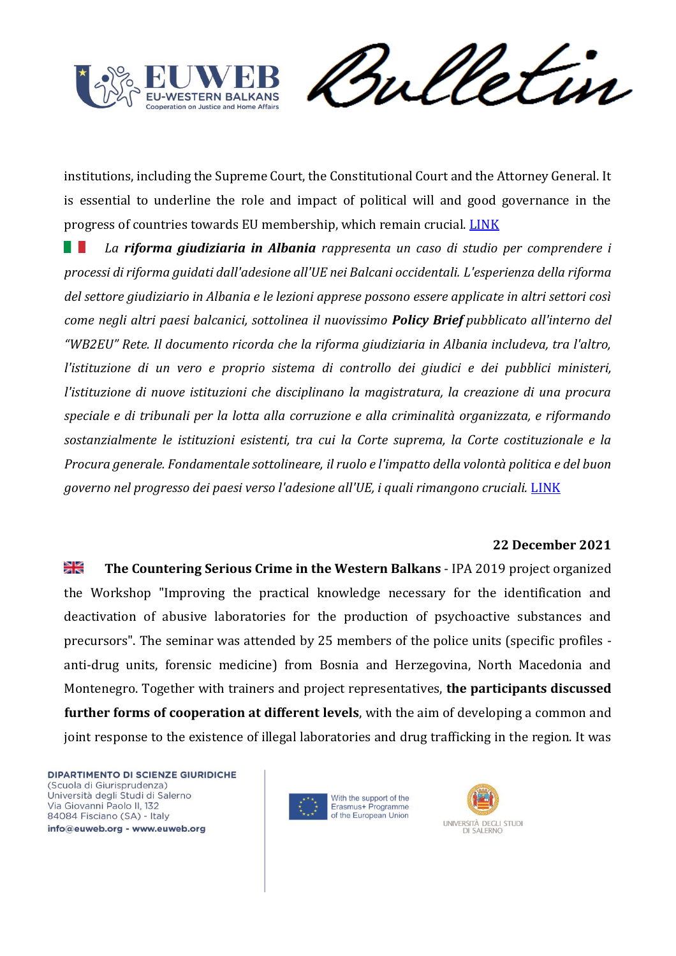![](_page_19_Picture_0.jpeg)

Vetin rul

institutions, including the Supreme Court, the Constitutional Court and the Attorney General. It is essential to underline the role and impact of political will and good governance in the progress of countries towards EU membership, which remain crucial. [LINK](https://europeanwesternbalkans.com/2021/12/28/policy-brief-the-lessons-of-the-justice-reform-in-albania-can-be-applied-to-other-wb-countries/)

*La riforma giudiziaria in Albania rappresenta un caso di studio per comprendere i processi di riforma guidati dall'adesione all'UE nei Balcani occidentali. L'esperienza della riforma del settore giudiziario in Albania e le lezioni apprese possono essere applicate in altri settori così come negli altri paesi balcanici, sottolinea il nuovissimo Policy Brief pubblicato all'interno del "WB2EU" Rete. Il documento ricorda che la riforma giudiziaria in Albania includeva, tra l'altro, l'istituzione di un vero e proprio sistema di controllo dei giudici e dei pubblici ministeri, l'istituzione di nuove istituzioni che disciplinano la magistratura, la creazione di una procura speciale e di tribunali per la lotta alla corruzione e alla criminalità organizzata, e riformando sostanzialmente le istituzioni esistenti, tra cui la Corte suprema, la Corte costituzionale e la Procura generale. Fondamentale sottolineare, il ruolo e l'impatto della volontà politica e del buon governo nel progresso dei paesi verso l'adesione all'UE, i quali rimangono cruciali.* [LINK](https://europeanwesternbalkans.com/2021/12/28/policy-brief-the-lessons-of-the-justice-reform-in-albania-can-be-applied-to-other-wb-countries/)

#### **22 December 2021**

꼭€ **The Countering Serious Crime in the Western Balkans** - IPA 2019 project organized the Workshop "Improving the practical knowledge necessary for the identification and deactivation of abusive laboratories for the production of psychoactive substances and precursors". The seminar was attended by 25 members of the police units (specific profiles anti-drug units, forensic medicine) from Bosnia and Herzegovina, North Macedonia and Montenegro. Together with trainers and project representatives, **the participants discussed further forms of cooperation at different levels**, with the aim of developing a common and joint response to the existence of illegal laboratories and drug trafficking in the region. It was

![](_page_19_Picture_7.jpeg)

![](_page_19_Picture_8.jpeg)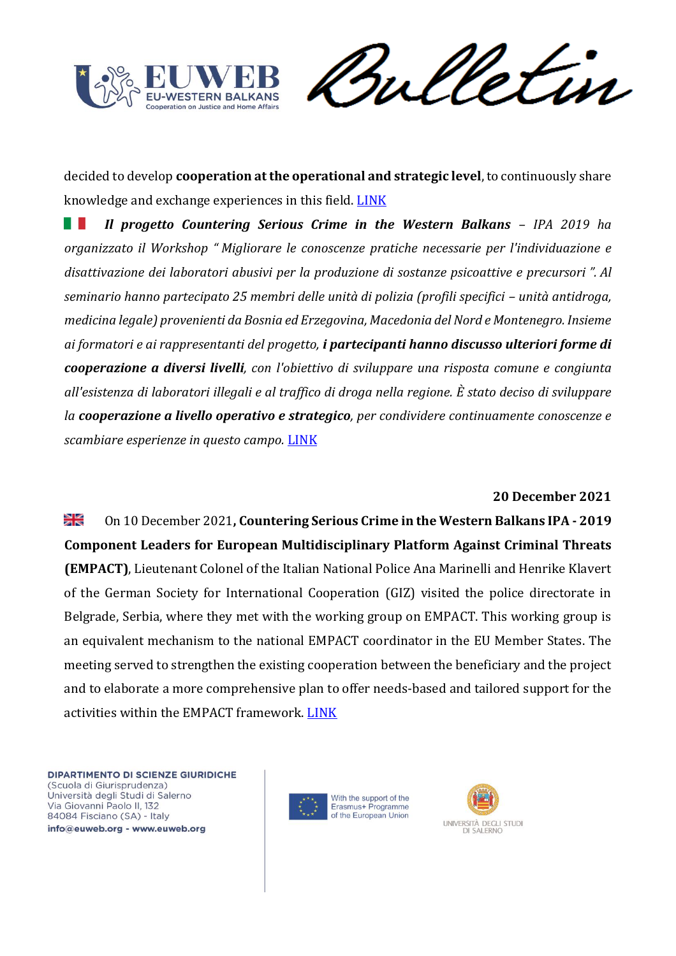![](_page_20_Picture_0.jpeg)

Sulletin

decided to develop **cooperation at the operational and strategic level**, to continuously share knowledge and exchange experiences in this field. [LINK](https://cscwb.info/2021/12/22/workshop-detection-and-deactivation-of-illegal-laboratories/)

*Il progetto Countering Serious Crime in the Western Balkans – IPA 2019 ha*  H *organizzato il Workshop " Migliorare le conoscenze pratiche necessarie per l'individuazione e disattivazione dei laboratori abusivi per la produzione di sostanze psicoattive e precursori ". Al seminario hanno partecipato 25 membri delle unità di polizia (profili specifici – unità antidroga, medicina legale) provenienti da Bosnia ed Erzegovina, Macedonia del Nord e Montenegro. Insieme ai formatori e ai rappresentanti del progetto, i partecipanti hanno discusso ulteriori forme di cooperazione a diversi livelli, con l'obiettivo di sviluppare una risposta comune e congiunta all'esistenza di laboratori illegali e al traffico di droga nella regione. È stato deciso di sviluppare la cooperazione a livello operativo e strategico, per condividere continuamente conoscenze e scambiare esperienze in questo campo.* [LINK](https://cscwb.info/2021/12/22/workshop-detection-and-deactivation-of-illegal-laboratories/)

#### **20 December 2021**

꾉 On 10 December 2021**, Countering Serious Crime in the Western Balkans IPA - 2019 Component Leaders for European Multidisciplinary Platform Against Criminal Threats (EMPACT)**, Lieutenant Colonel of the Italian National Police Ana Marinelli and Henrike Klavert of the German Society for International Cooperation (GIZ) visited the police directorate in Belgrade, Serbia, where they met with the working group on EMPACT. This working group is an equivalent mechanism to the national EMPACT coordinator in the EU Member States. The meeting served to strengthen the existing cooperation between the beneficiary and the project and to elaborate a more comprehensive plan to offer needs-based and tailored support for the activities within the EMPACT framework. [LINK](https://cscwb.info/2021/12/20/empact-serbia-tailor-made-support-by-csc-wb/)

![](_page_20_Picture_7.jpeg)

![](_page_20_Picture_8.jpeg)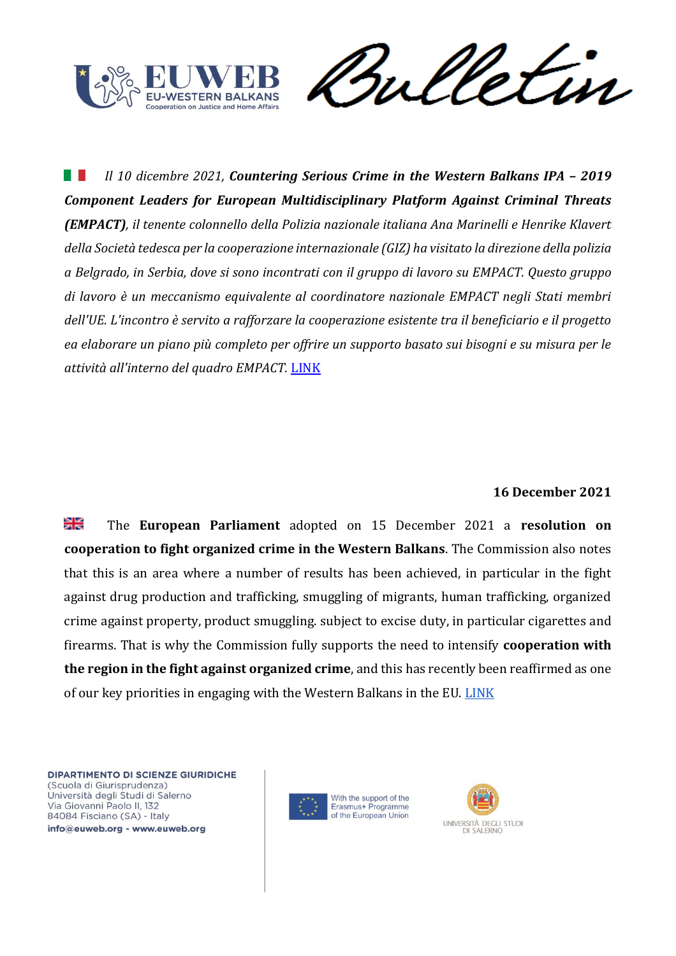![](_page_21_Picture_0.jpeg)

Sulletin

H. *Il 10 dicembre 2021, Countering Serious Crime in the Western Balkans IPA - 2019 Component Leaders for European Multidisciplinary Platform Against Criminal Threats (EMPACT), il tenente colonnello della Polizia nazionale italiana Ana Marinelli e Henrike Klavert della Società tedesca per la cooperazione internazionale (GIZ) ha visitato la direzione della polizia a Belgrado, in Serbia, dove si sono incontrati con il gruppo di lavoro su EMPACT. Questo gruppo di lavoro è un meccanismo equivalente al coordinatore nazionale EMPACT negli Stati membri dell'UE. L'incontro è servito a rafforzare la cooperazione esistente tra il beneficiario e il progetto ea elaborare un piano più completo per offrire un supporto basato sui bisogni e su misura per le attività all'interno del quadro EMPACT.* [LINK](https://cscwb.info/2021/12/20/empact-serbia-tailor-made-support-by-csc-wb/)

# **16 December 2021**

≱ছ The **European Parliament** adopted on 15 December 2021 a **resolution on cooperation to fight organized crime in the Western Balkans**. The Commission also notes that this is an area where a number of results has been achieved, in particular in the fight against drug production and trafficking, smuggling of migrants, human trafficking, organized crime against property, product smuggling. subject to excise duty, in particular cigarettes and firearms. That is why the Commission fully supports the need to intensify **cooperation with the region in the fight against organized crime**, and this has recently been reaffirmed as one of our key priorities in engaging with the Western Balkans in the EU. [LINK](https://europeanwesternbalkans.com/2021/12/16/ep-adopts-resolution-on-the-fight-against-organised-crime-in-the-western-balkans/)

![](_page_21_Picture_6.jpeg)

![](_page_21_Picture_7.jpeg)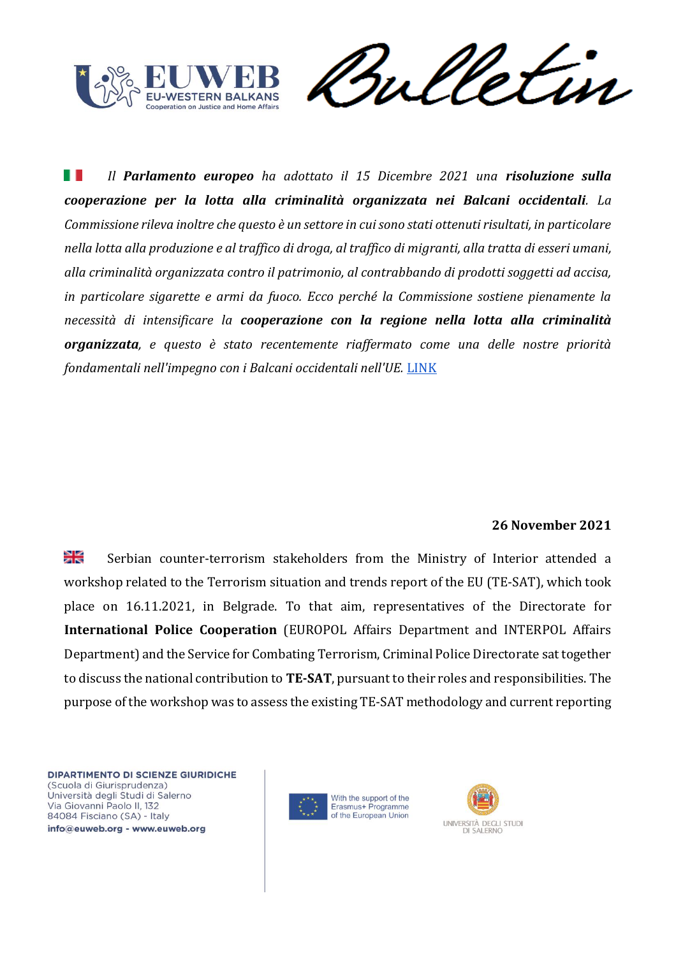![](_page_22_Picture_0.jpeg)

meletin

ш *Il Parlamento europeo ha adottato il 15 Dicembre 2021 una risoluzione sulla cooperazione per la lotta alla criminalità organizzata nei Balcani occidentali. La Commissione rileva inoltre che questo è un settore in cui sono stati ottenuti risultati, in particolare nella lotta alla produzione e al traffico di droga, al traffico di migranti, alla tratta di esseri umani, alla criminalità organizzata contro il patrimonio, al contrabbando di prodotti soggetti ad accisa, in particolare sigarette e armi da fuoco. Ecco perché la Commissione sostiene pienamente la necessità di intensificare la cooperazione con la regione nella lotta alla criminalità organizzata, e questo è stato recentemente riaffermato come una delle nostre priorità fondamentali nell'impegno con i Balcani occidentali nell'UE.* [LINK](https://europeanwesternbalkans.com/2021/12/16/ep-adopts-resolution-on-the-fight-against-organised-crime-in-the-western-balkans/)

#### **26 November 2021**

꾉 Serbian counter-terrorism stakeholders from the Ministry of Interior attended a workshop related to the Terrorism situation and trends report of the EU (TE-SAT), which took place on 16.11.2021, in Belgrade. To that aim, representatives of the Directorate for **International Police Cooperation** (EUROPOL Affairs Department and INTERPOL Affairs Department) and the Service for Combating Terrorism, Criminal Police Directorate sat together to discuss the national contribution to **TE-SAT**, pursuant to their roles and responsibilities. The purpose of the workshop was to assess the existing TE-SAT methodology and current reporting

![](_page_22_Picture_6.jpeg)

![](_page_22_Picture_7.jpeg)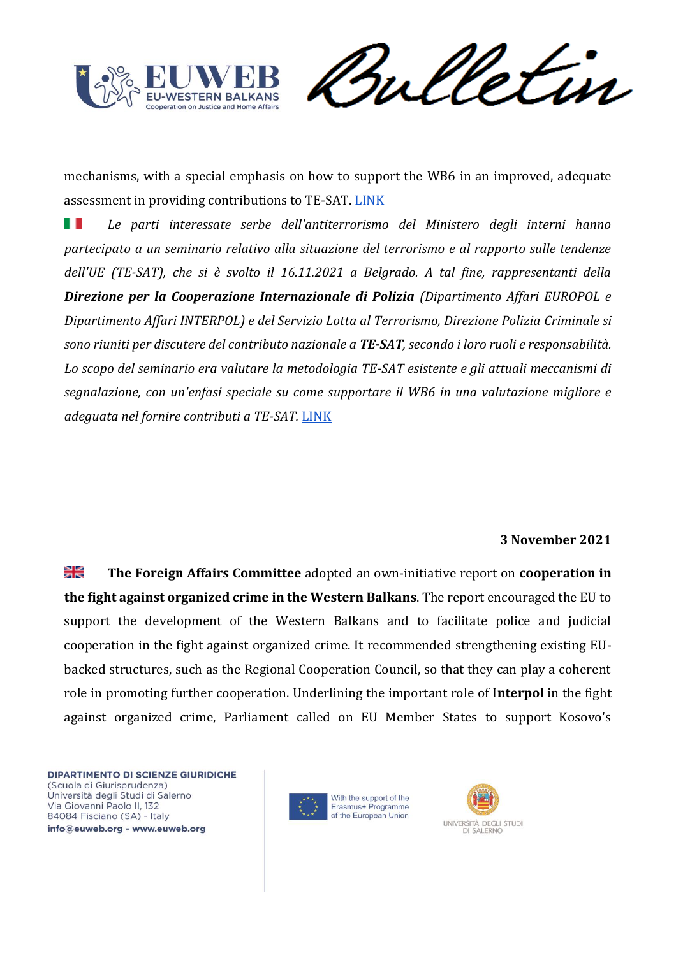![](_page_23_Picture_0.jpeg)

meletin

mechanisms, with a special emphasis on how to support the WB6 in an improved, adequate assessment in providing contributions to TE-SAT. [LINK](https://cscwb.info/2021/11/26/te-sat-process-in-serbia/)

. . *Le parti interessate serbe dell'antiterrorismo del Ministero degli interni hanno partecipato a un seminario relativo alla situazione del terrorismo e al rapporto sulle tendenze dell'UE (TE-SAT), che si è svolto il 16.11.2021 a Belgrado. A tal fine, rappresentanti della Direzione per la Cooperazione Internazionale di Polizia (Dipartimento Affari EUROPOL e Dipartimento Affari INTERPOL) e del Servizio Lotta al Terrorismo, Direzione Polizia Criminale si sono riuniti per discutere del contributo nazionale a TE-SAT, secondo i loro ruoli e responsabilità. Lo scopo del seminario era valutare la metodologia TE-SAT esistente e gli attuali meccanismi di segnalazione, con un'enfasi speciale su come supportare il WB6 in una valutazione migliore e adeguata nel fornire contributi a TE-SAT.* [LINK](https://cscwb.info/2021/11/26/te-sat-process-in-serbia/)

# **3 November 2021**

≫k **The Foreign Affairs Committee** adopted an own-initiative report on **cooperation in the fight against organized crime in the Western Balkans**. The report encouraged the EU to support the development of the Western Balkans and to facilitate police and judicial cooperation in the fight against organized crime. It recommended strengthening existing EUbacked structures, such as the Regional Cooperation Council, so that they can play a coherent role in promoting further cooperation. Underlining the important role of I**nterpol** in the fight against organized crime, Parliament called on EU Member States to support Kosovo's

![](_page_23_Picture_7.jpeg)

![](_page_23_Picture_8.jpeg)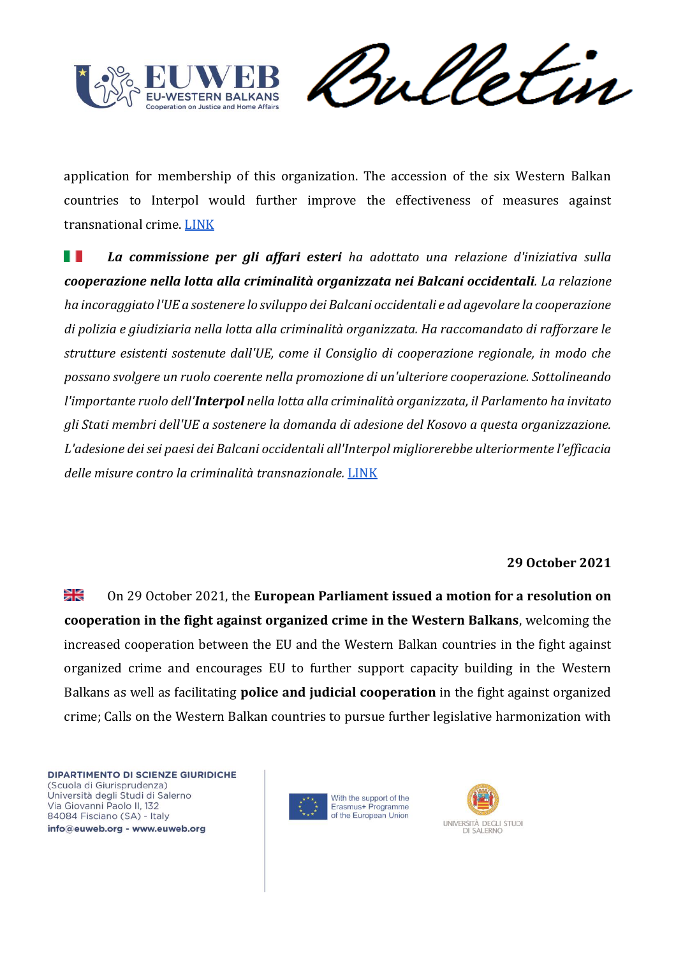![](_page_24_Picture_0.jpeg)

Vetin rul

application for membership of this organization. The accession of the six Western Balkan countries to Interpol would further improve the effectiveness of measures against transnational crime[. LINK](https://oeil.secure.europarl.europa.eu/oeil/popups/ficheprocedure.do?reference=2021/2002(INI)&l=en)

H I *La commissione per gli affari esteri ha adottato una relazione d'iniziativa sulla cooperazione nella lotta alla criminalità organizzata nei Balcani occidentali. La relazione ha incoraggiato l'UE a sostenere lo sviluppo dei Balcani occidentali e ad agevolare la cooperazione di polizia e giudiziaria nella lotta alla criminalità organizzata. Ha raccomandato di rafforzare le strutture esistenti sostenute dall'UE, come il Consiglio di cooperazione regionale, in modo che possano svolgere un ruolo coerente nella promozione di un'ulteriore cooperazione. Sottolineando l'importante ruolo dell'Interpol nella lotta alla criminalità organizzata, il Parlamento ha invitato gli Stati membri dell'UE a sostenere la domanda di adesione del Kosovo a questa organizzazione. L'adesione dei sei paesi dei Balcani occidentali all'Interpol migliorerebbe ulteriormente l'efficacia delle misure contro la criminalità transnazionale.* [LINK](https://oeil.secure.europarl.europa.eu/oeil/popups/ficheprocedure.do?reference=2021/2002(INI)&l=en)

#### **29 October 2021**

≱≼ On 29 October 2021, the **European Parliament issued a motion for a resolution on cooperation in the fight against organized crime in the Western Balkans**, welcoming the increased cooperation between the EU and the Western Balkan countries in the fight against organized crime and encourages EU to further support capacity building in the Western Balkans as well as facilitating **police and judicial cooperation** in the fight against organized crime; Calls on the Western Balkan countries to pursue further legislative harmonization with

![](_page_24_Picture_7.jpeg)

![](_page_24_Picture_8.jpeg)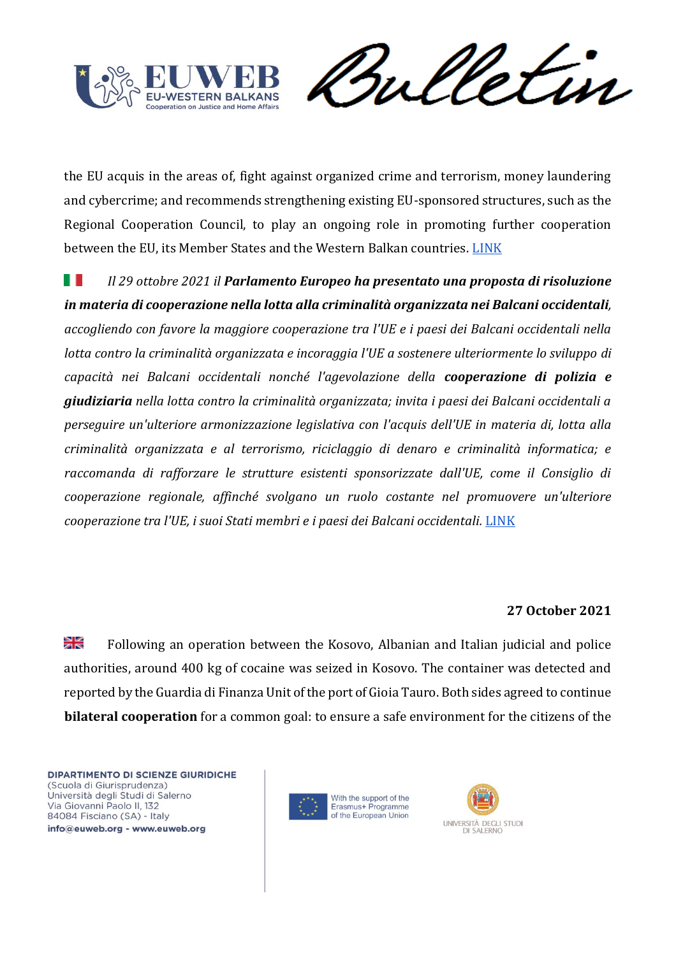![](_page_25_Picture_0.jpeg)

Vetin rul

the EU acquis in the areas of, fight against organized crime and terrorism, money laundering and cybercrime; and recommends strengthening existing EU-sponsored structures, such as the Regional Cooperation Council, to play an ongoing role in promoting further cooperation between the EU, its Member States and the Western Balkan countries. [LINK](https://www.europarl.europa.eu/doceo/document/A-9-2021-0298_IT.html)

ш *Il 29 ottobre 2021 il Parlamento Europeo ha presentato una proposta di risoluzione in materia di cooperazione nella lotta alla criminalità organizzata nei Balcani occidentali, accogliendo con favore la maggiore cooperazione tra l'UE e i paesi dei Balcani occidentali nella lotta contro la criminalità organizzata e incoraggia l'UE a sostenere ulteriormente lo sviluppo di capacità nei Balcani occidentali nonché l'agevolazione della cooperazione di polizia e giudiziaria nella lotta contro la criminalità organizzata; invita i paesi dei Balcani occidentali a perseguire un'ulteriore armonizzazione legislativa con l'acquis dell'UE in materia di, lotta alla criminalità organizzata e al terrorismo, riciclaggio di denaro e criminalità informatica; e raccomanda di rafforzare le strutture esistenti sponsorizzate dall'UE, come il Consiglio di cooperazione regionale, affinché svolgano un ruolo costante nel promuovere un'ulteriore cooperazione tra l'UE, i suoi Stati membri e i paesi dei Balcani occidentali.* [LINK](https://www.europarl.europa.eu/doceo/document/A-9-2021-0298_IT.html)

# **27 October 2021**

꾉 Following an operation between the Kosovo, Albanian and Italian judicial and police authorities, around 400 kg of cocaine was seized in Kosovo. The container was detected and reported by the Guardia di Finanza Unit of the port of Gioia Tauro. Both sides agreed to continue **bilateral cooperation** for a common goal: to ensure a safe environment for the citizens of the

![](_page_25_Picture_7.jpeg)

![](_page_25_Picture_8.jpeg)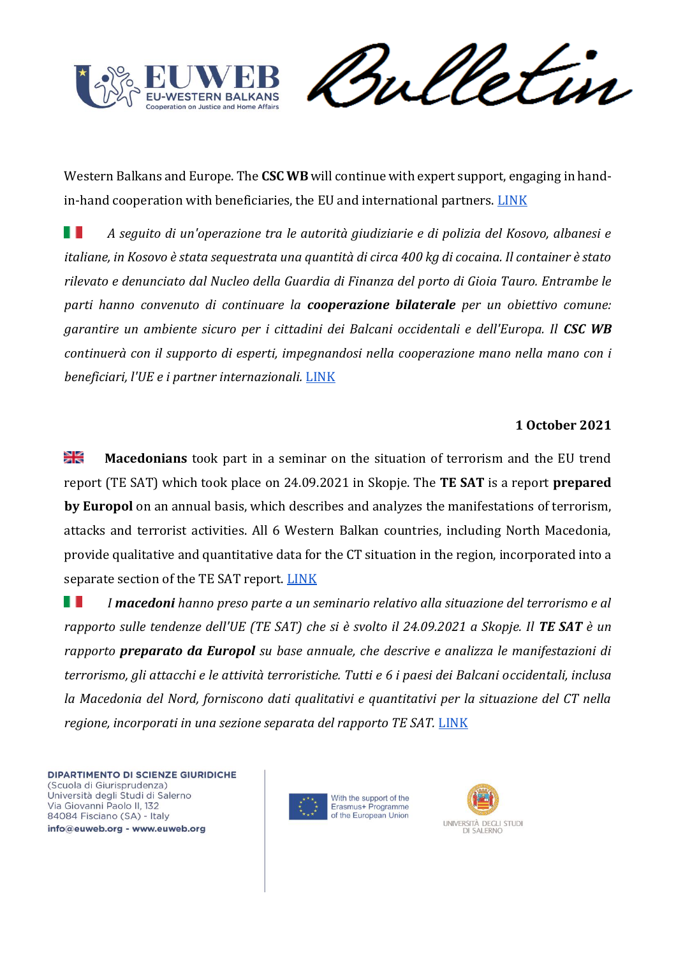![](_page_26_Picture_0.jpeg)

Sulletin

Western Balkans and Europe. The **CSC WB** will continue with expert support, engaging in hand-in-hand cooperation with beneficiaries, the EU and international partners. [LINK](https://cscwb.info/2021/10/27/a-cross-border-operation-between-kosovo-albania-and-italy-results-in-the-seizure-of-400-kg-of-cocaine/)

H I *A seguito di un'operazione tra le autorità giudiziarie e di polizia del Kosovo, albanesi e italiane, in Kosovo è stata sequestrata una quantità di circa 400 kg di cocaina. Il container è stato rilevato e denunciato dal Nucleo della Guardia di Finanza del porto di Gioia Tauro. Entrambe le parti hanno convenuto di continuare la cooperazione bilaterale per un obiettivo comune: garantire un ambiente sicuro per i cittadini dei Balcani occidentali e dell'Europa. Il CSC WB continuerà con il supporto di esperti, impegnandosi nella cooperazione mano nella mano con i beneficiari, l'UE e i partner internazionali.* [LINK](https://cscwb.info/2021/10/27/a-cross-border-operation-between-kosovo-albania-and-italy-results-in-the-seizure-of-400-kg-of-cocaine/)

## **1 October 2021**

≱ছ **Macedonians** took part in a seminar on the situation of terrorism and the EU trend report (TE SAT) which took place on 24.09.2021 in Skopje. The **TE SAT** is a report **prepared by Europol** on an annual basis, which describes and analyzes the manifestations of terrorism, attacks and terrorist activities. All 6 Western Balkan countries, including North Macedonia, provide qualitative and quantitative data for the CT situation in the region, incorporated into a separate section of the TE SAT report. [LINK](https://cscwb.info/2021/10/01/macedonian-counter-terrorism-institutions-deconstruct-the-eu-terrorism-situation-and-trends-report/)

. . *I macedoni hanno preso parte a un seminario relativo alla situazione del terrorismo e al rapporto sulle tendenze dell'UE (TE SAT) che si è svolto il 24.09.2021 a Skopje. Il TE SAT è un rapporto preparato da Europol su base annuale, che descrive e analizza le manifestazioni di terrorismo, gli attacchi e le attività terroristiche. Tutti e 6 i paesi dei Balcani occidentali, inclusa la Macedonia del Nord, forniscono dati qualitativi e quantitativi per la situazione del CT nella regione, incorporati in una sezione separata del rapporto TE SAT.* [LINK](https://cscwb.info/2021/10/01/macedonian-counter-terrorism-institutions-deconstruct-the-eu-terrorism-situation-and-trends-report/)

![](_page_26_Picture_8.jpeg)

![](_page_26_Picture_9.jpeg)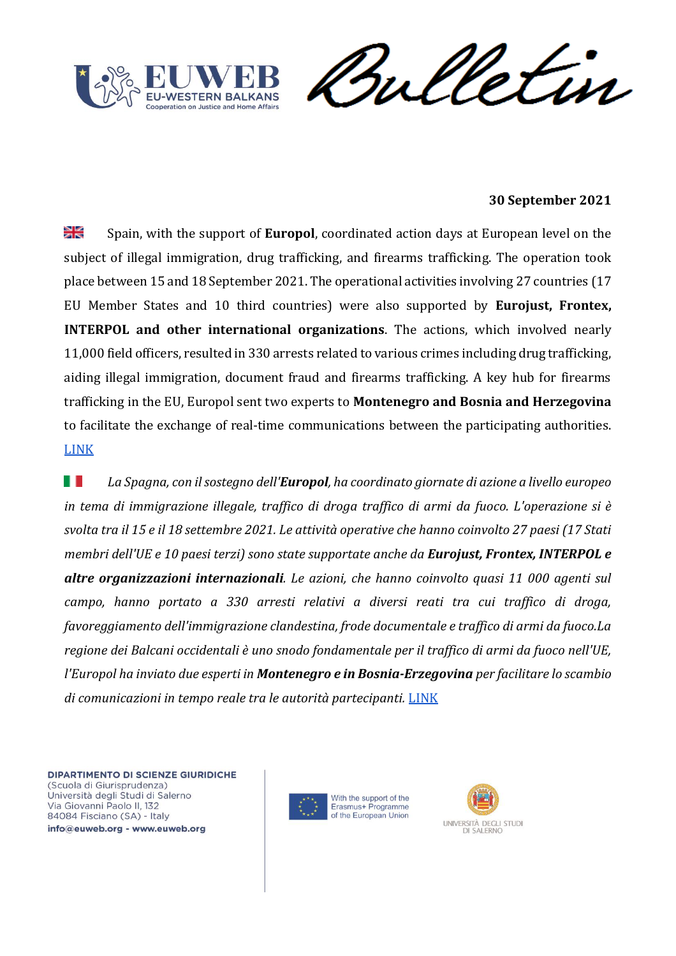![](_page_27_Picture_0.jpeg)

![](_page_27_Picture_1.jpeg)

## **30 September 2021**

꽃 Spain, with the support of **Europol**, coordinated action days at European level on the subject of illegal immigration, drug trafficking, and firearms trafficking. The operation took place between 15 and 18 September 2021. The operational activities involving 27 countries (17 EU Member States and 10 third countries) were also supported by **Eurojust, Frontex, INTERPOL and other international organizations**. The actions, which involved nearly 11,000 field officers, resulted in 330 arrests related to various crimes including drug trafficking, aiding illegal immigration, document fraud and firearms trafficking. A key hub for firearms trafficking in the EU, Europol sent two experts to **Montenegro and Bosnia and Herzegovina**  to facilitate the exchange of real-time communications between the participating authorities. [LINK](https://cscwb.info/2021/09/30/330-arrests-during-eu-wide-joint-action-days/)

H *La Spagna, con il sostegno dell'Europol, ha coordinato giornate di azione a livello europeo in tema di immigrazione illegale, traffico di droga traffico di armi da fuoco. L'operazione si è svolta tra il 15 e il 18 settembre 2021. Le attività operative che hanno coinvolto 27 paesi (17 Stati membri dell'UE e 10 paesi terzi) sono state supportate anche da Eurojust, Frontex, INTERPOL e altre organizzazioni internazionali. Le azioni, che hanno coinvolto quasi 11 000 agenti sul campo, hanno portato a 330 arresti relativi a diversi reati tra cui traffico di droga, favoreggiamento dell'immigrazione clandestina, frode documentale e traffico di armi da fuoco.La regione dei Balcani occidentali è uno snodo fondamentale per il traffico di armi da fuoco nell'UE, l'Europol ha inviato due esperti in Montenegro e in Bosnia-Erzegovina per facilitare lo scambio di comunicazioni in tempo reale tra le autorità partecipanti.* [LINK](https://cscwb.info/2021/09/30/330-arrests-during-eu-wide-joint-action-days/)

![](_page_27_Picture_6.jpeg)

![](_page_27_Picture_7.jpeg)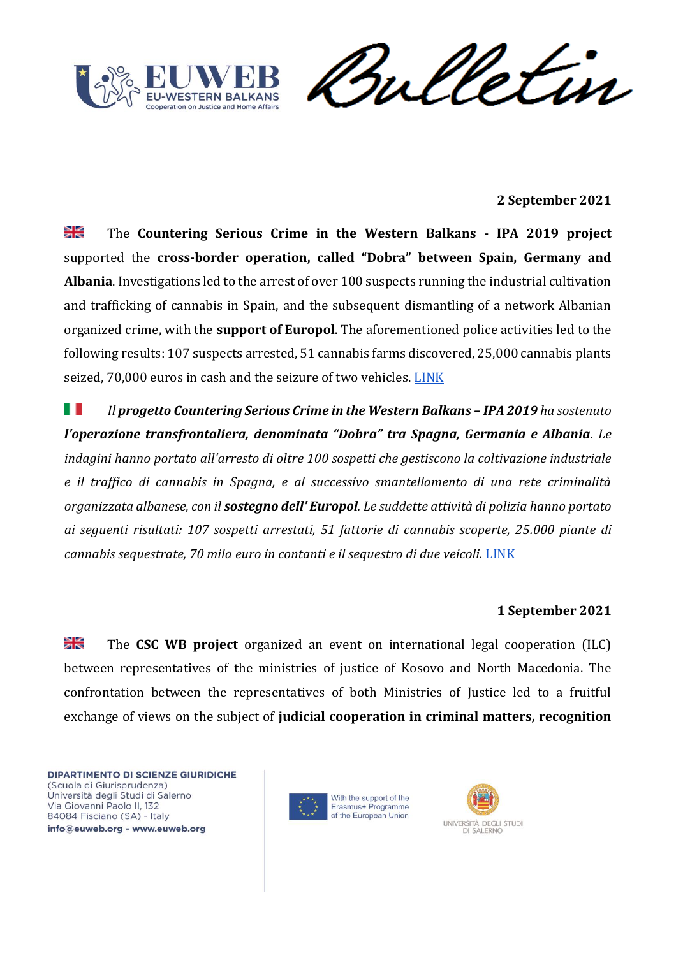![](_page_28_Picture_0.jpeg)

etin rul

#### **2 September 2021**

꽃 The **Countering Serious Crime in the Western Balkans - IPA 2019 project**  supported the **cross-border operation, called "Dobra" between Spain, Germany and Albania**. Investigations led to the arrest of over 100 suspects running the industrial cultivation and trafficking of cannabis in Spain, and the subsequent dismantling of a network Albanian organized crime, with the **support of Europol**. The aforementioned police activities led to the following results: 107 suspects arrested, 51 cannabis farms discovered, 25,000 cannabis plants seized, 70,000 euros in cash and the seizure of two vehicles. [LINK](https://cscwb.info/2021/09/02/high-impact-cross-border-operation-dobra-spain/)

H I *Il progetto Countering Serious Crime in the Western Balkans – IPA 2019 ha sostenuto l'operazione transfrontaliera, denominata "Dobra" tra Spagna, Germania e Albania. Le indagini hanno portato all'arresto di oltre 100 sospetti che gestiscono la coltivazione industriale e il traffico di cannabis in Spagna, e al successivo smantellamento di una rete criminalità organizzata albanese, con il sostegno dell' Europol. Le suddette attività di polizia hanno portato ai seguenti risultati: 107 sospetti arrestati, 51 fattorie di cannabis scoperte, 25.000 piante di cannabis sequestrate, 70 mila euro in contanti e il sequestro di due veicoli.* [LINK](https://cscwb.info/2021/09/02/high-impact-cross-border-operation-dobra-spain/)

# **1 September 2021**

꾉 The **CSC WB project** organized an event on international legal cooperation (ILC) between representatives of the ministries of justice of Kosovo and North Macedonia. The confrontation between the representatives of both Ministries of Justice led to a fruitful exchange of views on the subject of **judicial cooperation in criminal matters, recognition** 

![](_page_28_Picture_8.jpeg)

![](_page_28_Picture_9.jpeg)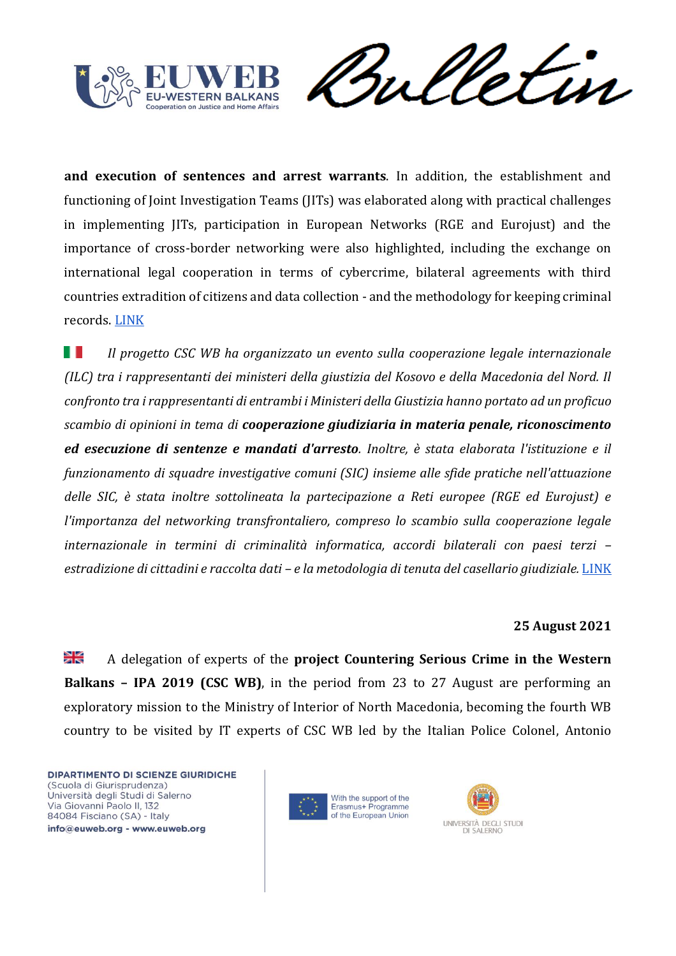![](_page_29_Picture_0.jpeg)

Sulletin

**and execution of sentences and arrest warrants**. In addition, the establishment and functioning of Joint Investigation Teams (JITs) was elaborated along with practical challenges in implementing JITs, participation in European Networks (RGE and Eurojust) and the importance of cross-border networking were also highlighted, including the exchange on international legal cooperation in terms of cybercrime, bilateral agreements with third countries extradition of citizens and data collection - and the methodology for keeping criminal records. [LINK](https://cscwb.info/2021/09/01/macedonian-and-kosovan-ministries-of-justice-to-strengthen-legal-cooperation-in-criminal-matters/)

H I *Il progetto CSC WB ha organizzato un evento sulla cooperazione legale internazionale (ILC) tra i rappresentanti dei ministeri della giustizia del Kosovo e della Macedonia del Nord. Il confronto tra i rappresentanti di entrambi i Ministeri della Giustizia hanno portato ad un proficuo scambio di opinioni in tema di cooperazione giudiziaria in materia penale, riconoscimento ed esecuzione di sentenze e mandati d'arresto. Inoltre, è stata elaborata l'istituzione e il funzionamento di squadre investigative comuni (SIC) insieme alle sfide pratiche nell'attuazione delle SIC, è stata inoltre sottolineata la partecipazione a Reti europee (RGE ed Eurojust) e l'importanza del networking transfrontaliero, compreso lo scambio sulla cooperazione legale internazionale in termini di criminalità informatica, accordi bilaterali con paesi terzi – estradizione di cittadini e raccolta dati – e la metodologia di tenuta del casellario giudiziale.* [LINK](https://cscwb.info/2021/09/01/macedonian-and-kosovan-ministries-of-justice-to-strengthen-legal-cooperation-in-criminal-matters/)

#### **25 August 2021**

≱ছ A delegation of experts of the **project Countering Serious Crime in the Western Balkans – IPA 2019 (CSC WB)**, in the period from 23 to 27 August are performing an exploratory mission to the Ministry of Interior of North Macedonia, becoming the fourth WB country to be visited by IT experts of CSC WB led by the Italian Police Colonel, Antonio

![](_page_29_Picture_7.jpeg)

![](_page_29_Picture_8.jpeg)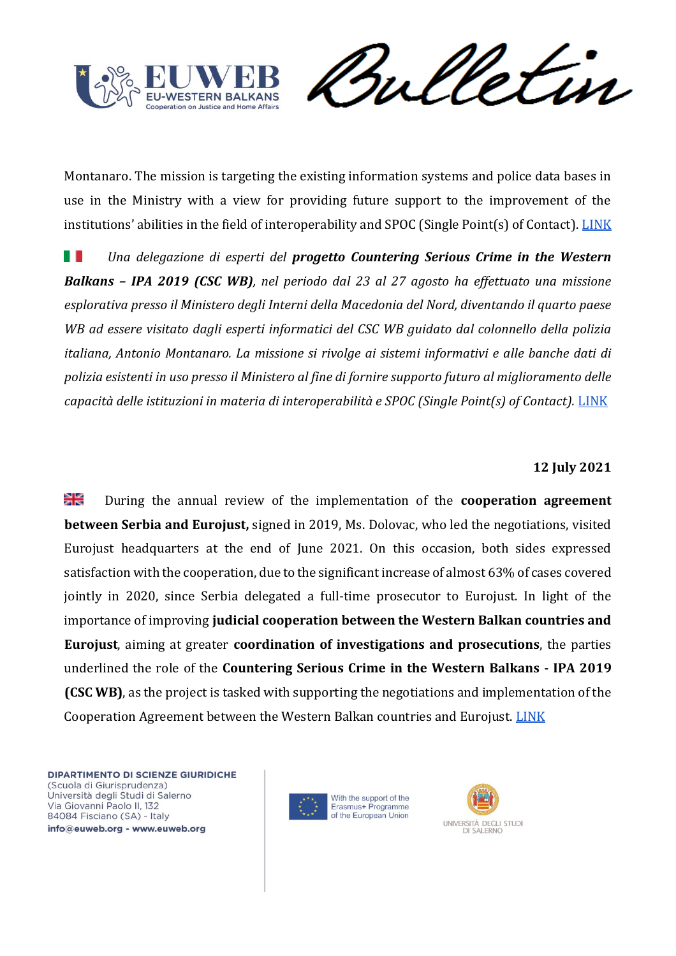![](_page_30_Picture_0.jpeg)

etin rul

Montanaro. The mission is targeting the existing information systems and police data bases in use in the Ministry with a view for providing future support to the improvement of the institutions' abilities in the field of interoperability and SPOC (Single Point(s) of Contact). [LINK](https://cscwb.info/2021/08/25/databases-and-information-systems-law-enforcement-cornerstones-it-expert-mission-to-north-macedonia/)

*Una delegazione di esperti del progetto Countering Serious Crime in the Western*  F F *Balkans – IPA 2019 (CSC WB), nel periodo dal 23 al 27 agosto ha effettuato una missione esplorativa presso il Ministero degli Interni della Macedonia del Nord, diventando il quarto paese WB ad essere visitato dagli esperti informatici del CSC WB guidato dal colonnello della polizia italiana, Antonio Montanaro. La missione si rivolge ai sistemi informativi e alle banche dati di polizia esistenti in uso presso il Ministero al fine di fornire supporto futuro al miglioramento delle*  capacità delle istituzioni in materia di interoperabilità e SPOC (Single Point(s) of Contact). [LINK](https://cscwb.info/2021/08/25/databases-and-information-systems-law-enforcement-cornerstones-it-expert-mission-to-north-macedonia/)

#### **12 July 2021**

≱ছ During the annual review of the implementation of the **cooperation agreement between Serbia and Eurojust,** signed in 2019, Ms. Dolovac, who led the negotiations, visited Eurojust headquarters at the end of June 2021. On this occasion, both sides expressed satisfaction with the cooperation, due to the significant increase of almost 63% of cases covered jointly in 2020, since Serbia delegated a full-time prosecutor to Eurojust. In light of the importance of improving **judicial cooperation between the Western Balkan countries and Eurojust**, aiming at greater **coordination of investigations and prosecutions**, the parties underlined the role of the **Countering Serious Crime in the Western Balkans - IPA 2019 (CSC WB)**, as the project is tasked with supporting the negotiations and implementation of the Cooperation Agreement between the Western Balkan countries and Eurojust. [LINK](https://cscwb.info/2021/07/12/almost-63-increase-of-newly-registered-cases-with-serbian-involvement-at-eurojust/)

![](_page_30_Picture_7.jpeg)

![](_page_30_Picture_8.jpeg)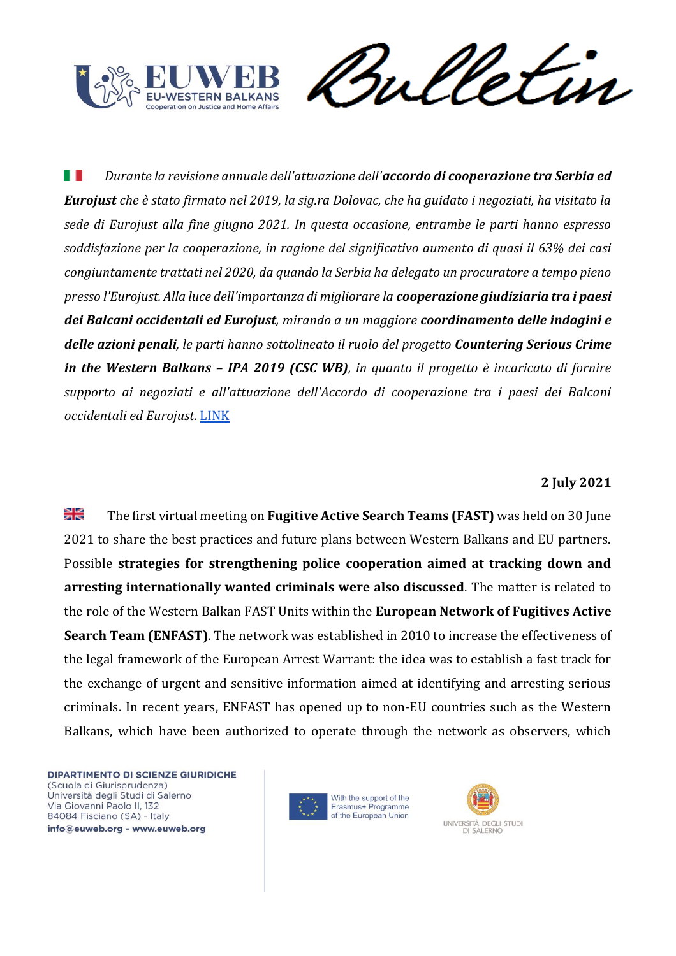![](_page_31_Picture_0.jpeg)

![](_page_31_Picture_1.jpeg)

ш *Durante la revisione annuale dell'attuazione dell'accordo di cooperazione tra Serbia ed Eurojust che è stato firmato nel 2019, la sig.ra Dolovac, che ha guidato i negoziati, ha visitato la sede di Eurojust alla fine giugno 2021. In questa occasione, entrambe le parti hanno espresso soddisfazione per la cooperazione, in ragione del significativo aumento di quasi il 63% dei casi congiuntamente trattati nel 2020, da quando la Serbia ha delegato un procuratore a tempo pieno presso l'Eurojust. Alla luce dell'importanza di migliorare la cooperazione giudiziaria tra i paesi dei Balcani occidentali ed Eurojust, mirando a un maggiore coordinamento delle indagini e delle azioni penali, le parti hanno sottolineato il ruolo del progetto Countering Serious Crime in the Western Balkans – IPA 2019 (CSC WB), in quanto il progetto è incaricato di fornire supporto ai negoziati e all'attuazione dell'Accordo di cooperazione tra i paesi dei Balcani occidentali ed Eurojust.* [LINK](https://cscwb.info/2021/07/12/almost-63-increase-of-newly-registered-cases-with-serbian-involvement-at-eurojust/)

# **2 July 2021**

≱≼ The first virtual meeting on **Fugitive Active Search Teams (FAST)** was held on 30 June 2021 to share the best practices and future plans between Western Balkans and EU partners. Possible **strategies for strengthening police cooperation aimed at tracking down and arresting internationally wanted criminals were also discussed**. The matter is related to the role of the Western Balkan FAST Units within the **European Network of Fugitives Active Search Team (ENFAST)**. The network was established in 2010 to increase the effectiveness of the legal framework of the European Arrest Warrant: the idea was to establish a fast track for the exchange of urgent and sensitive information aimed at identifying and arresting serious criminals. In recent years, ENFAST has opened up to non-EU countries such as the Western Balkans, which have been authorized to operate through the network as observers, which

![](_page_31_Picture_6.jpeg)

![](_page_31_Picture_7.jpeg)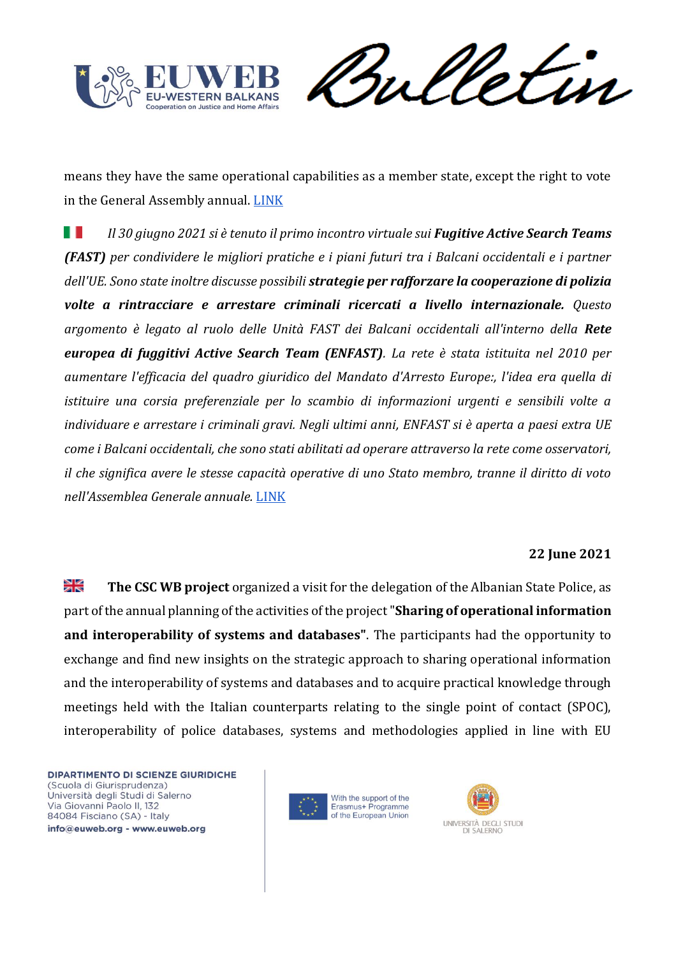![](_page_32_Picture_0.jpeg)

meletin

means they have the same operational capabilities as a member state, except the right to vote in the General Assembly annual. [LINK](https://cscwb.info/2021/07/02/enfast-network-and-fast-units-workshop/)

H I *Il 30 giugno 2021 si è tenuto il primo incontro virtuale sui Fugitive Active Search Teams (FAST) per condividere le migliori pratiche e i piani futuri tra i Balcani occidentali e i partner dell'UE. Sono state inoltre discusse possibili strategie per rafforzare la cooperazione di polizia volte a rintracciare e arrestare criminali ricercati a livello internazionale. Questo argomento è legato al ruolo delle Unità FAST dei Balcani occidentali all'interno della Rete europea di fuggitivi Active Search Team (ENFAST). La rete è stata istituita nel 2010 per aumentare l'efficacia del quadro giuridico del Mandato d'Arresto Europe:, l'idea era quella di istituire una corsia preferenziale per lo scambio di informazioni urgenti e sensibili volte a individuare e arrestare i criminali gravi. Negli ultimi anni, ENFAST si è aperta a paesi extra UE come i Balcani occidentali, che sono stati abilitati ad operare attraverso la rete come osservatori, il che significa avere le stesse capacità operative di uno Stato membro, tranne il diritto di voto nell'Assemblea Generale annuale.* [LINK](https://cscwb.info/2021/07/02/enfast-network-and-fast-units-workshop/)

# **22 June 2021**

≱≼ **The CSC WB project** organized a visit for the delegation of the Albanian State Police, as part of the annual planning of the activities of the project "**Sharing of operational information and interoperability of systems and databases"**. The participants had the opportunity to exchange and find new insights on the strategic approach to sharing operational information and the interoperability of systems and databases and to acquire practical knowledge through meetings held with the Italian counterparts relating to the single point of contact (SPOC), interoperability of police databases, systems and methodologies applied in line with EU

![](_page_32_Picture_7.jpeg)

![](_page_32_Picture_8.jpeg)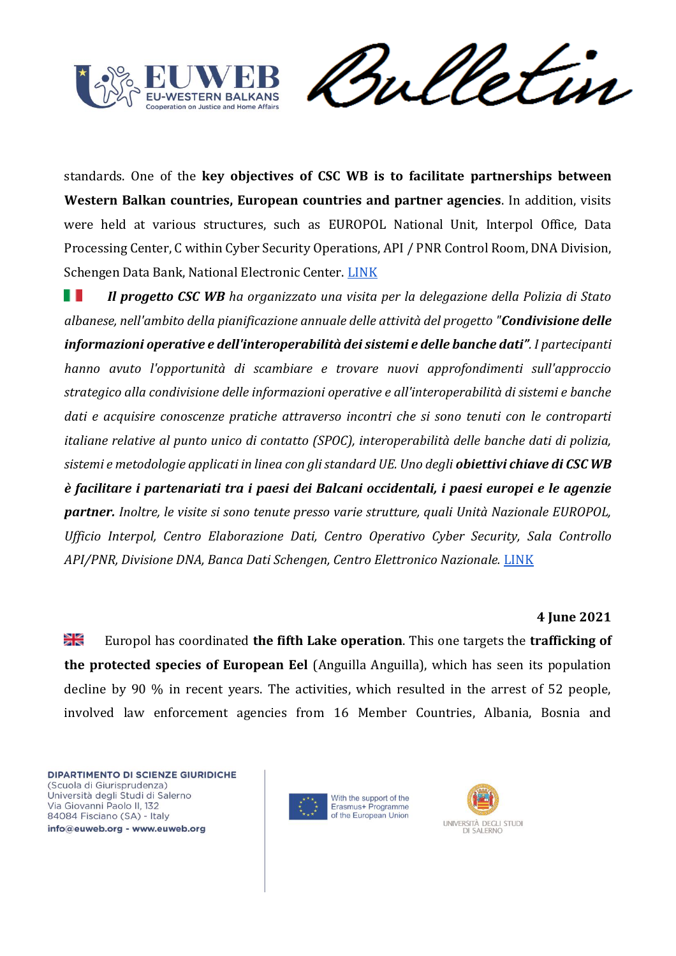![](_page_33_Picture_0.jpeg)

Vetin rul

standards. One of the **key objectives of CSC WB is to facilitate partnerships between Western Balkan countries, European countries and partner agencies**. In addition, visits were held at various structures, such as EUROPOL National Unit, Interpol Office, Data Processing Center, C within Cyber Security Operations, API / PNR Control Room, DNA Division, Schengen Data Bank, National Electronic Center. [LINK](https://cscwb.info/2021/06/22/fact-finding-visit-of-albanian-state-police-delegation-at-international-operations-room-italy/)

a se *Il progetto CSC WB ha organizzato una visita per la delegazione della Polizia di Stato albanese, nell'ambito della pianificazione annuale delle attività del progetto "Condivisione delle informazioni operative e dell'interoperabilità dei sistemi e delle banche dati". I partecipanti hanno avuto l'opportunità di scambiare e trovare nuovi approfondimenti sull'approccio strategico alla condivisione delle informazioni operative e all'interoperabilità di sistemi e banche dati e acquisire conoscenze pratiche attraverso incontri che si sono tenuti con le controparti italiane relative al punto unico di contatto (SPOC), interoperabilità delle banche dati di polizia, sistemi e metodologie applicati in linea con gli standard UE. Uno degli obiettivi chiave di CSC WB è facilitare i partenariati tra i paesi dei Balcani occidentali, i paesi europei e le agenzie partner. Inoltre, le visite si sono tenute presso varie strutture, quali Unità Nazionale EUROPOL, Ufficio Interpol, Centro Elaborazione Dati, Centro Operativo Cyber Security, Sala Controllo API/PNR, Divisione DNA, Banca Dati Schengen, Centro Elettronico Nazionale.* [LINK](https://cscwb.info/2021/06/22/fact-finding-visit-of-albanian-state-police-delegation-at-international-operations-room-italy/)

#### **4 June 2021**

≥<br>ak Europol has coordinated **the fifth Lake operation**. This one targets the **trafficking of the protected species of European Eel** (Anguilla Anguilla), which has seen its population decline by 90 % in recent years. The activities, which resulted in the arrest of 52 people, involved law enforcement agencies from 16 Member Countries, Albania, Bosnia and

![](_page_33_Picture_7.jpeg)

![](_page_33_Picture_8.jpeg)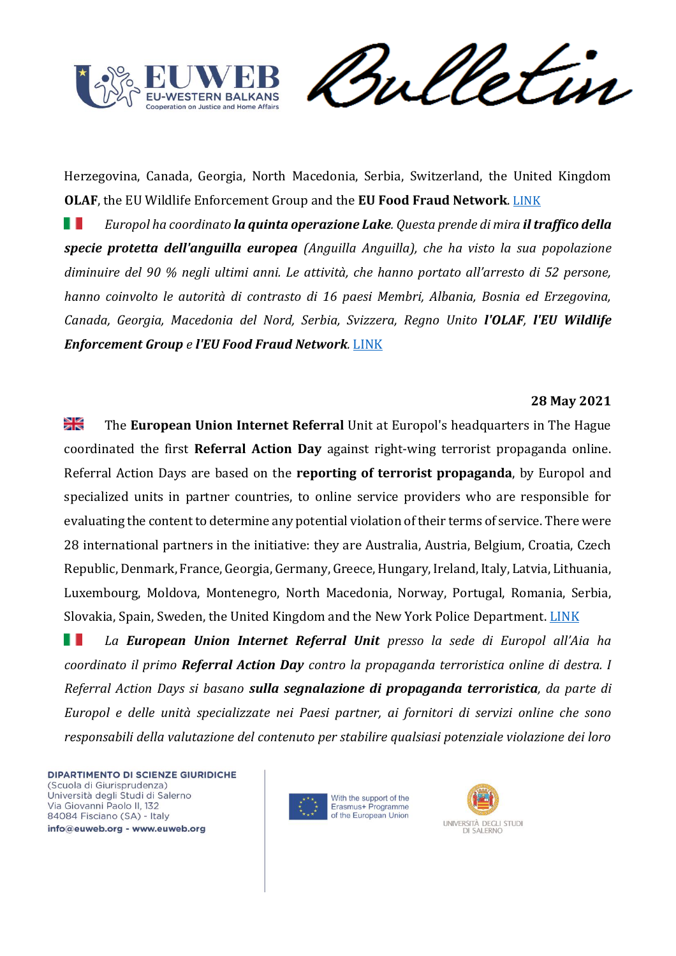![](_page_34_Picture_0.jpeg)

meletin

Herzegovina, Canada, Georgia, North Macedonia, Serbia, Switzerland, the United Kingdom **OLAF**, the EU Wildlife Enforcement Group and the **EU Food Fraud Network**. [LINK](https://www.europol.europa.eu/newsroom/news/eels-shipped-air-found-in-operation-lake-v)

*Europol ha coordinato la quinta operazione Lake. Questa prende di mira il traffico della*  . . *specie protetta dell'anguilla europea (Anguilla Anguilla), che ha visto la sua popolazione diminuire del 90 % negli ultimi anni. Le attività, che hanno portato all'arresto di 52 persone, hanno coinvolto le autorità di contrasto di 16 paesi Membri, Albania, Bosnia ed Erzegovina, Canada, Georgia, Macedonia del Nord, Serbia, Svizzera, Regno Unito l'OLAF, l'EU Wildlife Enforcement Group e l'EU Food Fraud Network.* [LINK](https://www.europol.europa.eu/newsroom/news/eels-shipped-air-found-in-operation-lake-v)

#### **28 May 2021**

≥⊮ The **European Union Internet Referral** Unit at Europol's headquarters in The Hague coordinated the first **Referral Action Day** against right-wing terrorist propaganda online. Referral Action Days are based on the **reporting of terrorist propaganda**, by Europol and specialized units in partner countries, to online service providers who are responsible for evaluating the content to determine any potential violation of their terms of service. There were 28 international partners in the initiative: they are Australia, Austria, Belgium, Croatia, Czech Republic, Denmark, France, Georgia, Germany, Greece, Hungary, Ireland, Italy, Latvia, Lithuania, Luxembourg, Moldova, Montenegro, North Macedonia, Norway, Portugal, Romania, Serbia, Slovakia, Spain, Sweden, the United Kingdom and the New York Police Department. [LINK](https://www.europol.europa.eu/newsroom/news/1st-referral-action-day-against-right-wing-terrorist-online-propaganda)

H I *La European Union Internet Referral Unit presso la sede di Europol all'Aia ha coordinato il primo Referral Action Day contro la propaganda terroristica online di destra. I Referral Action Days si basano sulla segnalazione di propaganda terroristica, da parte di Europol e delle unità specializzate nei Paesi partner, ai fornitori di servizi online che sono responsabili della valutazione del contenuto per stabilire qualsiasi potenziale violazione dei loro* 

![](_page_34_Picture_8.jpeg)

![](_page_34_Picture_9.jpeg)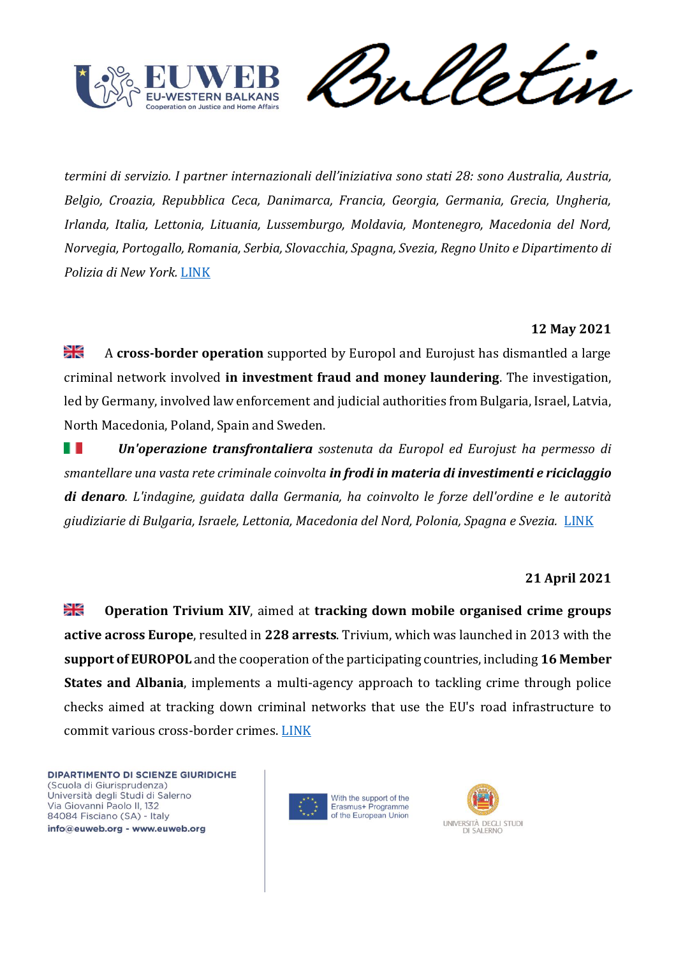![](_page_35_Picture_0.jpeg)

Verin

*termini di servizio. I partner internazionali dell'iniziativa sono stati 28: sono Australia, Austria, Belgio, Croazia, Repubblica Ceca, Danimarca, Francia, Georgia, Germania, Grecia, Ungheria, Irlanda, Italia, Lettonia, Lituania, Lussemburgo, Moldavia, Montenegro, Macedonia del Nord, Norvegia, Portogallo, Romania, Serbia, Slovacchia, Spagna, Svezia, Regno Unito e Dipartimento di Polizia di New York.* [LINK](https://www.europol.europa.eu/newsroom/news/1st-referral-action-day-against-right-wing-terrorist-online-propaganda)

# **12 May 2021**

≱≼ A **cross-border operation** supported by Europol and Eurojust has dismantled a large criminal network involved **in investment fraud and money laundering**. The investigation, led by Germany, involved law enforcement and judicial authorities from Bulgaria, Israel, Latvia, North Macedonia, Poland, Spain and Sweden.

. . *Un'operazione transfrontaliera sostenuta da Europol ed Eurojust ha permesso di smantellare una vasta rete criminale coinvolta in frodi in materia di investimenti e riciclaggio di denaro. L'indagine, guidata dalla Germania, ha coinvolto le forze dell'ordine e le autorità giudiziarie di Bulgaria, Israele, Lettonia, Macedonia del Nord, Polonia, Spagna e Svezia.* [LINK](https://www.europol.europa.eu/newsroom/news/trading-scheme-resulting-in-%E2%82%AC30-million-in-losses-uncovered)

# **21 April 2021**

≱ছ **Operation Trivium XIV**, aimed at **tracking down mobile organised crime groups active across Europe**, resulted in **228 arrests**. Trivium, which was launched in 2013 with the **support of EUROPOL** and the cooperation of the participating countries, including **16 Member States and Albania**, implements a multi-agency approach to tackling crime through police checks aimed at tracking down criminal networks that use the EU's road infrastructure to commit various cross-border crimes. [LINK](https://www.europol.europa.eu/newsroom/news/228-arrests-after-70-000-individuals-checked-across-europe-to-tackle-mobile-criminality)

![](_page_35_Picture_9.jpeg)

![](_page_35_Picture_10.jpeg)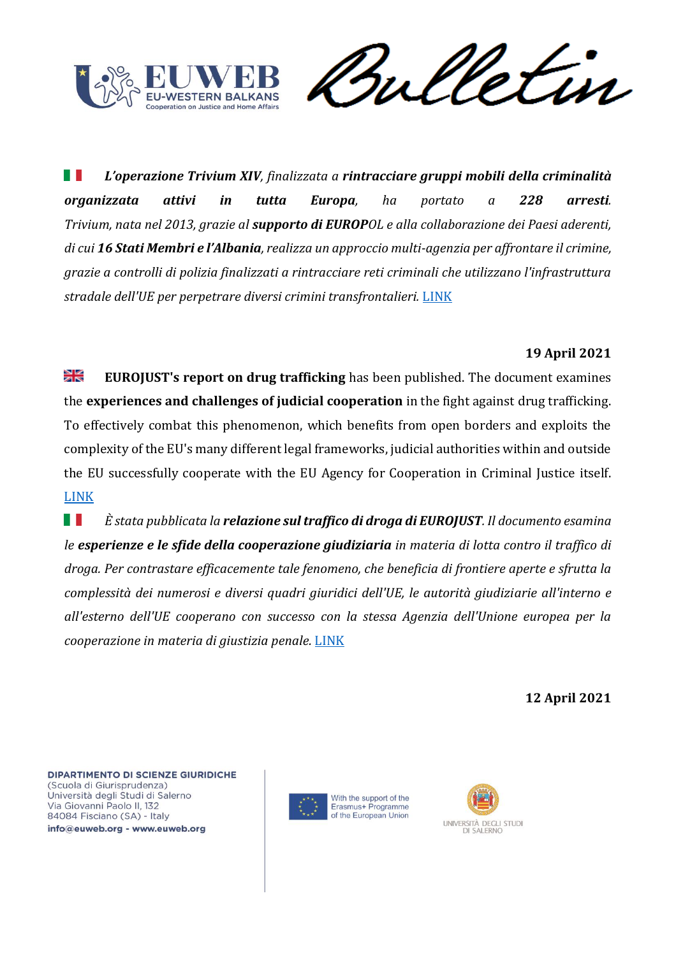![](_page_36_Picture_0.jpeg)

Verin

H *L'operazione Trivium XIV, finalizzata a rintracciare gruppi mobili della criminalità organizzata attivi in tutta Europa, ha portato a 228 arresti. Trivium, nata nel 2013, grazie al supporto di EUROPOL e alla collaborazione dei Paesi aderenti, di cui 16 Stati Membri e l'Albania, realizza un approccio multi-agenzia per affrontare il crimine, grazie a controlli di polizia finalizzati a rintracciare reti criminali che utilizzano l'infrastruttura stradale dell'UE per perpetrare diversi crimini transfrontalieri.* [LINK](https://www.europol.europa.eu/newsroom/news/228-arrests-after-70-000-individuals-checked-across-europe-to-tackle-mobile-criminality)

## **19 April 2021**

ੇ₩ **EUROJUST's report on drug trafficking** has been published. The document examines the **experiences and challenges of judicial cooperation** in the fight against drug trafficking. To effectively combat this phenomenon, which benefits from open borders and exploits the complexity of the EU's many different legal frameworks, judicial authorities within and outside the EU successfully cooperate with the EU Agency for Cooperation in Criminal Justice itself. [LINK](https://www.eurojust.europa.eu/eurojust-report-drug-trafficking)

H H *È stata pubblicata la relazione sul traffico di droga di EUROJUST. Il documento esamina le esperienze e le sfide della cooperazione giudiziaria in materia di lotta contro il traffico di droga. Per contrastare efficacemente tale fenomeno, che beneficia di frontiere aperte e sfrutta la complessità dei numerosi e diversi quadri giuridici dell'UE, le autorità giudiziarie all'interno e all'esterno dell'UE cooperano con successo con la stessa Agenzia dell'Unione europea per la cooperazione in materia di giustizia penale.* [LINK](https://www.eurojust.europa.eu/eurojust-report-drug-trafficking)

**12 April 2021**

DIPARTIMENTO DI SCIENZE GIURIDICHE (Scuola di Giurisprudenza) Università degli Studi di Salerno Via Giovanni Paolo II, 132 84084 Fisciano (SA) - Italy info@euweb.org - www.euweb.org

![](_page_36_Picture_8.jpeg)

With the support of the Erasmus+ Programme of the European Union

![](_page_36_Picture_10.jpeg)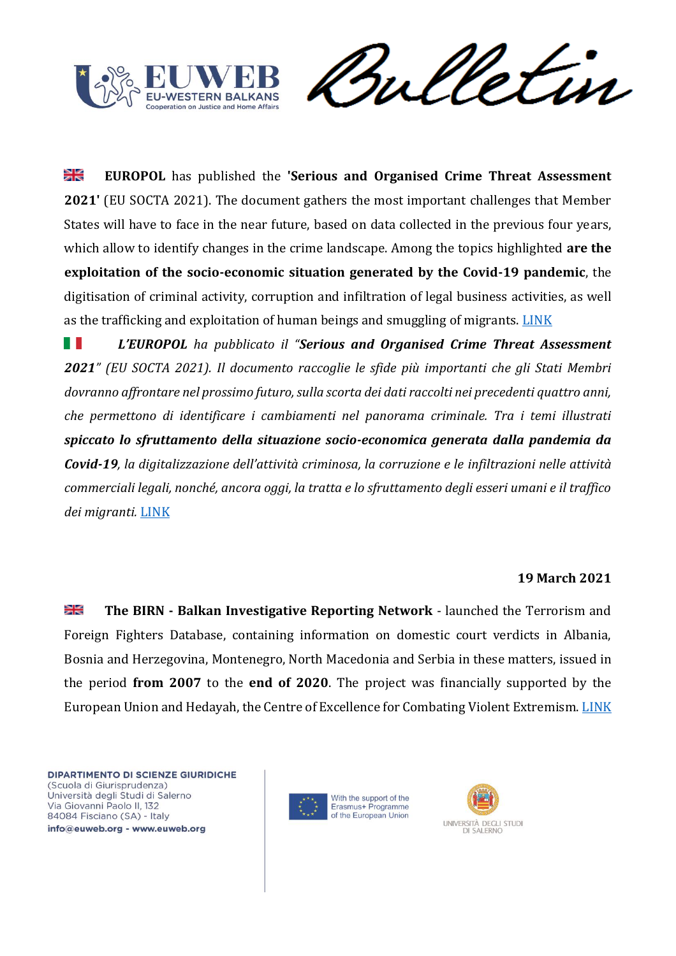![](_page_37_Picture_0.jpeg)

Sulletin

꼭 **EUROPOL** has published the **'Serious and Organised Crime Threat Assessment 2021'** (EU SOCTA 2021). The document gathers the most important challenges that Member States will have to face in the near future, based on data collected in the previous four years, which allow to identify changes in the crime landscape. Among the topics highlighted **are the exploitation of the socio-economic situation generated by the Covid-19 pandemic**, the digitisation of criminal activity, corruption and infiltration of legal business activities, as well as the trafficking and exploitation of human beings and smuggling of migrants. [LINK](https://www.europol.europa.eu/newsroom/news/serious-and-organised-crime-in-eu-corrupting-influence)

a T *L'EUROPOL ha pubblicato il "Serious and Organised Crime Threat Assessment 2021" (EU SOCTA 2021). Il documento raccoglie le sfide più importanti che gli Stati Membri dovranno affrontare nel prossimo futuro, sulla scorta dei dati raccolti nei precedenti quattro anni, che permettono di identificare i cambiamenti nel panorama criminale. Tra i temi illustrati spiccato lo sfruttamento della situazione socio-economica generata dalla pandemia da Covid-19, la digitalizzazione dell'attività criminosa, la corruzione e le infiltrazioni nelle attività commerciali legali, nonché, ancora oggi, la tratta e lo sfruttamento degli esseri umani e il traffico dei migranti.* [LINK](https://www.europol.europa.eu/newsroom/news/serious-and-organised-crime-in-eu-corrupting-influence)

# **19 March 2021**

≽⊭ **The BIRN - Balkan Investigative Reporting Network** - launched the Terrorism and Foreign Fighters Database, containing information on domestic court verdicts in Albania, Bosnia and Herzegovina, Montenegro, North Macedonia and Serbia in these matters, issued in the period **from 2007** to the **end of 2020**. The project was financially supported by the European Union and Hedayah, the Centre of Excellence for Combating Violent Extremism. [LINK](https://balkaninsight.com/2021/03/19/birn-launches-balkan-terrorism-and-foreign-fighters-database/)

![](_page_37_Picture_7.jpeg)

![](_page_37_Picture_8.jpeg)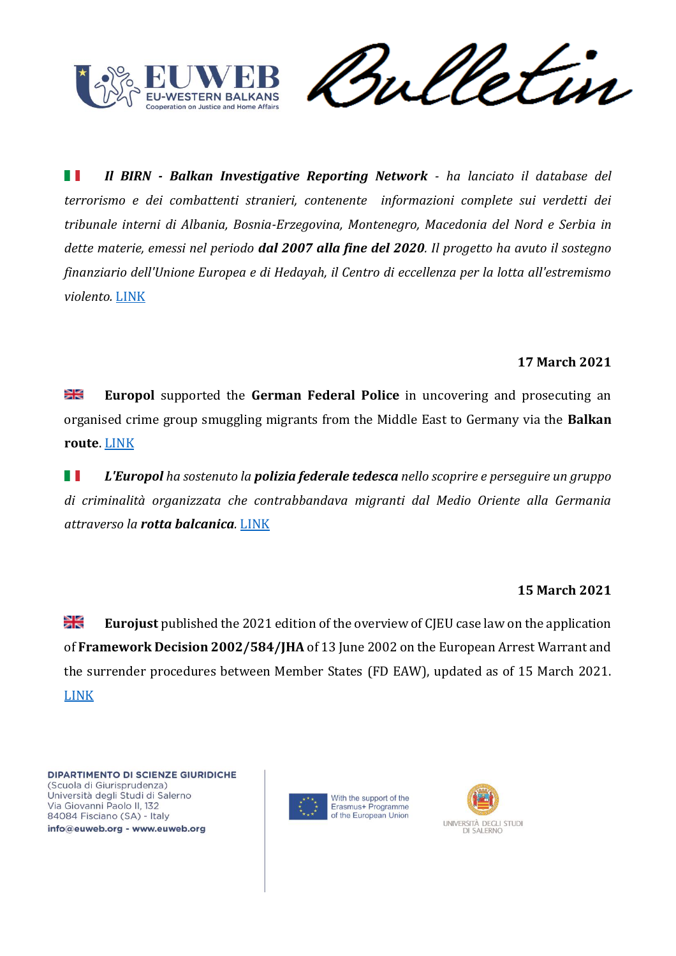![](_page_38_Picture_0.jpeg)

et in

HT. *Il BIRN - Balkan Investigative Reporting Network - ha lanciato il database del terrorismo e dei combattenti stranieri, contenente informazioni complete sui verdetti dei tribunale interni di Albania, Bosnia-Erzegovina, Montenegro, Macedonia del Nord e Serbia in dette materie, emessi nel periodo dal 2007 alla fine del 2020. Il progetto ha avuto il sostegno finanziario dell'Unione Europea e di Hedayah, il Centro di eccellenza per la lotta all'estremismo violento.* [LINK](https://balkaninsight.com/2021/03/19/birn-launches-balkan-terrorism-and-foreign-fighters-database/)

# **17 March 2021**

⋇ **Europol** supported the **German Federal Police** in uncovering and prosecuting an organised crime group smuggling migrants from the Middle East to Germany via the **Balkan route**. [LINK](https://www.europol.europa.eu/newsroom/news/gang-smuggling-migrants-balkan-route-busted-in-germany)

H I *L'Europol ha sostenuto la polizia federale tedesca nello scoprire e perseguire un gruppo di criminalità organizzata che contrabbandava migranti dal Medio Oriente alla Germania attraverso la rotta balcanica.* [LINK](https://www.europol.europa.eu/newsroom/news/gang-smuggling-migrants-balkan-route-busted-in-germany)

# **15 March 2021**

꼭€ **Eurojust** published the 2021 edition of the overview of CJEU case law on the application of **Framework Decision 2002/584/JHA** of 13 June 2002 on the European Arrest Warrant and the surrender procedures between Member States (FD EAW), updated as of 15 March 2021. [LINK](https://www.eurojust.europa.eu/case-law-court-justice-european-union-european-arrest-warrant-march2021)

![](_page_38_Picture_9.jpeg)

![](_page_38_Picture_10.jpeg)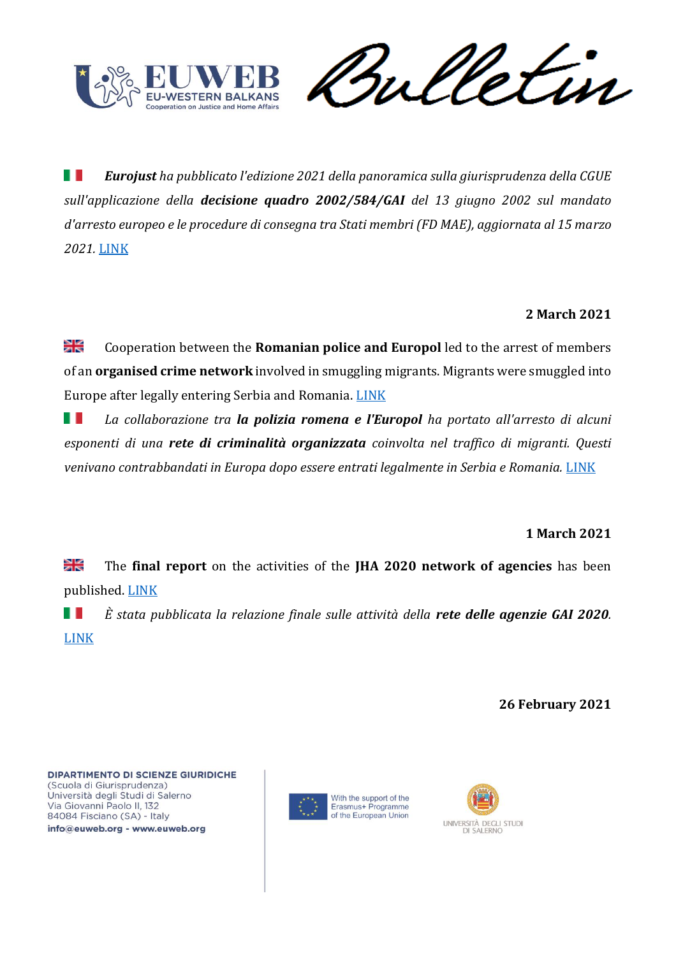![](_page_39_Picture_0.jpeg)

Sulletin

ш *Eurojust ha pubblicato l'edizione 2021 della panoramica sulla giurisprudenza della CGUE sull'applicazione della decisione quadro 2002/584/GAI del 13 giugno 2002 sul mandato d'arresto europeo e le procedure di consegna tra Stati membri (FD MAE), aggiornata al 15 marzo 2021.* [LINK](https://www.eurojust.europa.eu/case-law-court-justice-european-union-european-arrest-warrant-march2021)

# **2 March 2021**

≱≼ Cooperation between the **Romanian police and Europol** led to the arrest of members of an **organised crime network** involved in smuggling migrants. Migrants were smuggled into Europe after legally entering Serbia and Romania. [LINK](https://www.europol.europa.eu/newsroom/news/gang-smuggling-indian-nationals-busted-in-romania)

H I *La collaborazione tra la polizia romena e l'Europol ha portato all'arresto di alcuni esponenti di una rete di criminalità organizzata coinvolta nel traffico di migranti. Questi*  venivano contrabbandati in Europa dopo essere entrati legalmente in Serbia e Romania. [LINK](https://www.europol.europa.eu/newsroom/news/gang-smuggling-indian-nationals-busted-in-romania)

# **1 March 2021**

≱≼ The **final report** on the activities of the **JHA 2020 network of agencies** has been published. [LINK](https://www.eurojust.europa.eu/final-report-jha-agencies-network-activities-2020)

H II *È stata pubblicata la relazione finale sulle attività della rete delle agenzie GAI 2020.*  [LINK](https://www.eurojust.europa.eu/final-report-jha-agencies-network-activities-2020)

**26 February 2021**

![](_page_39_Picture_11.jpeg)

![](_page_39_Picture_12.jpeg)

![](_page_39_Picture_13.jpeg)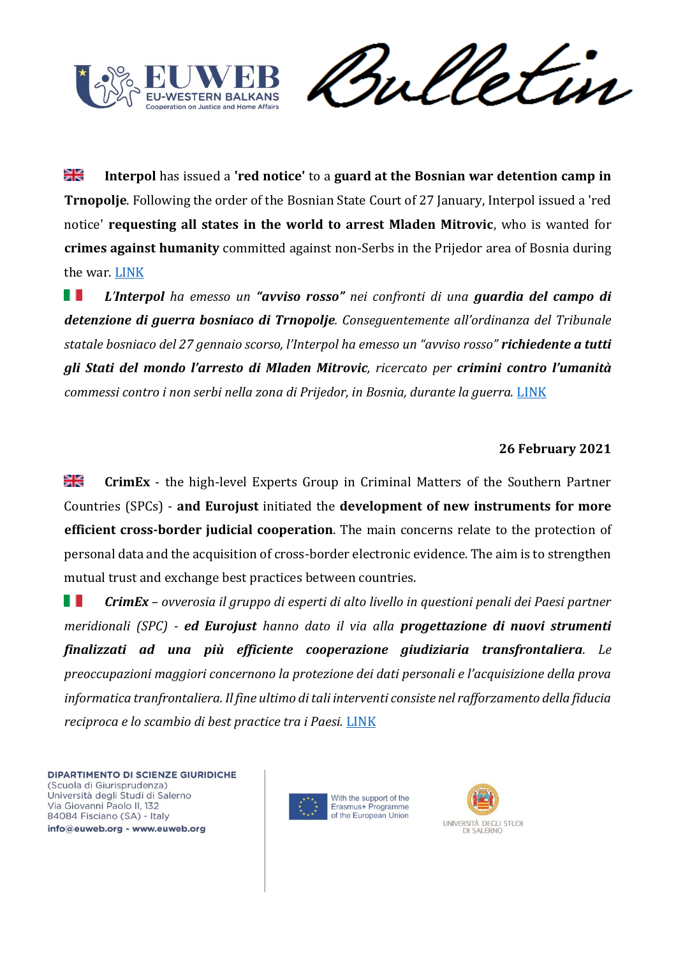![](_page_40_Picture_0.jpeg)

Sulletin

꼭 **Interpol** has issued a **'red notice'** to a **guard at the Bosnian war detention camp in Trnopolje**. Following the order of the Bosnian State Court of 27 January, Interpol issued a 'red notice' **requesting all states in the world to arrest Mladen Mitrovic**, who is wanted for **crimes against humanity** committed against non-Serbs in the Prijedor area of Bosnia during the war. [LINK](https://balkaninsight.com/2021/02/26/interpol-urges-arrest-of-bosnian-war-detention-camp-guard/)

*L'Interpol ha emesso un "avviso rosso" nei confronti di una guardia del campo di*  . . *detenzione di guerra bosniaco di Trnopolje. Conseguentemente all'ordinanza del Tribunale statale bosniaco del 27 gennaio scorso, l'Interpol ha emesso un "avviso rosso" richiedente a tutti gli Stati del mondo l'arresto di Mladen Mitrovic, ricercato per crimini contro l'umanità commessi contro i non serbi nella zona di Prijedor, in Bosnia, durante la guerra.* [LINK](https://balkaninsight.com/2021/02/26/interpol-urges-arrest-of-bosnian-war-detention-camp-guard/)

## **26 February 2021**

꼭€ **CrimEx** - the high-level Experts Group in Criminal Matters of the Southern Partner Countries (SPCs) - **and Eurojust** initiated the **development of new instruments for more efficient cross-border judicial cooperation**. The main concerns relate to the protection of personal data and the acquisition of cross-border electronic evidence. The aim is to strengthen mutual trust and exchange best practices between countries.

Ш *CrimEx – ovverosia il gruppo di esperti di alto livello in questioni penali dei Paesi partner meridionali (SPC) - ed Eurojust hanno dato il via alla progettazione di nuovi strumenti finalizzati ad una più efficiente cooperazione giudiziaria transfrontaliera. Le preoccupazioni maggiori concernono la protezione dei dati personali e l'acquisizione della prova informatica tranfrontaliera. Il fine ultimo di tali interventi consiste nel rafforzamento della fiducia reciproca e lo scambio di best practice tra i Paesi.* [LINK](https://www.eurojust.europa.eu/crimex-begins-development-new-tools-cross-mediterranean-judicial-cooperation)

![](_page_40_Picture_8.jpeg)

![](_page_40_Picture_9.jpeg)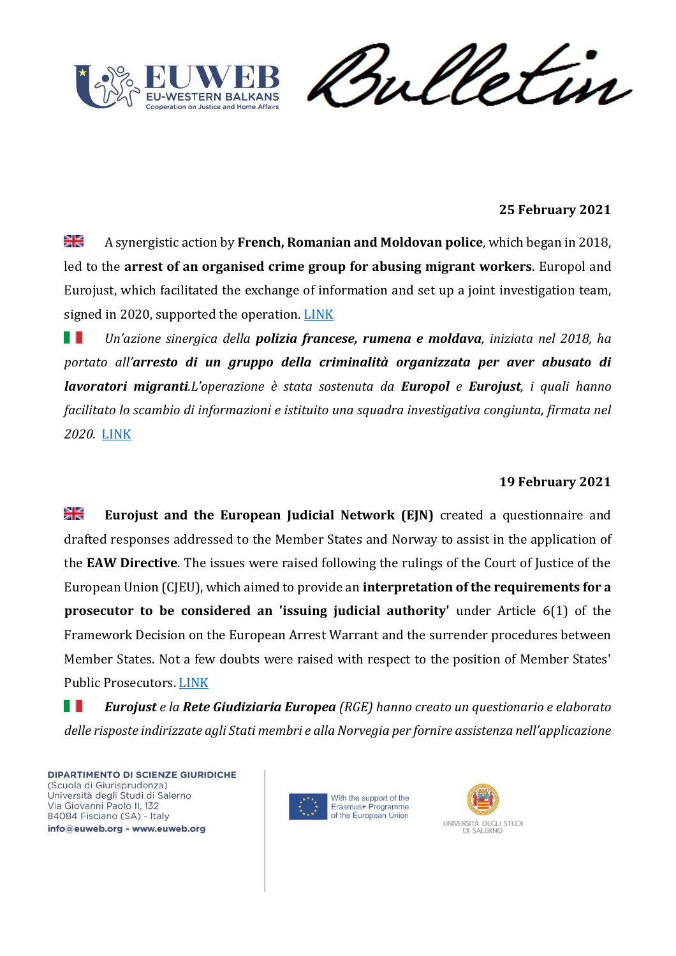![](_page_41_Picture_0.jpeg)

Sulletin

# **25 February 2021**

≱ছ A synergistic action by **French, Romanian and Moldovan police**, which began in 2018, led to the **arrest of an organised crime group for abusing migrant workers**. Europol and Eurojust, which facilitated the exchange of information and set up a joint investigation team, signed in 2020, supported the operation. [LINK](https://www.europol.europa.eu/newsroom/news/exploitation-construction-site-38-arrested-in-france-romania-and-moldova-for-abusing-migrant-workers)

. . *Un'azione sinergica della polizia francese, rumena e moldava, iniziata nel 2018, ha portato all'arresto di un gruppo della criminalità organizzata per aver abusato di lavoratori migranti.L'operazione è stata sostenuta da Europol e Eurojust, i quali hanno facilitato lo scambio di informazioni e istituito una squadra investigativa congiunta, firmata nel 2020.* [LINK](https://www.europol.europa.eu/newsroom/news/exploitation-construction-site-38-arrested-in-france-romania-and-moldova-for-abusing-migrant-workers)

# **19 February 2021**

≱≼ **Eurojust and the European Judicial Network (EJN)** created a questionnaire and drafted responses addressed to the Member States and Norway to assist in the application of the **EAW Directive**. The issues were raised following the rulings of the Court of Justice of the European Union (CJEU), which aimed to provide an **interpretation of the requirements for a prosecutor to be considered an 'issuing judicial authority'** under Article 6(1) of the Framework Decision on the European Arrest Warrant and the surrender procedures between Member States. Not a few doubts were raised with respect to the position of Member States' Public Prosecutors. [LINK](https://www.eurojust.europa.eu/updated-questionnaire-and-compilation-requirements-issuing-and-executing-judicial-authorities-eaw)

ш *Eurojust e la Rete Giudiziaria Europea (RGE) hanno creato un questionario e elaborato delle risposte indirizzate agli Stati membri e alla Norvegia per fornire assistenza nell'applicazione* 

![](_page_41_Picture_9.jpeg)

![](_page_41_Picture_10.jpeg)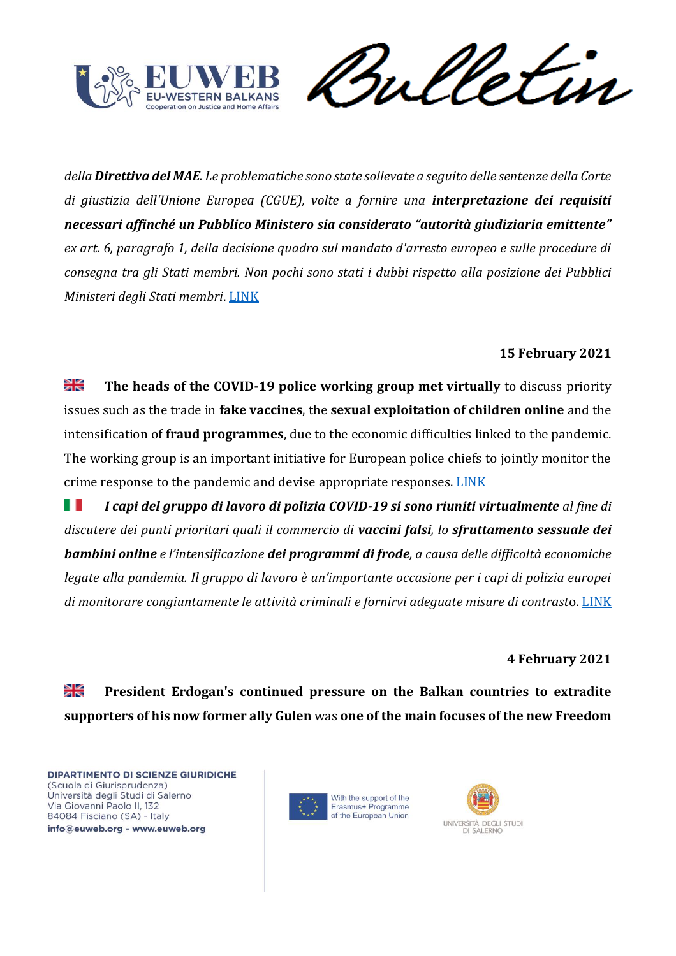![](_page_42_Picture_0.jpeg)

Vetin rul

*della Direttiva del MAE. Le problematiche sono state sollevate a seguito delle sentenze della Corte di giustizia dell'Unione Europea (CGUE), volte a fornire una interpretazione dei requisiti necessari affinché un Pubblico Ministero sia considerato "autorità giudiziaria emittente" ex art. 6, paragrafo 1, della decisione quadro sul mandato d'arresto europeo e sulle procedure di consegna tra gli Stati membri. Non pochi sono stati i dubbi rispetto alla posizione dei Pubblici Ministeri degli Stati membri*[. LINK](https://www.eurojust.europa.eu/updated-questionnaire-and-compilation-requirements-issuing-and-executing-judicial-authorities-eaw)

# **15 February 2021**

≱≼ **The heads of the COVID-19 police working group met virtually** to discuss priority issues such as the trade in **fake vaccines**, the **sexual exploitation of children online** and the intensification of **fraud programmes**, due to the economic difficulties linked to the pandemic. The working group is an important initiative for European police chiefs to jointly monitor the crime response to the pandemic and devise appropriate responses. [LINK](https://www.europol.europa.eu/newsroom/news/covid-19-chiefs-of-police-working-group-meets-to-talk-pandemic-and-fighting-crime-threats)

H. *I capi del gruppo di lavoro di polizia COVID-19 si sono riuniti virtualmente al fine di discutere dei punti prioritari quali il commercio di vaccini falsi, lo sfruttamento sessuale dei bambini online e l'intensificazione dei programmi di frode, a causa delle difficoltà economiche legate alla pandemia. Il gruppo di lavoro è un'importante occasione per i capi di polizia europei di monitorare congiuntamente le attività criminali e fornirvi adeguate misure di contrast*o. [LINK](https://www.europol.europa.eu/newsroom/news/covid-19-chiefs-of-police-working-group-meets-to-talk-pandemic-and-fighting-crime-threats)

**4 February 2021**

꾉 **President Erdogan's continued pressure on the Balkan countries to extradite supporters of his now former ally Gulen** was **one of the main focuses of the new Freedom** 

![](_page_42_Picture_9.jpeg)

![](_page_42_Picture_10.jpeg)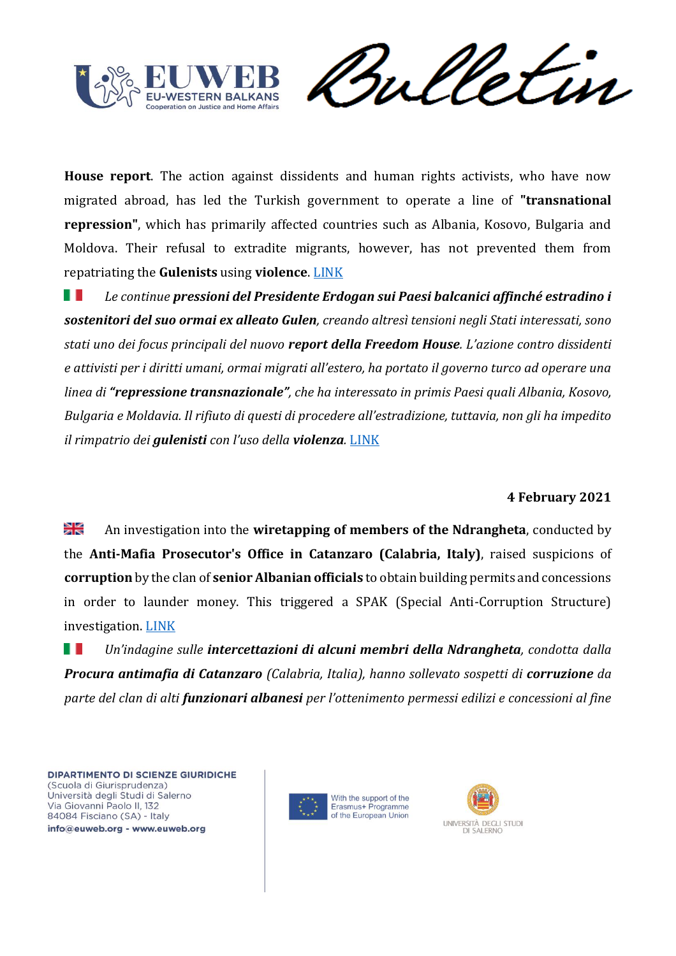![](_page_43_Picture_0.jpeg)

**House report**. The action against dissidents and human rights activists, who have now migrated abroad, has led the Turkish government to operate a line of **"transnational repression"**, which has primarily affected countries such as Albania, Kosovo, Bulgaria and Moldova. Their refusal to extradite migrants, however, has not prevented them from repatriating the **Gulenists** using **violence**. [LINK](https://balkaninsight.com/2021/02/04/freedom-house-condemns-turkeys-violent-tactics-against-exiles/)

*Le continue pressioni del Presidente Erdogan sui Paesi balcanici affinché estradino i*  ш *sostenitori del suo ormai ex alleato Gulen, creando altresì tensioni negli Stati interessati, sono stati uno dei focus principali del nuovo report della Freedom House. L'azione contro dissidenti e attivisti per i diritti umani, ormai migrati all'estero, ha portato il governo turco ad operare una linea di "repressione transnazionale", che ha interessato in primis Paesi quali Albania, Kosovo, Bulgaria e Moldavia. Il rifiuto di questi di procedere all'estradizione, tuttavia, non gli ha impedito il rimpatrio dei gulenisti con l'uso della violenza.* [LINK](https://balkaninsight.com/2021/02/04/freedom-house-condemns-turkeys-violent-tactics-against-exiles/)

# **4 February 2021**

꾉 An investigation into the **wiretapping of members of the Ndrangheta**, conducted by the **Anti-Mafia Prosecutor's Office in Catanzaro (Calabria, Italy)**, raised suspicions of **corruption** by the clan of **senior Albanian officials** to obtain building permits and concessions in order to launder money. This triggered a SPAK (Special Anti-Corruption Structure) investigation. [LINK](https://balkaninsight.com/2021/02/04/albania-to-probe-wiretaps-revealing-mafia-bribes-of-officials/)

ш *Un'indagine sulle intercettazioni di alcuni membri della Ndrangheta, condotta dalla Procura antimafia di Catanzaro (Calabria, Italia), hanno sollevato sospetti di corruzione da parte del clan di alti funzionari albanesi per l'ottenimento permessi edilizi e concessioni al fine* 

![](_page_43_Picture_8.jpeg)

![](_page_43_Picture_9.jpeg)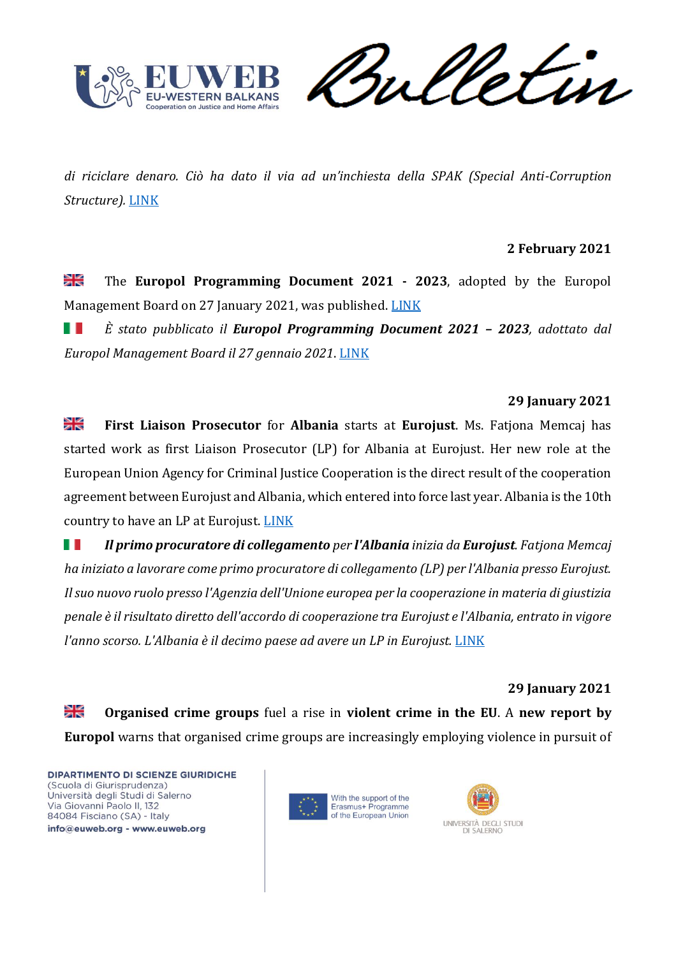![](_page_44_Picture_0.jpeg)

Sulletin

*di riciclare denaro. Ciò ha dato il via ad un'inchiesta della SPAK (Special Anti-Corruption Structure).* [LINK](https://balkaninsight.com/2021/02/04/albania-to-probe-wiretaps-revealing-mafia-bribes-of-officials/)

# **2 February 2021**

≱≼ The **Europol Programming Document 2021 - 2023**, adopted by the Europol Management Board on 27 January 2021, was published. [LINK](https://www.europol.europa.eu/publications-documents/europol-programming-document)

H I *È stato pubblicato il Europol Programming Document 2021 – 2023, adottato dal Europol Management Board il 27 gennaio 2021*. [LINK](https://www.europol.europa.eu/publications-documents/europol-programming-document)

## **29 January 2021**

꼭 **First Liaison Prosecutor** for **Albania** starts at **Eurojust**. Ms. Fatjona Memcaj has started work as first Liaison Prosecutor (LP) for Albania at Eurojust. Her new role at the European Union Agency for Criminal Justice Cooperation is the direct result of the cooperation agreement between Eurojust and Albania, which entered into force last year. Albania is the 10th country to have an LP at Eurojust. [LINK](https://www.eurojust.europa.eu/first-liaison-prosecutor-albania-starts-eurojust)

H I *Il primo procuratore di collegamento per l'Albania inizia da Eurojust. Fatjona Memcaj ha iniziato a lavorare come primo procuratore di collegamento (LP) per l'Albania presso Eurojust. Il suo nuovo ruolo presso l'Agenzia dell'Unione europea per la cooperazione in materia di giustizia penale è il risultato diretto dell'accordo di cooperazione tra Eurojust e l'Albania, entrato in vigore l'anno scorso. L'Albania è il decimo paese ad avere un LP in Eurojust. [LINK](https://www.eurojust.europa.eu/first-liaison-prosecutor-albania-starts-eurojust)* 

#### **29 January 2021**

≱ছ **Organised crime groups** fuel a rise in **violent crime in the EU**. A **new report by Europol** warns that organised crime groups are increasingly employing violence in pursuit of

![](_page_44_Picture_12.jpeg)

![](_page_44_Picture_13.jpeg)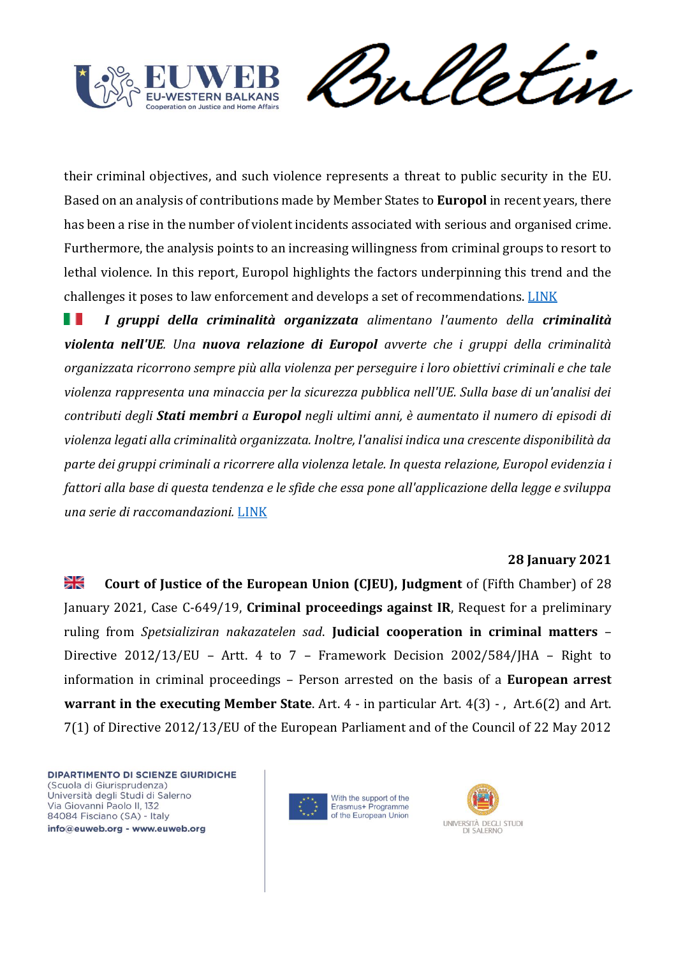![](_page_45_Picture_0.jpeg)

Sulletin

their criminal objectives, and such violence represents a threat to public security in the EU. Based on an analysis of contributions made by Member States to **Europol** in recent years, there has been a rise in the number of violent incidents associated with serious and organised crime. Furthermore, the analysis points to an increasing willingness from criminal groups to resort to lethal violence. In this report, Europol highlights the factors underpinning this trend and the challenges it poses to law enforcement and develops a set of recommendations. [LINK](https://www.europol.europa.eu/europol-spotlight/europol-spotlight-use-of-violence-organised-crime-groups)

ш *I gruppi della criminalità organizzata alimentano l'aumento della criminalità violenta nell'UE. Una nuova relazione di Europol avverte che i gruppi della criminalità organizzata ricorrono sempre più alla violenza per perseguire i loro obiettivi criminali e che tale violenza rappresenta una minaccia per la sicurezza pubblica nell'UE. Sulla base di un'analisi dei contributi degli Stati membri a Europol negli ultimi anni, è aumentato il numero di episodi di violenza legati alla criminalità organizzata. Inoltre, l'analisi indica una crescente disponibilità da parte dei gruppi criminali a ricorrere alla violenza letale. In questa relazione, Europol evidenzia i fattori alla base di questa tendenza e le sfide che essa pone all'applicazione della legge e sviluppa una serie di raccomandazioni.* [LINK](https://www.europol.europa.eu/europol-spotlight/europol-spotlight-use-of-violence-organised-crime-groups)

#### **28 January 2021**

꽃 **Court of Justice of the European Union (CJEU), Judgment** of (Fifth Chamber) of 28 January 2021, Case C-649/19, **Criminal proceedings against IR**, Request for a preliminary ruling from *Spetsializiran nakazatelen sad*. **Judicial cooperation in criminal matters** – Directive 2012/13/EU – Artt. 4 to 7 – Framework Decision 2002/584/JHA – Right to information in criminal proceedings – Person arrested on the basis of a **European arrest warrant in the executing Member State**. Art. 4 - in particular Art. 4(3) - , Art.6(2) and Art. 7(1) of Directive 2012/13/EU of the European Parliament and of the Council of 22 May 2012

![](_page_45_Picture_7.jpeg)

![](_page_45_Picture_8.jpeg)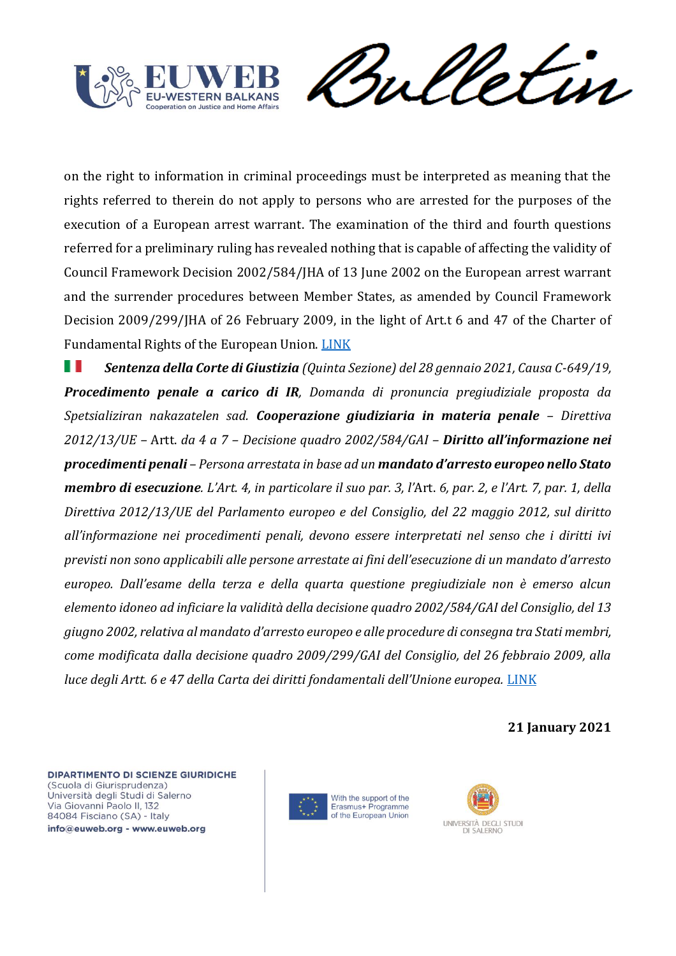![](_page_46_Picture_0.jpeg)

Sulletin

on the right to information in criminal proceedings must be interpreted as meaning that the rights referred to therein do not apply to persons who are arrested for the purposes of the execution of a European arrest warrant. The examination of the third and fourth questions referred for a preliminary ruling has revealed nothing that is capable of affecting the validity of Council Framework Decision 2002/584/JHA of 13 June 2002 on the European arrest warrant and the surrender procedures between Member States, as amended by Council Framework Decision 2009/299/JHA of 26 February 2009, in the light of Art.t 6 and 47 of the Charter of Fundamental Rights of the European Union. [LINK](https://eur-lex.europa.eu/legal-content/EN/TXT/HTML/?uri=CELEX:62019CJ0649&qid=1612170660405&from=EN)

H *Sentenza della Corte di Giustizia (Quinta Sezione) del 28 gennaio 2021, Causa C-649/19, Procedimento penale a carico di IR, Domanda di pronuncia pregiudiziale proposta da Spetsializiran nakazatelen sad. Cooperazione giudiziaria in materia penale – Direttiva 2012/13/UE –* Artt. *da 4 a 7 – Decisione quadro 2002/584/GAI – Diritto all'informazione nei procedimenti penali – Persona arrestata in base ad un mandato d'arresto europeo nello Stato membro di esecuzione. L'Art. 4, in particolare il suo par. 3, l'*Art. *6, par. 2, e l'Art. 7, par. 1, della Direttiva 2012/13/UE del Parlamento europeo e del Consiglio, del 22 maggio 2012, sul diritto all'informazione nei procedimenti penali, devono essere interpretati nel senso che i diritti ivi previsti non sono applicabili alle persone arrestate ai fini dell'esecuzione di un mandato d'arresto europeo. Dall'esame della terza e della quarta questione pregiudiziale non è emerso alcun elemento idoneo ad inficiare la validità della decisione quadro 2002/584/GAI del Consiglio, del 13 giugno 2002, relativa al mandato d'arresto europeo e alle procedure di consegna tra Stati membri, come modificata dalla decisione quadro 2009/299/GAI del Consiglio, del 26 febbraio 2009, alla luce degli Artt. 6 e 47 della Carta dei diritti fondamentali dell'Unione europea.* [LINK](https://eur-lex.europa.eu/legal-content/IT/TXT/HTML/?uri=CELEX:62019CJ0649&qid=1612170660405&from=IT)

**21 January 2021**

![](_page_46_Picture_6.jpeg)

![](_page_46_Picture_7.jpeg)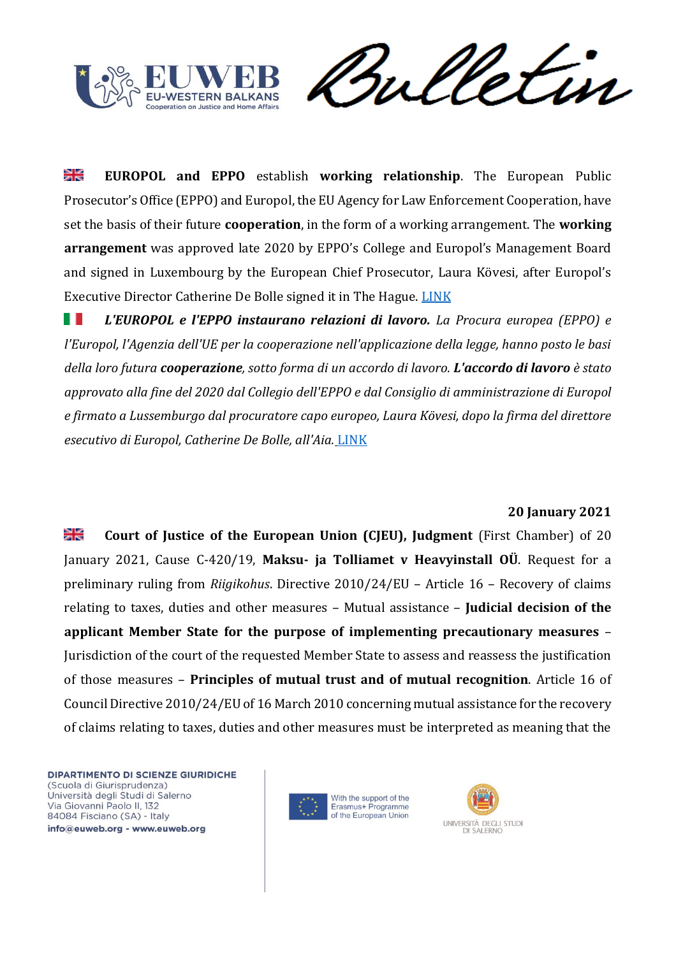![](_page_47_Picture_0.jpeg)

meletin

꼭 **EUROPOL and EPPO** establish **working relationship**. The European Public Prosecutor's Office (EPPO) and Europol, the EU Agency for Law Enforcement Cooperation, have set the basis of their future **cooperation**, in the form of a working arrangement. The **working arrangement** was approved late 2020 by EPPO's College and Europol's Management Board and signed in Luxembourg by the European Chief Prosecutor, Laura Kövesi, after Europol's Executive Director Catherine De Bolle signed it in The Hague. [LINK](https://www.europol.europa.eu/newsroom/news/europol-and-eppo-establish-working-relationship)

*L'EUROPOL e l'EPPO instaurano relazioni di lavoro. La Procura europea (EPPO) e*  ш *l'Europol, l'Agenzia dell'UE per la cooperazione nell'applicazione della legge, hanno posto le basi della loro futura cooperazione, sotto forma di un accordo di lavoro. L'accordo di lavoro è stato approvato alla fine del 2020 dal Collegio dell'EPPO e dal Consiglio di amministrazione di Europol e firmato a Lussemburgo dal procuratore capo europeo, Laura Kövesi, dopo la firma del direttore esecutivo di Europol, Catherine De Bolle, all'Aia.* [LINK](https://www.europol.europa.eu/newsroom/news/europol-and-eppo-establish-working-relationship)

# **20 January 2021**

≱≼ **Court of Justice of the European Union (CJEU), Judgment** (First Chamber) of 20 January 2021, Cause C-420/19, **Maksu- ja Tolliamet v Heavyinstall OÜ**. Request for a preliminary ruling from *Riigikohus*. Directive 2010/24/EU – Article 16 – Recovery of claims relating to taxes, duties and other measures – Mutual assistance – **Judicial decision of the applicant Member State for the purpose of implementing precautionary measures** – Jurisdiction of the court of the requested Member State to assess and reassess the justification of those measures – **Principles of mutual trust and of mutual recognition**. Article 16 of Council Directive 2010/24/EU of 16 March 2010 concerning mutual assistance for the recovery of claims relating to taxes, duties and other measures must be interpreted as meaning that the

![](_page_47_Picture_7.jpeg)

![](_page_47_Picture_8.jpeg)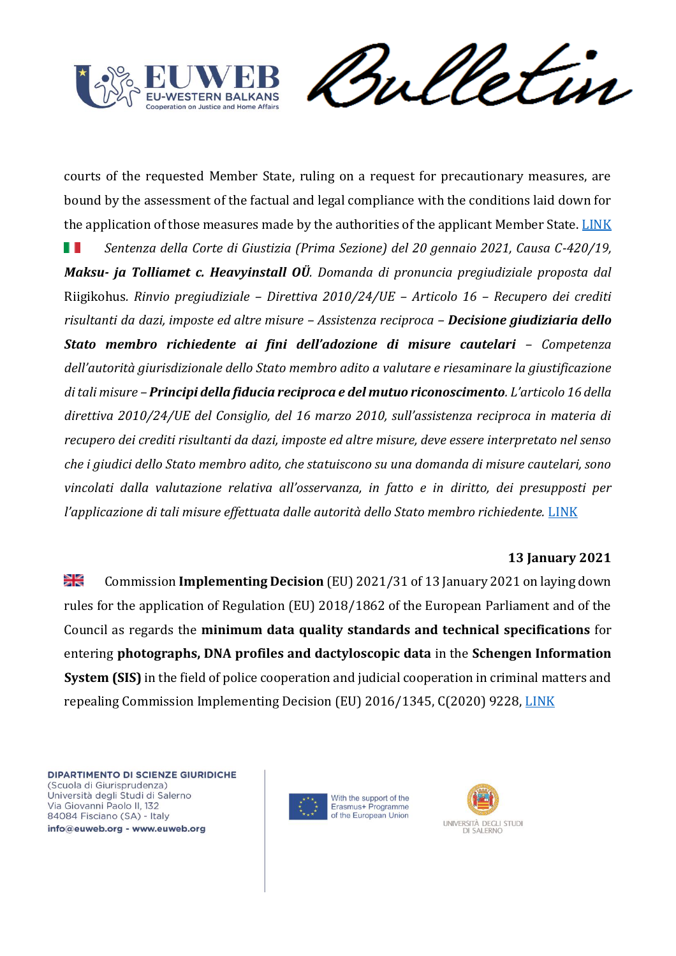![](_page_48_Picture_0.jpeg)

weletin

courts of the requested Member State, ruling on a request for precautionary measures, are bound by the assessment of the factual and legal compliance with the conditions laid down for the application of those measures made by the authorities of the applicant Member State. [LINK](https://eur-lex.europa.eu/legal-content/EN/TXT/HTML/?uri=CELEX:62019CJ0420&qid=1612287805261&from=EN)

Ш *Sentenza della Corte di Giustizia (Prima Sezione) del 20 gennaio 2021, Causa C-420/19, Maksu- ja Tolliamet c. Heavyinstall OÜ. Domanda di pronuncia pregiudiziale proposta dal*  Riigikohus*. Rinvio pregiudiziale – Direttiva 2010/24/UE – Articolo 16 – Recupero dei crediti risultanti da dazi, imposte ed altre misure – Assistenza reciproca – Decisione giudiziaria dello Stato membro richiedente ai fini dell'adozione di misure cautelari – Competenza dell'autorità giurisdizionale dello Stato membro adito a valutare e riesaminare la giustificazione di tali misure – Principi della fiducia reciproca e del mutuo riconoscimento. L'articolo 16 della direttiva 2010/24/UE del Consiglio, del 16 marzo 2010, sull'assistenza reciproca in materia di recupero dei crediti risultanti da dazi, imposte ed altre misure, deve essere interpretato nel senso che i giudici dello Stato membro adito, che statuiscono su una domanda di misure cautelari, sono vincolati dalla valutazione relativa all'osservanza, in fatto e in diritto, dei presupposti per l'applicazione di tali misure effettuata dalle autorità dello Stato membro richiedente.* [LINK](https://eur-lex.europa.eu/legal-content/IT/TXT/HTML/?uri=CELEX:62019CJ0420&qid=1612287805261&from=EN)

# **13 January 2021**

浸 Commission **Implementing Decision** (EU) 2021/31 of 13 January 2021 on laying down rules for the application of Regulation (EU) 2018/1862 of the European Parliament and of the Council as regards the **minimum data quality standards and technical specifications** for entering **photographs, DNA profiles and dactyloscopic data** in the **Schengen Information System (SIS)** in the field of police cooperation and judicial cooperation in criminal matters and repealing Commission Implementing Decision (EU) 2016/1345, C(2020) 9228, [LINK](https://eur-lex.europa.eu/legal-content/EN/TXT/?uri=CELEX%3A32021D0031&qid=1611846125874)

![](_page_48_Picture_7.jpeg)

![](_page_48_Picture_8.jpeg)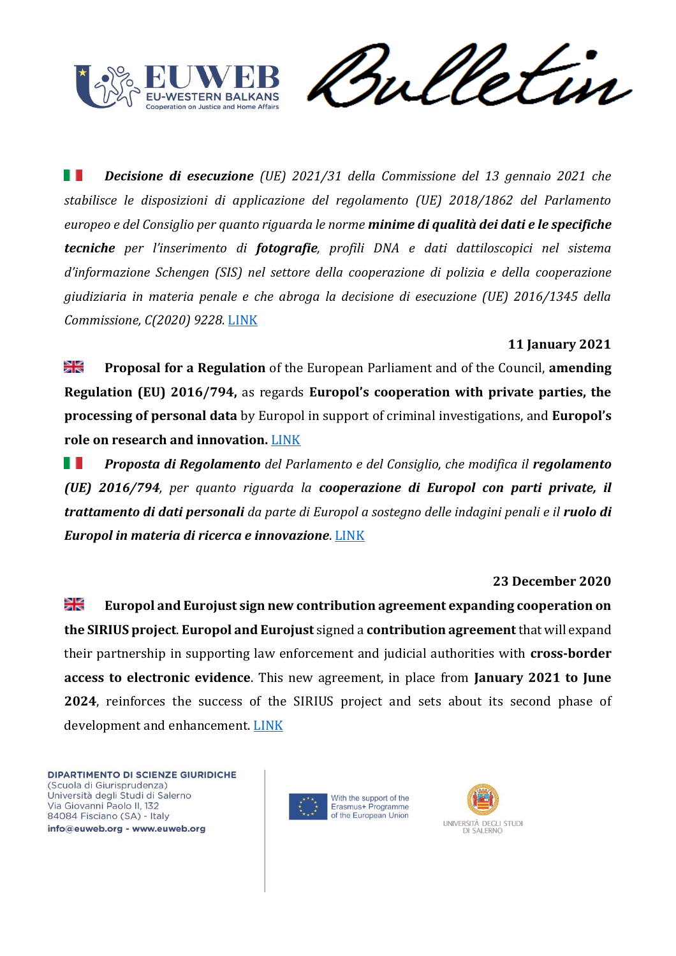![](_page_49_Picture_0.jpeg)

etin

ш *Decisione di esecuzione (UE) 2021/31 della Commissione del 13 gennaio 2021 che stabilisce le disposizioni di applicazione del regolamento (UE) 2018/1862 del Parlamento europeo e del Consiglio per quanto riguarda le norme minime di qualità dei dati e le specifiche tecniche per l'inserimento di fotografie, profili DNA e dati dattiloscopici nel sistema d'informazione Schengen (SIS) nel settore della cooperazione di polizia e della cooperazione giudiziaria in materia penale e che abroga la decisione di esecuzione (UE) 2016/1345 della Commissione, C(2020) 9228.* [LINK](https://eur-lex.europa.eu/legal-content/IT/TXT/?qid=1611846125874&uri=CELEX%3A32021D0031)

# **11 January 2021**

≫k **Proposal for a Regulation** of the European Parliament and of the Council, **amending Regulation (EU) 2016/794,** as regards **Europol's cooperation with private parties, the processing of personal data** by Europol in support of criminal investigations, and **Europol's role on research and innovation.** [LINK](https://eur-lex.europa.eu/legal-content/IT/TXT/?uri=CONSIL%3AST_13908_2020_COR_1&qid=1610441255272)

*Proposta di Regolamento del Parlamento e del Consiglio, che modifica il regolamento*  . . *(UE) 2016/794, per quanto riguarda la cooperazione di Europol con parti private, il trattamento di dati personali da parte di Europol a sostegno delle indagini penali e il ruolo di Europol in materia di ricerca e innovazione*. [LINK](https://eur-lex.europa.eu/legal-content/IT/TXT/?uri=CONSIL%3AST_13908_2020_COR_1&qid=1610441255272)

# **23 December 2020**

꽃 **Europol and Eurojust sign new contribution agreement expanding cooperation on the SIRIUS project**. **Europol and Eurojust** signed a **contribution agreement** that will expand their partnership in supporting law enforcement and judicial authorities with **cross-border access to electronic evidence**. This new agreement, in place from **January 2021 to June 2024**, reinforces the success of the SIRIUS project and sets about its second phase of development and enhancement. [LINK](https://www.eurojust.europa.eu/europol-and-eurojust-sign-new-contribution-agreement-expanding-cooperation-sirius-project)

![](_page_49_Picture_9.jpeg)

![](_page_49_Picture_10.jpeg)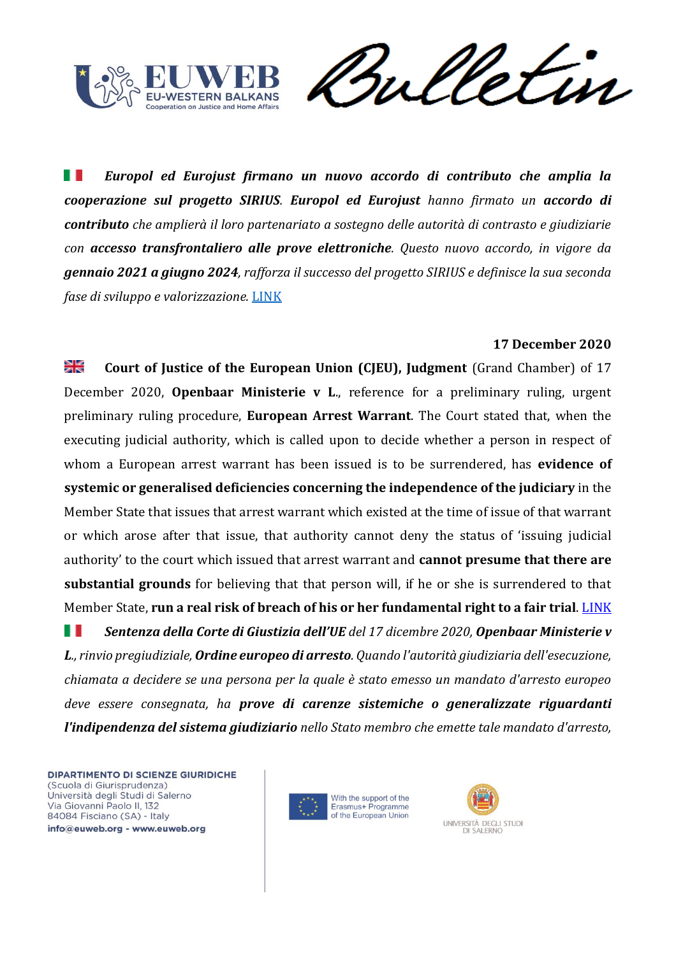![](_page_50_Picture_0.jpeg)

Sulletin

ш *Europol ed Eurojust firmano un nuovo accordo di contributo che amplia la cooperazione sul progetto SIRIUS. Europol ed Eurojust hanno firmato un accordo di contributo che amplierà il loro partenariato a sostegno delle autorità di contrasto e giudiziarie con accesso transfrontaliero alle prove elettroniche. Questo nuovo accordo, in vigore da gennaio 2021 a giugno 2024, rafforza il successo del progetto SIRIUS e definisce la sua seconda fase di sviluppo e valorizzazione.* [LINK](https://www.eurojust.europa.eu/europol-and-eurojust-sign-new-contribution-agreement-expanding-cooperation-sirius-project)

## **17 December 2020**

꼭€ **Court of Justice of the European Union (CJEU), Judgment** (Grand Chamber) of 17 December 2020, **Openbaar Ministerie v L**., reference for a preliminary ruling, urgent preliminary ruling procedure, **European Arrest Warrant**. The Court stated that, when the executing judicial authority, which is called upon to decide whether a person in respect of whom a European arrest warrant has been issued is to be surrendered, has **evidence of systemic or generalised deficiencies concerning the independence of the judiciary** in the Member State that issues that arrest warrant which existed at the time of issue of that warrant or which arose after that issue, that authority cannot deny the status of 'issuing judicial authority' to the court which issued that arrest warrant and **cannot presume that there are substantial grounds** for believing that that person will, if he or she is surrendered to that Member State, **run a real risk of breach of his or her fundamental right to a fair trial**. [LINK](https://eur-lex.europa.eu/legal-content/EN/TXT/?uri=CELEX%3A62020CJ0354&qid=1608302945578)

H *Sentenza della Corte di Giustizia dell'UE del 17 dicembre 2020, Openbaar Ministerie v L., rinvio pregiudiziale, Ordine europeo di arresto. Quando l'autorità giudiziaria dell'esecuzione, chiamata a decidere se una persona per la quale è stato emesso un mandato d'arresto europeo deve essere consegnata, ha prove di carenze sistemiche o generalizzate riguardanti l'indipendenza del sistema giudiziario nello Stato membro che emette tale mandato d'arresto,* 

![](_page_50_Picture_7.jpeg)

![](_page_50_Picture_8.jpeg)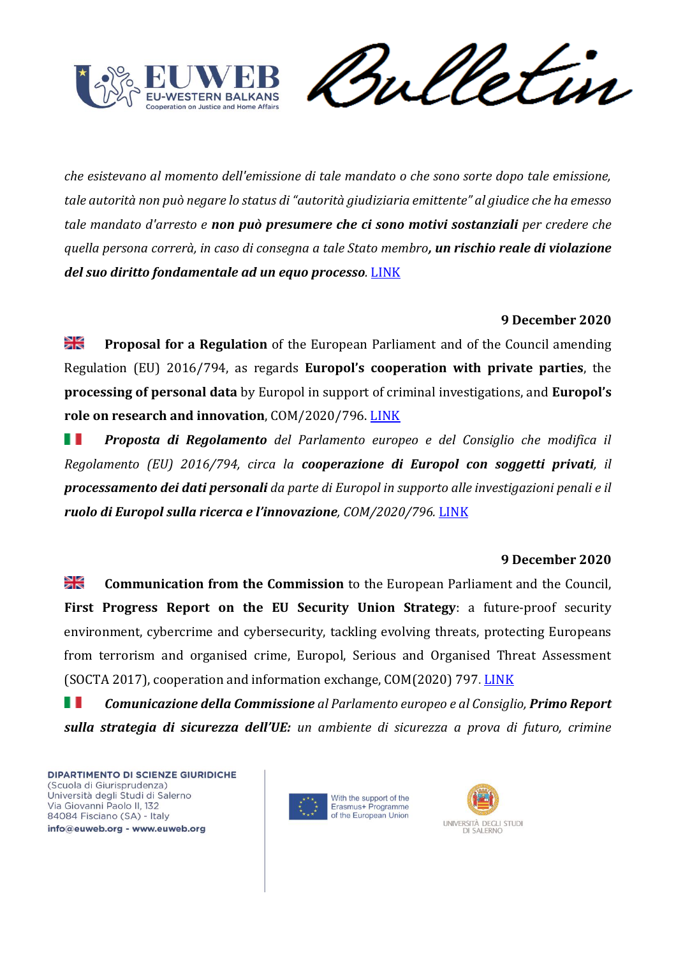![](_page_51_Picture_0.jpeg)

*che esistevano al momento dell'emissione di tale mandato o che sono sorte dopo tale emissione, tale autorità non può negare lo status di "autorità giudiziaria emittente" al giudice che ha emesso tale mandato d'arresto e non può presumere che ci sono motivi sostanziali per credere che quella persona correrà, in caso di consegna a tale Stato membro, un rischio reale di violazione del suo diritto fondamentale ad un equo processo.* [LINK](https://eur-lex.europa.eu/legal-content/EN/TXT/?uri=CELEX%3A62020CJ0354&qid=1608302945578)

## **9 December 2020**

꼭 **Proposal for a Regulation** of the European Parliament and of the Council amending Regulation (EU) 2016/794, as regards **Europol's cooperation with private parties**, the **processing of personal data** by Europol in support of criminal investigations, and **Europol's role on research and innovation**, COM/2020/796. [LINK](https://eur-lex.europa.eu/legal-content/EN/TXT/?uri=CELEX%3A52020PC0796&qid=1608302945578)

w *Proposta di Regolamento del Parlamento europeo e del Consiglio che modifica il Regolamento (EU) 2016/794, circa la cooperazione di Europol con soggetti privati, il processamento dei dati personali da parte di Europol in supporto alle investigazioni penali e il ruolo di Europol sulla ricerca e l'innovazione, COM/2020/796.* [LINK](https://eur-lex.europa.eu/legal-content/EN/TXT/?uri=CELEX%3A52020PC0796&qid=1608302945578)

#### **9 December 2020**

꾉 **Communication from the Commission** to the European Parliament and the Council, **First Progress Report on the EU Security Union Strategy**: a future-proof security environment, cybercrime and cybersecurity, tackling evolving threats, protecting Europeans from terrorism and organised crime, Europol, Serious and Organised Threat Assessment (SOCTA 2017), cooperation and information exchange, COM(2020) 797. [LINK](https://eur-lex.europa.eu/legal-content/EN/TXT/HTML/?uri=CELEX:52020DC0797&from=EN)

H H *Comunicazione della Commissione al Parlamento europeo e al Consiglio, Primo Report sulla strategia di sicurezza dell'UE: un ambiente di sicurezza a prova di futuro, crimine* 

![](_page_51_Picture_10.jpeg)

![](_page_51_Picture_11.jpeg)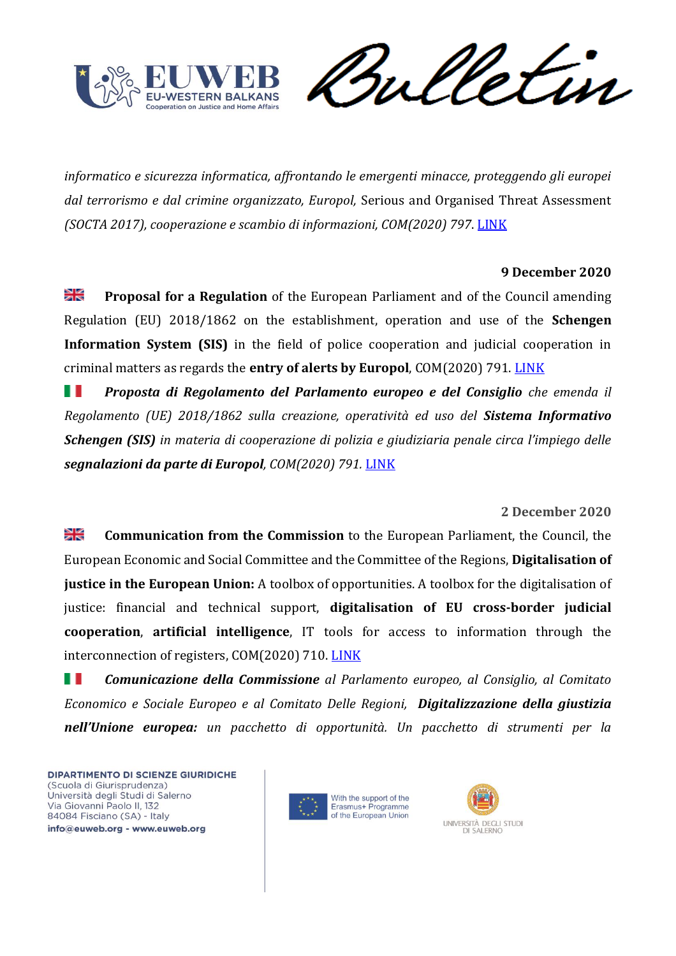![](_page_52_Picture_0.jpeg)

Sulletin

*informatico e sicurezza informatica, affrontando le emergenti minacce, proteggendo gli europei dal terrorismo e dal crimine organizzato, Europol,* Serious and Organised Threat Assessment *(SOCTA 2017), cooperazione e scambio di informazioni, COM(2020) 797*. [LINK](https://eur-lex.europa.eu/legal-content/EN/TXT/HTML/?uri=CELEX:52020DC0797&from=EN)

## **9 December 2020**

≫l⊠ **Proposal for a Regulation** of the European Parliament and of the Council amending Regulation (EU) 2018/1862 on the establishment, operation and use of the **Schengen Information System (SIS)** in the field of police cooperation and judicial cooperation in criminal matters as regards the **entry of alerts by Europol**, COM(2020) 791. [LINK](https://eur-lex.europa.eu/legal-content/EN/TXT/HTML/?uri=CELEX:52020PC0791&qid=1608302945578&from=EN)

H *Proposta di Regolamento del Parlamento europeo e del Consiglio che emenda il Regolamento (UE) 2018/1862 sulla creazione, operatività ed uso del Sistema Informativo Schengen (SIS) in materia di cooperazione di polizia e giudiziaria penale circa l'impiego delle segnalazioni da parte di Europol, COM(2020) 791.* [LINK](https://eur-lex.europa.eu/legal-content/EN/TXT/HTML/?uri=CELEX:52020PC0791&qid=1608302945578&from=EN)

# **2 December 2020**

≱≼ **Communication from the Commission** to the European Parliament, the Council, the European Economic and Social Committee and the Committee of the Regions, **Digitalisation of justice in the European Union:** A toolbox of opportunities. A toolbox for the digitalisation of justice: financial and technical support, **digitalisation of EU cross-border judicial cooperation**, **artificial intelligence**, IT tools for access to information through the interconnection of registers, COM(2020) 710. [LINK](https://eur-lex.europa.eu/legal-content/EN/TXT/HTML/?uri=CELEX:52020DC0710&qid=1608364638822&from=EN)

H I *Comunicazione della Commissione al Parlamento europeo, al Consiglio, al Comitato Economico e Sociale Europeo e al Comitato Delle Regioni, Digitalizzazione della giustizia nell'Unione europea: un pacchetto di opportunità. Un pacchetto di strumenti per la* 

![](_page_52_Picture_10.jpeg)

![](_page_52_Picture_11.jpeg)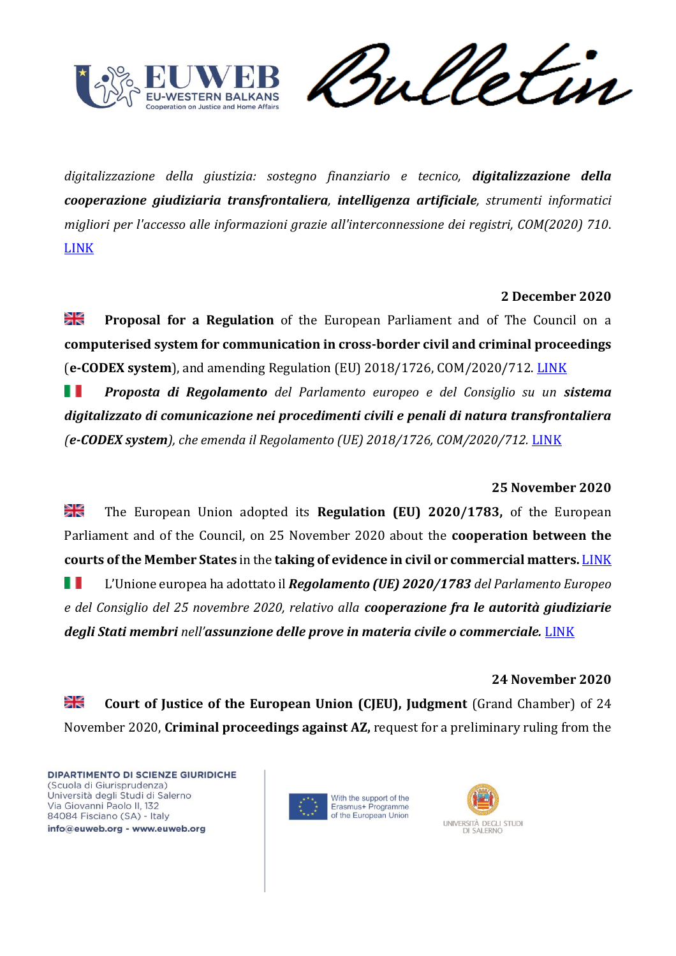![](_page_53_Picture_0.jpeg)

et in

*digitalizzazione della giustizia: sostegno finanziario e tecnico, digitalizzazione della cooperazione giudiziaria transfrontaliera, intelligenza artificiale, strumenti informatici migliori per l'accesso alle informazioni grazie all'interconnessione dei registri, COM(2020) 710*. [LINK](https://eur-lex.europa.eu/legal-content/IT/TXT/HTML/?uri=CELEX:52020DC0710&qid=1608364638822&from=EN)

# **2 December 2020**

≫l⊠ **Proposal for a Regulation** of the European Parliament and of The Council on a **computerised system for communication in cross-border civil and criminal proceedings** (**e-CODEX system**), and amending Regulation (EU) 2018/1726, COM/2020/712. [LINK](https://eur-lex.europa.eu/legal-content/EN/TXT/HTML/?uri=CELEX:52020PC0712&qid=1608302945578&from=EN)

H *Proposta di Regolamento del Parlamento europeo e del Consiglio su un sistema digitalizzato di comunicazione nei procedimenti civili e penali di natura transfrontaliera (e-CODEX system), che emenda il Regolamento (UE) 2018/1726, COM/2020/712.* [LINK](https://eur-lex.europa.eu/legal-content/EN/TXT/HTML/?uri=CELEX:52020PC0712&qid=1608302945578&from=EN)

# **25 November 2020**

≱≼ The European Union adopted its **Regulation (EU) 2020/1783,** of the European Parliament and of the Council, on 25 November 2020 about the **cooperation between the courts of the Member States** in the **taking of evidence in civil or commercial matters.** [LINK](https://eur-lex.europa.eu/legal-content/en/TXT/HTML/?uri=CELEX:32020R1783&qid=1608302945578&from=EN) w L'Unione europea ha adottato il *Regolamento (UE) 2020/1783 del Parlamento Europeo e del Consiglio del 25 novembre 2020, relativo alla cooperazione fra le autorità giudiziarie degli Stati membri nell'assunzione delle prove in materia civile o commerciale.* [LINK](https://eur-lex.europa.eu/legal-content/IT/TXT/HTML/?uri=CELEX:32020R1783&qid=1608302945578&from=EN)

## **24 November 2020**

≱≼ **Court of Justice of the European Union (CJEU), Judgment** (Grand Chamber) of 24 November 2020, **Criminal proceedings against AZ,** request for a preliminary ruling from the

![](_page_53_Picture_11.jpeg)

![](_page_53_Picture_12.jpeg)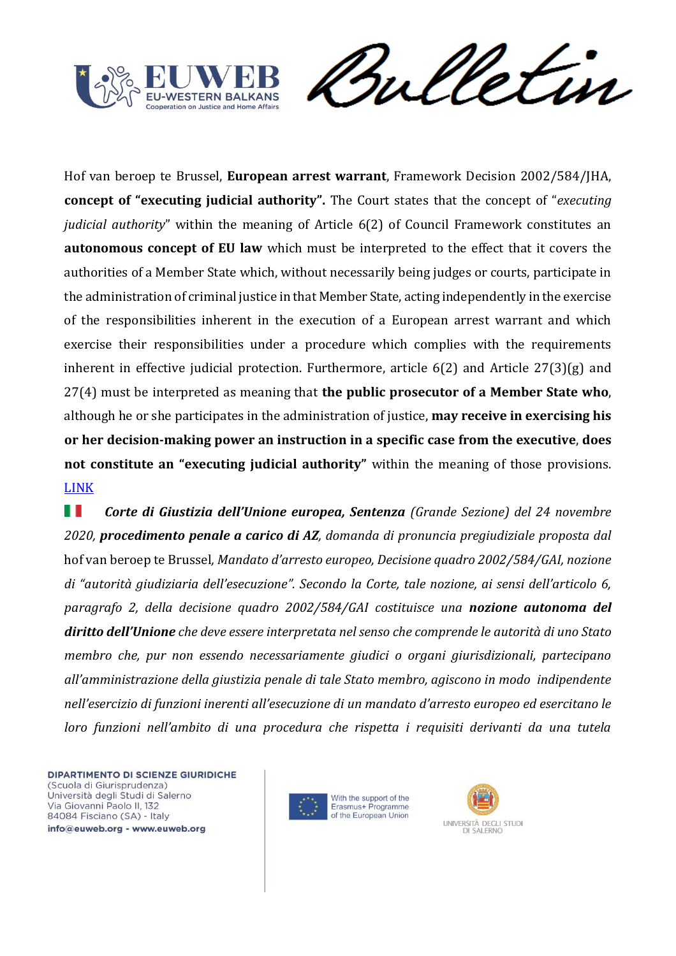![](_page_54_Picture_0.jpeg)

Sulletin

Hof van beroep te Brussel, **European arrest warrant**, Framework Decision 2002/584/JHA, **concept of "executing judicial authority".** The Court states that the concept of "*executing judicial authority*" within the meaning of Article 6(2) of Council Framework constitutes an **autonomous concept of EU law** which must be interpreted to the effect that it covers the authorities of a Member State which, without necessarily being judges or courts, participate in the administration of criminal justice in that Member State, acting independently in the exercise of the responsibilities inherent in the execution of a European arrest warrant and which exercise their responsibilities under a procedure which complies with the requirements inherent in effective judicial protection. Furthermore, article 6(2) and Article 27(3)(g) and 27(4) must be interpreted as meaning that **the public prosecutor of a Member State who**, although he or she participates in the administration of justice, **may receive in exercising his or her decision-making power an instruction in a specific case from the executive**, **does not constitute an "executing judicial authority"** within the meaning of those provisions. [LINK](https://eur-lex.europa.eu/legal-content/EN/TXT/HTML/?uri=CELEX:62019CJ0510&qid=1608302945578&from=EN)

H *Corte di Giustizia dell'Unione europea, Sentenza (Grande Sezione) del 24 novembre 2020, procedimento penale a carico di AZ, domanda di pronuncia pregiudiziale proposta dal*  hof van beroep te Brussel*, Mandato d'arresto europeo, Decisione quadro 2002/584/GAI, nozione di "autorità giudiziaria dell'esecuzione". Secondo la Corte, tale nozione, ai sensi dell'articolo 6, paragrafo 2, della decisione quadro 2002/584/GAI costituisce una nozione autonoma del diritto dell'Unione che deve essere interpretata nel senso che comprende le autorità di uno Stato membro che, pur non essendo necessariamente giudici o organi giurisdizionali, partecipano all'amministrazione della giustizia penale di tale Stato membro, agiscono in modo indipendente nell'esercizio di funzioni inerenti all'esecuzione di un mandato d'arresto europeo ed esercitano le loro funzioni nell'ambito di una procedura che rispetta i requisiti derivanti da una tutela* 

![](_page_54_Picture_5.jpeg)

![](_page_54_Picture_6.jpeg)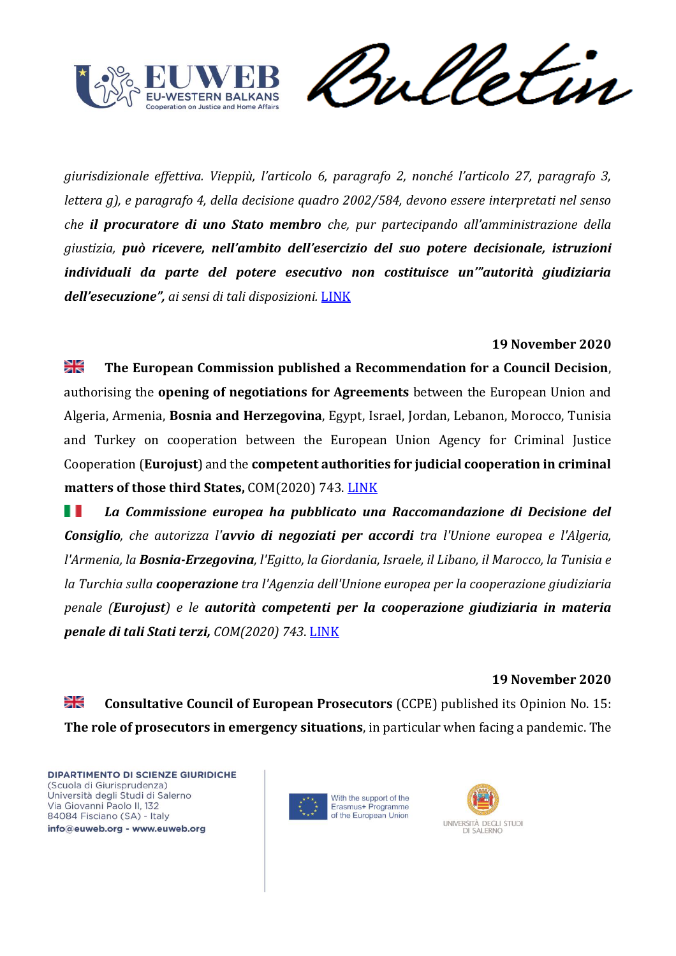![](_page_55_Picture_0.jpeg)

*giurisdizionale effettiva. Vieppiù, l'articolo 6, paragrafo 2, nonché l'articolo 27, paragrafo 3, lettera g), e paragrafo 4, della decisione quadro 2002/584, devono essere interpretati nel senso che il procuratore di uno Stato membro che, pur partecipando all'amministrazione della giustizia, può ricevere, nell'ambito dell'esercizio del suo potere decisionale, istruzioni individuali da parte del potere esecutivo non costituisce un'"autorità giudiziaria dell'esecuzione", ai sensi di tali disposizioni.* [LINK](https://eur-lex.europa.eu/legal-content/IT/TXT/HTML/?uri=CELEX:62019CJ0510&qid=1608302945578&from=EN)

## **19 November 2020**

꼭€ **The European Commission published a Recommendation for a Council Decision**, authorising the **opening of negotiations for Agreements** between the European Union and Algeria, Armenia, **Bosnia and Herzegovina**, Egypt, Israel, Jordan, Lebanon, Morocco, Tunisia and Turkey on cooperation between the European Union Agency for Criminal Justice Cooperation (**Eurojust**) and the **competent authorities for judicial cooperation in criminal matters of those third States,** COM(2020) 743. [LINK](https://eur-lex.europa.eu/legal-content/EN/TXT/HTML/?uri=CELEX:52020PC0743&qid=1608302945578&from=EN)

H I *La Commissione europea ha pubblicato una Raccomandazione di Decisione del Consiglio, che autorizza l'avvio di negoziati per accordi tra l'Unione europea e l'Algeria, l'Armenia, la Bosnia-Erzegovina, l'Egitto, la Giordania, Israele, il Libano, il Marocco, la Tunisia e la Turchia sulla cooperazione tra l'Agenzia dell'Unione europea per la cooperazione giudiziaria penale (Eurojust) e le autorità competenti per la cooperazione giudiziaria in materia penale di tali Stati terzi, COM(2020) 743*. [LINK](https://eur-lex.europa.eu/legal-content/IT/TXT/HTML/?uri=CELEX:52020PC0743&qid=1608302945578&from=EN)

#### **19 November 2020**

≱≼ **Consultative Council of European Prosecutors** (CCPE) published its Opinion No. 15: **The role of prosecutors in emergency situations**, in particular when facing a pandemic. The

![](_page_55_Picture_9.jpeg)

![](_page_55_Picture_10.jpeg)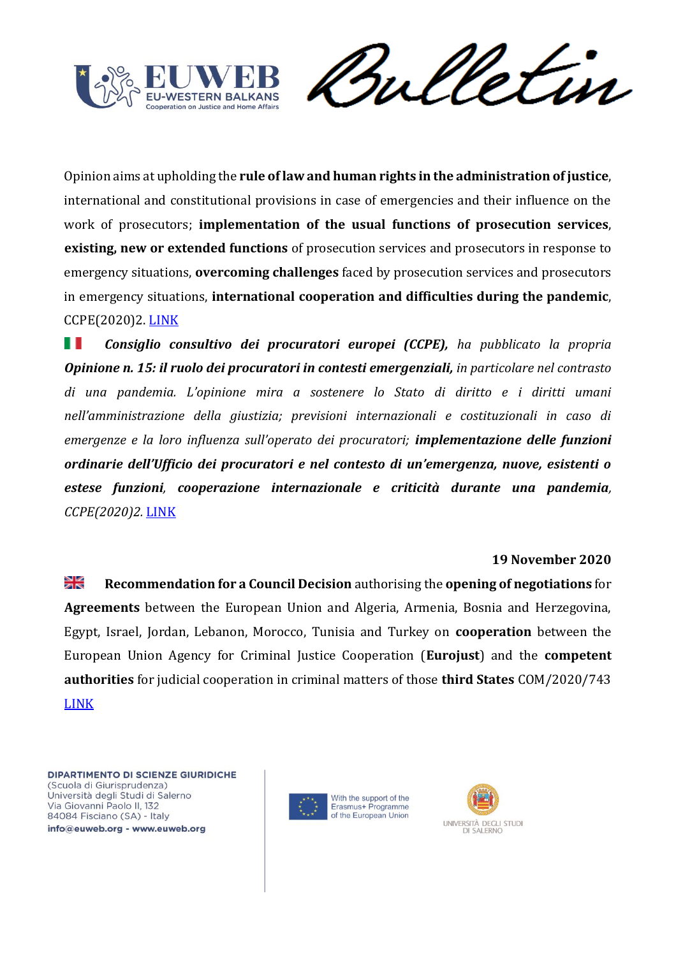![](_page_56_Picture_0.jpeg)

Sulletin

Opinion aims at upholding the **rule of law and human rights in the administration of justice**, international and constitutional provisions in case of emergencies and their influence on the work of prosecutors; **implementation of the usual functions of prosecution services**, **existing, new or extended functions** of prosecution services and prosecutors in response to emergency situations, **overcoming challenges** faced by prosecution services and prosecutors in emergency situations, **international cooperation and difficulties during the pandemic**, CCPE(2020)2. [LINK](https://rm.coe.int/opinion-no-15-ccpe-en/1680a05a1b)

H *Consiglio consultivo dei procuratori europei (CCPE), ha pubblicato la propria Opinione n. 15: il ruolo dei procuratori in contesti emergenziali, in particolare nel contrasto di una pandemia. L'opinione mira a sostenere lo Stato di diritto e i diritti umani nell'amministrazione della giustizia; previsioni internazionali e costituzionali in caso di emergenze e la loro influenza sull'operato dei procuratori; implementazione delle funzioni ordinarie dell'Ufficio dei procuratori e nel contesto di un'emergenza, nuove, esistenti o estese funzioni, cooperazione internazionale e criticità durante una pandemia, CCPE(2020)2.* [LINK](https://rm.coe.int/opinion-no-15-ccpe-en/1680a05a1b)

#### **19 November 2020**

꾉 **Recommendation for a Council Decision** authorising the **opening of negotiations** for **Agreements** between the European Union and Algeria, Armenia, Bosnia and Herzegovina, Egypt, Israel, Jordan, Lebanon, Morocco, Tunisia and Turkey on **cooperation** between the European Union Agency for Criminal Justice Cooperation (**Eurojust**) and the **competent authorities** for judicial cooperation in criminal matters of those **third States** COM/2020/743 [LINK](https://eur-lex.europa.eu/resource.html?uri=cellar:c9b5033a-2a52-11eb-9d7e-01aa75ed71a1.0021.02/DOC_1&format=PDF)

![](_page_56_Picture_7.jpeg)

![](_page_56_Picture_8.jpeg)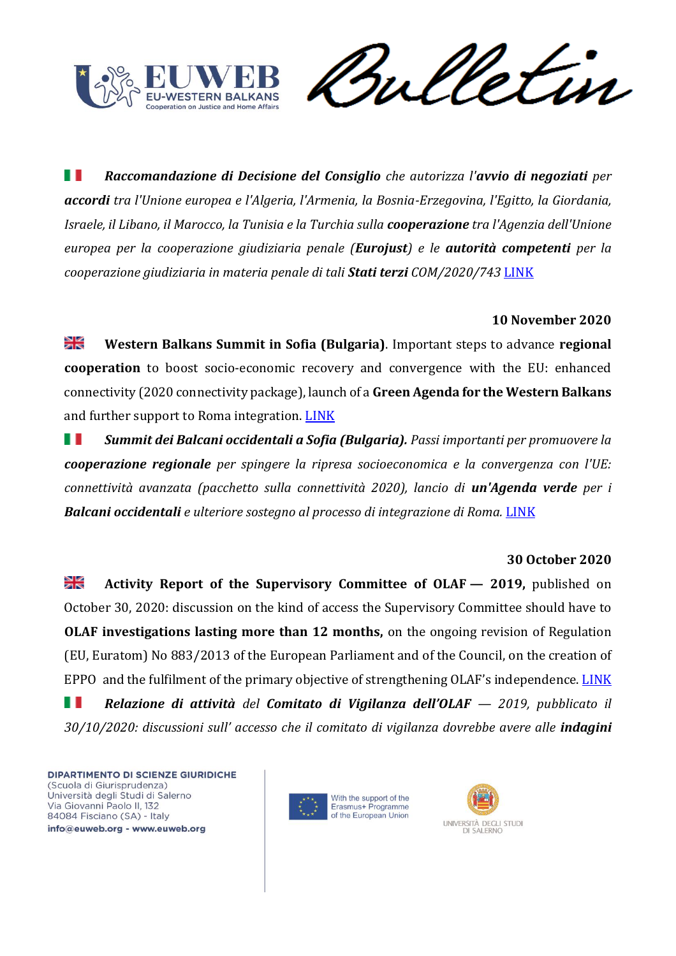![](_page_57_Picture_0.jpeg)

et in

H I *Raccomandazione di Decisione del Consiglio che autorizza l'avvio di negoziati per accordi tra l'Unione europea e l'Algeria, l'Armenia, la Bosnia-Erzegovina, l'Egitto, la Giordania, Israele, il Libano, il Marocco, la Tunisia e la Turchia sulla cooperazione tra l'Agenzia dell'Unione europea per la cooperazione giudiziaria penale (Eurojust) e le autorità competenti per la cooperazione giudiziaria in materia penale di tali Stati terzi COM/2020/743* [LINK](https://eur-lex.europa.eu/resource.html?uri=cellar:c9b5033a-2a52-11eb-9d7e-01aa75ed71a1.0006.02/DOC_1&format=PDF)

#### **10 November 2020**

≫⊯ **Western Balkans Summit in Sofia (Bulgaria)**. Important steps to advance **regional cooperation** to boost socio-economic recovery and convergence with the EU: enhanced connectivity (2020 connectivity package), launch of a **Green Agenda for the Western Balkans** and further support to Roma integration. [LINK](https://ec.europa.eu/neighbourhood-enlargement/news_corner/news/western-balkans-summit-sofia-important-steps-advance-regional-cooperation-boost_en)

ш *Summit dei Balcani occidentali a Sofia (Bulgaria). Passi importanti per promuovere la cooperazione regionale per spingere la ripresa socioeconomica e la convergenza con l'UE: connettività avanzata (pacchetto sulla connettività 2020), lancio di un'Agenda verde per i Balcani occidentali e ulteriore sostegno al processo di integrazione di Roma.* [LINK](https://ec.europa.eu/neighbourhood-enlargement/news_corner/news/western-balkans-summit-sofia-important-steps-advance-regional-cooperation-boost_en)

#### **30 October 2020**

꽃 **Activity Report of the Supervisory Committee of OLAF — 2019,** published on October 30, 2020: discussion on the kind of access the Supervisory Committee should have to **OLAF investigations lasting more than 12 months,** on the ongoing revision of Regulation (EU, Euratom) No 883/2013 of the European Parliament and of the Council, on the creation of EPPO and the fulfilment of the primary objective of strengthening OLAF's independence. [LINK](https://eur-lex.europa.eu/legal-content/EN/TXT/PDF/?uri=CELEX:52020XX1030(01)&qid=1606293723069&from=IT) H *Relazione di attività del Comitato di Vigilanza dell'OLAF — 2019, pubblicato il 30/10/2020: discussioni sull' accesso che il comitato di vigilanza dovrebbe avere alle indagini* 

![](_page_57_Picture_9.jpeg)

![](_page_57_Picture_10.jpeg)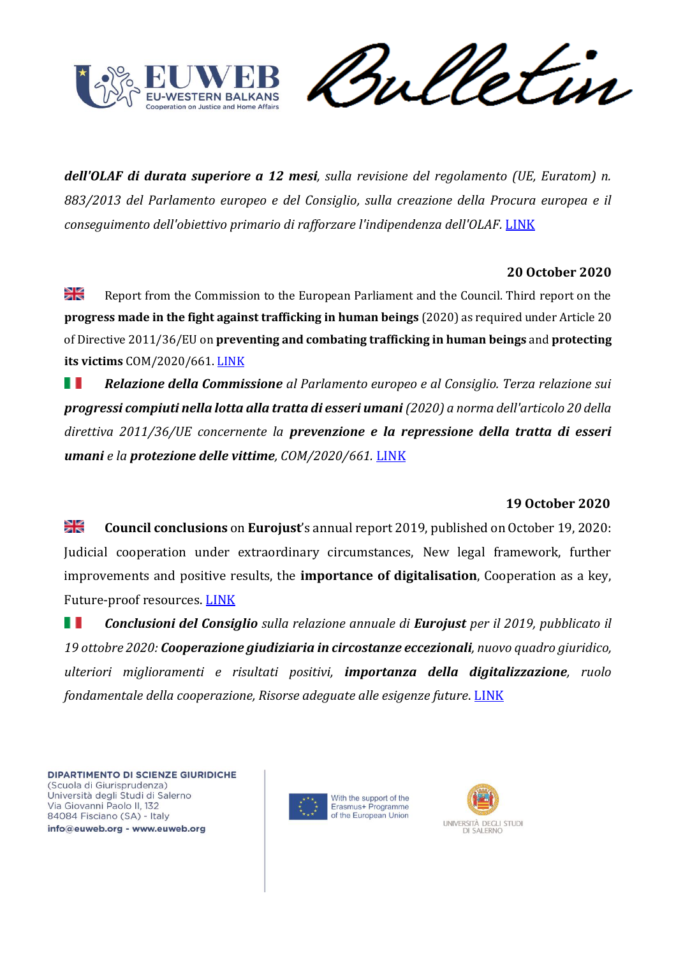![](_page_58_Picture_0.jpeg)

etin

*dell'OLAF di durata superiore a 12 mesi, sulla revisione del regolamento (UE, Euratom) n. 883/2013 del Parlamento europeo e del Consiglio, sulla creazione della Procura europea e il conseguimento dell'obiettivo primario di rafforzare l'indipendenza dell'OLAF.* [LINK](https://eur-lex.europa.eu/legal-content/IT/TXT/PDF/?uri=CELEX:52020XX1030(01)&qid=1605774995987&from=IT)

## **20 October 2020**

꼭 Report from the Commission to the European Parliament and the Council. Third report on the **progress made in the fight against trafficking in human beings** (2020) as required under Article 20 of Directive 2011/36/EU on **preventing and combating trafficking in human beings** and **protecting its victims** COM/2020/661. [LINK](https://eur-lex.europa.eu/legal-content/EN/TXT/PDF/?uri=CELEX:52020DC0661&qid=1606294204952&from=IT)

H *Relazione della Commissione al Parlamento europeo e al Consiglio. Terza relazione sui progressi compiuti nella lotta alla tratta di esseri umani(2020) a norma dell'articolo 20 della direttiva 2011/36/UE concernente la prevenzione e la repressione della tratta di esseri umani e la protezione delle vittime, COM/2020/661.* [LINK](https://eur-lex.europa.eu/legal-content/IT/TXT/PDF/?uri=CELEX:52020DC0661&qid=1605774995987&from=IT)

# **19 October 2020**

≱≼ **Council conclusions** on **Eurojust**'s annual report 2019, published on October 19, 2020: Judicial cooperation under extraordinary circumstances, New legal framework, further improvements and positive results, the **importance of digitalisation**, Cooperation as a key, Future-proof resources. [LINK](https://eur-lex.europa.eu/legal-content/EN/TXT/PDF/?uri=CELEX:52020XG1019(01)&qid=1606294479795&from=IT)

H I *Conclusioni del Consiglio sulla relazione annuale di Eurojust per il 2019, pubblicato il 19 ottobre 2020: Cooperazione giudiziaria in circostanze eccezionali, nuovo quadro giuridico, ulteriori miglioramenti e risultati positivi, importanza della digitalizzazione, ruolo fondamentale della cooperazione, Risorse adeguate alle esigenze future*. [LINK](https://eur-lex.europa.eu/legal-content/IT/TXT/PDF/?uri=CELEX:52020XG1019(01)&qid=1605774995987&from=IT)

![](_page_58_Picture_10.jpeg)

![](_page_58_Picture_11.jpeg)